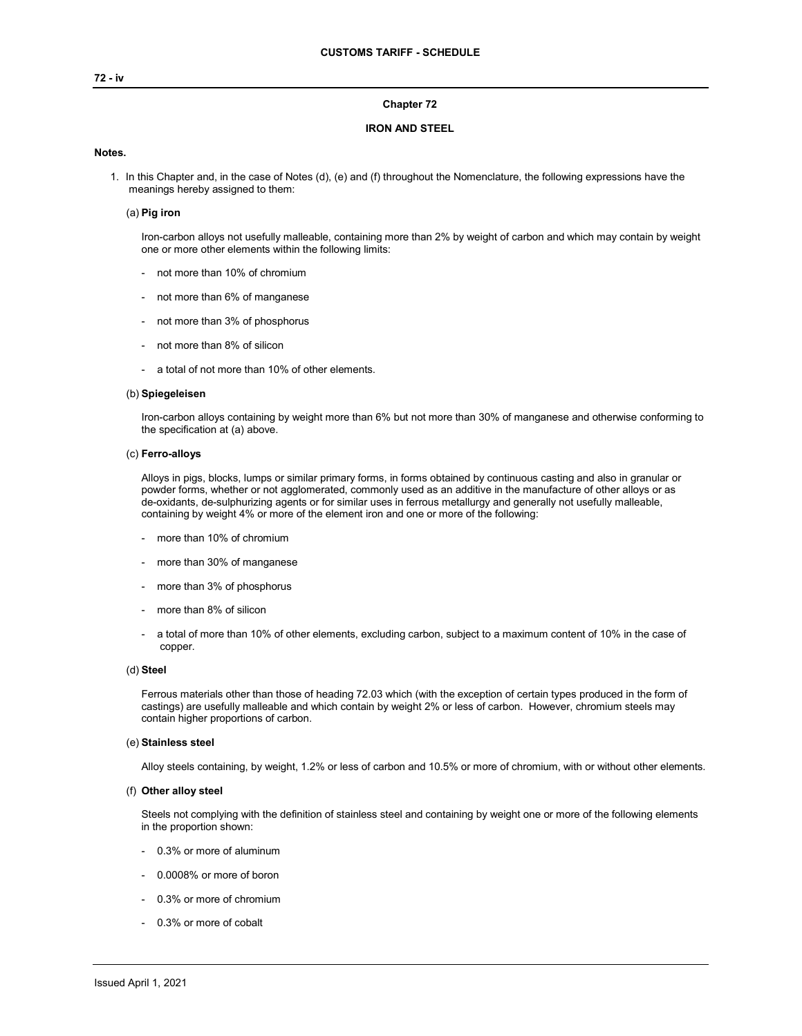## **72 - iv**

## **Chapter 72**

## **IRON AND STEEL**

## **Notes.**

1. In this Chapter and, in the case of Notes (d), (e) and (f) throughout the Nomenclature, the following expressions have the meanings hereby assigned to them:

## (a) **Pig iron**

Iron-carbon alloys not usefully malleable, containing more than 2% by weight of carbon and which may contain by weight one or more other elements within the following limits:

- not more than 10% of chromium
- not more than 6% of manganese
- not more than 3% of phosphorus
- not more than 8% of silicon
- a total of not more than 10% of other elements.

### (b) **Spiegeleisen**

Iron-carbon alloys containing by weight more than 6% but not more than 30% of manganese and otherwise conforming to the specification at (a) above.

## (c) **Ferro-alloys**

Alloys in pigs, blocks, lumps or similar primary forms, in forms obtained by continuous casting and also in granular or powder forms, whether or not agglomerated, commonly used as an additive in the manufacture of other alloys or as de-oxidants, de-sulphurizing agents or for similar uses in ferrous metallurgy and generally not usefully malleable, containing by weight 4% or more of the element iron and one or more of the following:

- more than 10% of chromium
- more than 30% of manganese
- more than 3% of phosphorus
- more than 8% of silicon
- a total of more than 10% of other elements, excluding carbon, subject to a maximum content of 10% in the case of copper.

## (d) **Steel**

Ferrous materials other than those of heading 72.03 which (with the exception of certain types produced in the form of castings) are usefully malleable and which contain by weight 2% or less of carbon. However, chromium steels may contain higher proportions of carbon.

### (e) **Stainless steel**

Alloy steels containing, by weight, 1.2% or less of carbon and 10.5% or more of chromium, with or without other elements.

#### (f) **Other alloy steel**

Steels not complying with the definition of stainless steel and containing by weight one or more of the following elements in the proportion shown:

- 0.3% or more of aluminum
- 0.0008% or more of boron
- 0.3% or more of chromium
- 0.3% or more of cobalt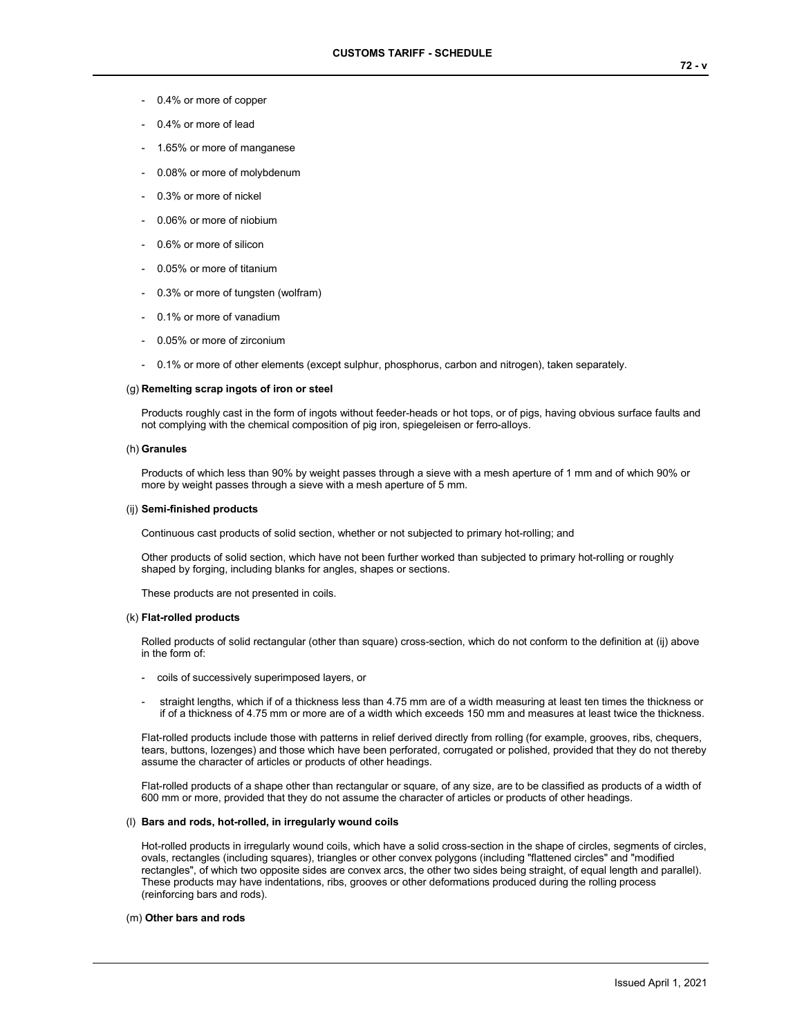- 0.4% or more of copper
- 0.4% or more of lead
- 1.65% or more of manganese
- 0.08% or more of molybdenum
- 0.3% or more of nickel
- 0.06% or more of niobium
- 0.6% or more of silicon
- 0.05% or more of titanium
- 0.3% or more of tungsten (wolfram)
- 0.1% or more of vanadium
- 0.05% or more of zirconium
- 0.1% or more of other elements (except sulphur, phosphorus, carbon and nitrogen), taken separately.

### (g) **Remelting scrap ingots of iron or steel**

Products roughly cast in the form of ingots without feeder-heads or hot tops, or of pigs, having obvious surface faults and not complying with the chemical composition of pig iron, spiegeleisen or ferro-alloys.

### (h) **Granules**

Products of which less than 90% by weight passes through a sieve with a mesh aperture of 1 mm and of which 90% or more by weight passes through a sieve with a mesh aperture of 5 mm.

#### (ij) **Semi-finished products**

Continuous cast products of solid section, whether or not subjected to primary hot-rolling; and

Other products of solid section, which have not been further worked than subjected to primary hot-rolling or roughly shaped by forging, including blanks for angles, shapes or sections.

These products are not presented in coils.

### (k) **Flat-rolled products**

Rolled products of solid rectangular (other than square) cross-section, which do not conform to the definition at (ij) above in the form of:

- coils of successively superimposed layers, or
- straight lengths, which if of a thickness less than 4.75 mm are of a width measuring at least ten times the thickness or if of a thickness of 4.75 mm or more are of a width which exceeds 150 mm and measures at least twice the thickness.

Flat-rolled products include those with patterns in relief derived directly from rolling (for example, grooves, ribs, chequers, tears, buttons, lozenges) and those which have been perforated, corrugated or polished, provided that they do not thereby assume the character of articles or products of other headings.

Flat-rolled products of a shape other than rectangular or square, of any size, are to be classified as products of a width of 600 mm or more, provided that they do not assume the character of articles or products of other headings.

### (l) **Bars and rods, hot-rolled, in irregularly wound coils**

Hot-rolled products in irregularly wound coils, which have a solid cross-section in the shape of circles, segments of circles, ovals, rectangles (including squares), triangles or other convex polygons (including "flattened circles" and "modified rectangles", of which two opposite sides are convex arcs, the other two sides being straight, of equal length and parallel). These products may have indentations, ribs, grooves or other deformations produced during the rolling process (reinforcing bars and rods).

### (m) **Other bars and rods**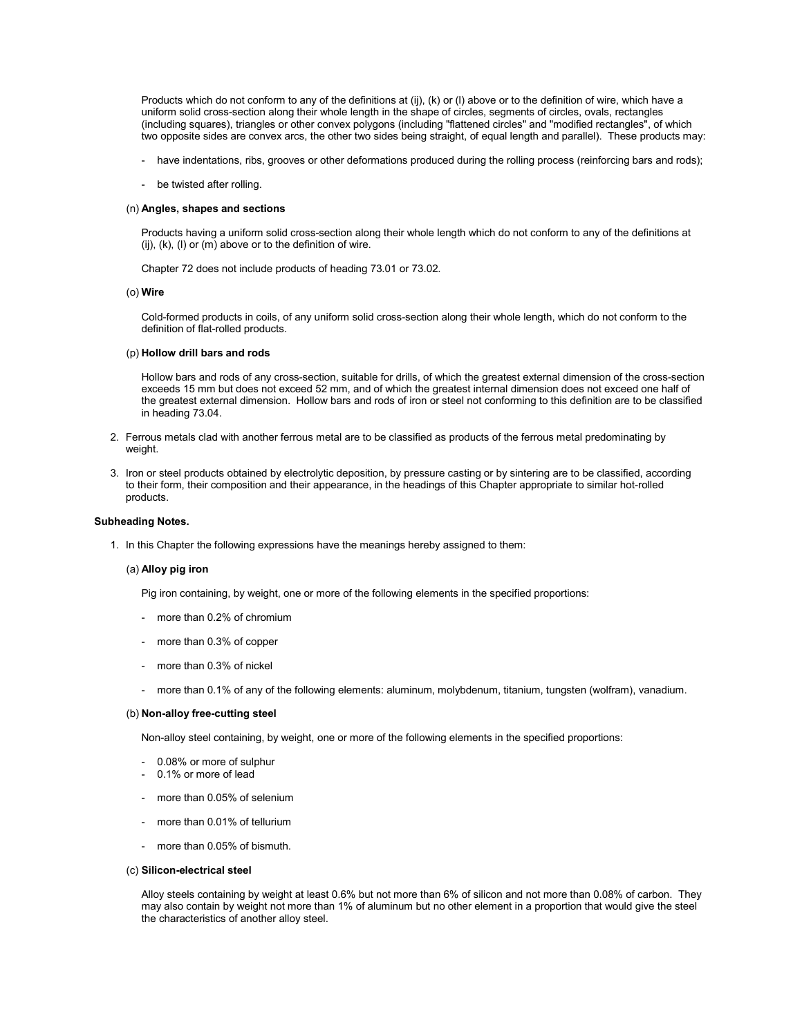Products which do not conform to any of the definitions at (ij), (k) or (l) above or to the definition of wire, which have a uniform solid cross-section along their whole length in the shape of circles, segments of circles, ovals, rectangles (including squares), triangles or other convex polygons (including "flattened circles" and "modified rectangles", of which two opposite sides are convex arcs, the other two sides being straight, of equal length and parallel). These products may:

- have indentations, ribs, grooves or other deformations produced during the rolling process (reinforcing bars and rods);
- be twisted after rolling.

### (n) **Angles, shapes and sections**

Products having a uniform solid cross-section along their whole length which do not conform to any of the definitions at (ij),  $(k)$ ,  $(l)$  or  $(m)$  above or to the definition of wire.

Chapter 72 does not include products of heading 73.01 or 73.02.

#### (o) **Wire**

Cold-formed products in coils, of any uniform solid cross-section along their whole length, which do not conform to the definition of flat-rolled products.

## (p) **Hollow drill bars and rods**

Hollow bars and rods of any cross-section, suitable for drills, of which the greatest external dimension of the cross-section exceeds 15 mm but does not exceed 52 mm, and of which the greatest internal dimension does not exceed one half of the greatest external dimension. Hollow bars and rods of iron or steel not conforming to this definition are to be classified in heading 73.04.

- 2. Ferrous metals clad with another ferrous metal are to be classified as products of the ferrous metal predominating by weight.
- 3. Iron or steel products obtained by electrolytic deposition, by pressure casting or by sintering are to be classified, according to their form, their composition and their appearance, in the headings of this Chapter appropriate to similar hot-rolled products.

#### **Subheading Notes.**

1. In this Chapter the following expressions have the meanings hereby assigned to them:

### (a) **Alloy pig iron**

Pig iron containing, by weight, one or more of the following elements in the specified proportions:

- more than 0.2% of chromium
- more than 0.3% of copper
- more than 0.3% of nickel
- more than 0.1% of any of the following elements: aluminum, molybdenum, titanium, tungsten (wolfram), vanadium.

### (b) **Non-alloy free-cutting steel**

Non-alloy steel containing, by weight, one or more of the following elements in the specified proportions:

- 0.08% or more of sulphur
- 0.1% or more of lead
- more than 0.05% of selenium
- more than 0.01% of tellurium
- more than 0.05% of bismuth.

## (c) **Silicon-electrical steel**

Alloy steels containing by weight at least 0.6% but not more than 6% of silicon and not more than 0.08% of carbon. They may also contain by weight not more than 1% of aluminum but no other element in a proportion that would give the steel the characteristics of another alloy steel.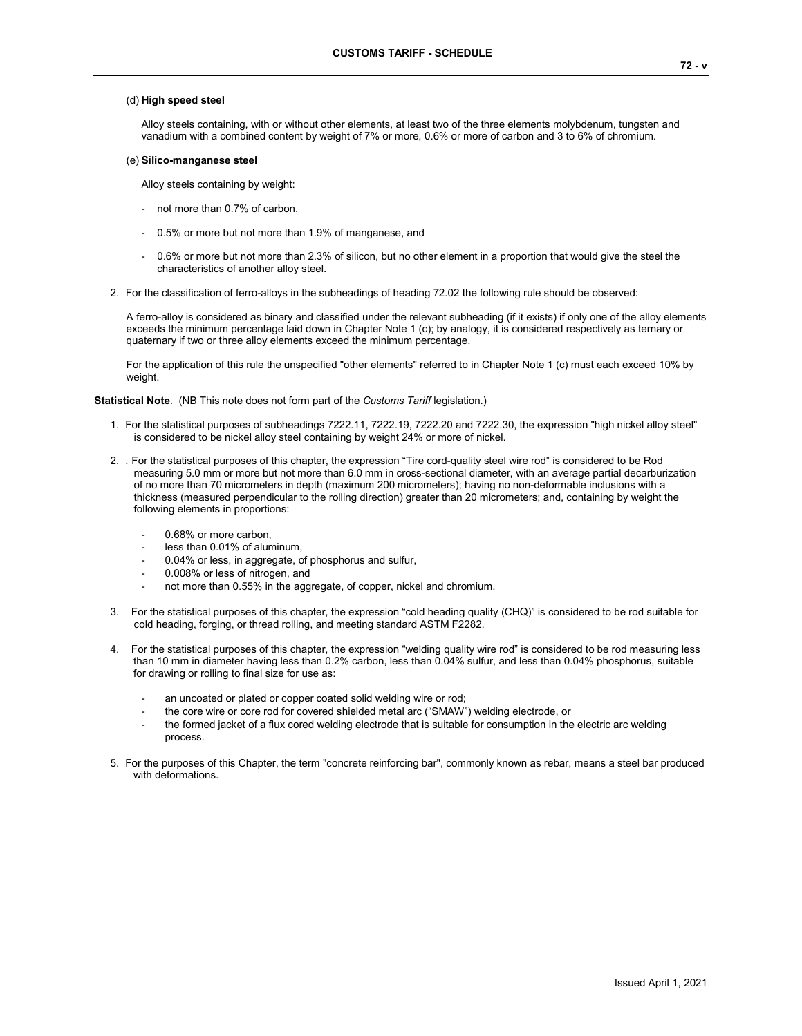## (d) **High speed steel**

Alloy steels containing, with or without other elements, at least two of the three elements molybdenum, tungsten and vanadium with a combined content by weight of 7% or more, 0.6% or more of carbon and 3 to 6% of chromium.

### (e) **Silico-manganese steel**

Alloy steels containing by weight:

- not more than 0.7% of carbon,
- 0.5% or more but not more than 1.9% of manganese, and
- 0.6% or more but not more than 2.3% of silicon, but no other element in a proportion that would give the steel the characteristics of another alloy steel.
- 2. For the classification of ferro-alloys in the subheadings of heading 72.02 the following rule should be observed:

A ferro-alloy is considered as binary and classified under the relevant subheading (if it exists) if only one of the alloy elements exceeds the minimum percentage laid down in Chapter Note 1 (c); by analogy, it is considered respectively as ternary or quaternary if two or three alloy elements exceed the minimum percentage.

For the application of this rule the unspecified "other elements" referred to in Chapter Note 1 (c) must each exceed 10% by weight.

**Statistical Note**. (NB This note does not form part of the *Customs Tariff* legislation.)

- 1. For the statistical purposes of subheadings 7222.11, 7222.19, 7222.20 and 7222.30, the expression "high nickel alloy steel" is considered to be nickel alloy steel containing by weight 24% or more of nickel.
- 2. . For the statistical purposes of this chapter, the expression "Tire cord-quality steel wire rod" is considered to be Rod measuring 5.0 mm or more but not more than 6.0 mm in cross-sectional diameter, with an average partial decarburization of no more than 70 micrometers in depth (maximum 200 micrometers); having no non-deformable inclusions with a thickness (measured perpendicular to the rolling direction) greater than 20 micrometers; and, containing by weight the following elements in proportions:
	- 0.68% or more carbon,
	- less than 0.01% of aluminum,
	- 0.04% or less, in aggregate, of phosphorus and sulfur,
	- 0.008% or less of nitrogen, and
	- not more than 0.55% in the aggregate, of copper, nickel and chromium.
- 3. For the statistical purposes of this chapter, the expression "cold heading quality (CHQ)" is considered to be rod suitable for cold heading, forging, or thread rolling, and meeting standard ASTM F2282.
- 4. For the statistical purposes of this chapter, the expression "welding quality wire rod" is considered to be rod measuring less than 10 mm in diameter having less than 0.2% carbon, less than 0.04% sulfur, and less than 0.04% phosphorus, suitable for drawing or rolling to final size for use as:
	- an uncoated or plated or copper coated solid welding wire or rod;
	- the core wire or core rod for covered shielded metal arc ("SMAW") welding electrode, or
	- the formed jacket of a flux cored welding electrode that is suitable for consumption in the electric arc welding process.
- 5. For the purposes of this Chapter, the term "concrete reinforcing bar", commonly known as rebar, means a steel bar produced with deformations.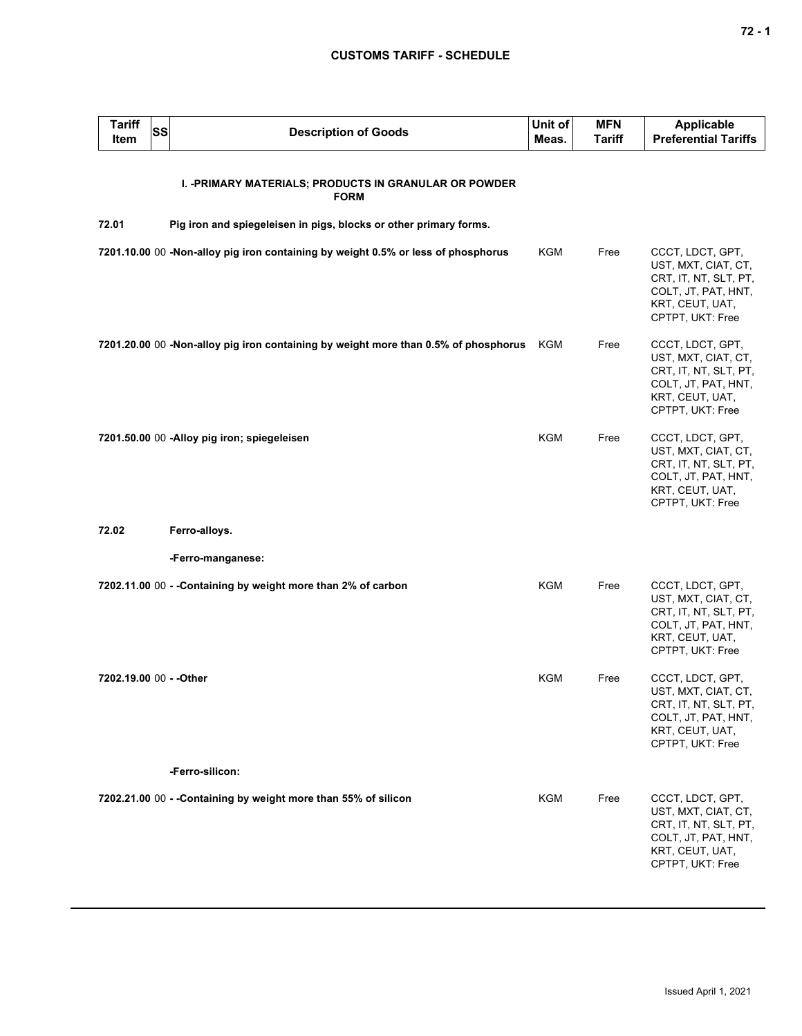| <b>Tariff</b><br>Item   | SS | <b>Description of Goods</b>                                                         | Unit of<br>Meas. | <b>MFN</b><br><b>Tariff</b> | <b>Applicable</b><br><b>Preferential Tariffs</b>                                                                               |
|-------------------------|----|-------------------------------------------------------------------------------------|------------------|-----------------------------|--------------------------------------------------------------------------------------------------------------------------------|
|                         |    | I. - PRIMARY MATERIALS; PRODUCTS IN GRANULAR OR POWDER<br><b>FORM</b>               |                  |                             |                                                                                                                                |
| 72.01                   |    | Pig iron and spiegeleisen in pigs, blocks or other primary forms.                   |                  |                             |                                                                                                                                |
|                         |    | 7201.10.00 00 -Non-alloy pig iron containing by weight 0.5% or less of phosphorus   | KGM              | Free                        | CCCT, LDCT, GPT,<br>UST, MXT, CIAT, CT,<br>CRT, IT, NT, SLT, PT,<br>COLT, JT, PAT, HNT,<br>KRT, CEUT, UAT,<br>CPTPT, UKT: Free |
|                         |    | 7201.20.00 00 -Non-alloy pig iron containing by weight more than 0.5% of phosphorus | KGM              | Free                        | CCCT, LDCT, GPT,<br>UST, MXT, CIAT, CT,<br>CRT, IT, NT, SLT, PT,<br>COLT, JT, PAT, HNT,<br>KRT, CEUT, UAT,<br>CPTPT, UKT: Free |
|                         |    | 7201.50.00 00 -Alloy pig iron; spiegeleisen                                         | <b>KGM</b>       | Free                        | CCCT, LDCT, GPT,<br>UST, MXT, CIAT, CT,<br>CRT, IT, NT, SLT, PT,<br>COLT, JT, PAT, HNT,<br>KRT, CEUT, UAT,<br>CPTPT, UKT: Free |
| 72.02                   |    | Ferro-alloys.                                                                       |                  |                             |                                                                                                                                |
|                         |    | -Ferro-manganese:                                                                   |                  |                             |                                                                                                                                |
|                         |    | 7202.11.00 00 - - Containing by weight more than 2% of carbon                       | <b>KGM</b>       | Free                        | CCCT, LDCT, GPT,<br>UST, MXT, CIAT, CT,<br>CRT, IT, NT, SLT, PT,<br>COLT, JT, PAT, HNT,<br>KRT, CEUT, UAT,<br>CPTPT, UKT: Free |
| 7202.19.00 00 - - Other |    |                                                                                     | KGM              | Free                        | CCCT, LDCT, GPT,<br>UST, MXT, CIAT, CT,<br>CRT, IT, NT, SLT, PT,<br>COLT, JT, PAT, HNT,<br>KRT, CEUT, UAT,<br>CPTPT, UKT: Free |
|                         |    | -Ferro-silicon:                                                                     |                  |                             |                                                                                                                                |
|                         |    | 7202.21.00 00 - - Containing by weight more than 55% of silicon                     | KGM              | Free                        | CCCT, LDCT, GPT,<br>UST, MXT, CIAT, CT,<br>CRT, IT, NT, SLT, PT,<br>COLT, JT, PAT, HNT,<br>KRT, CEUT, UAT,<br>CPTPT, UKT: Free |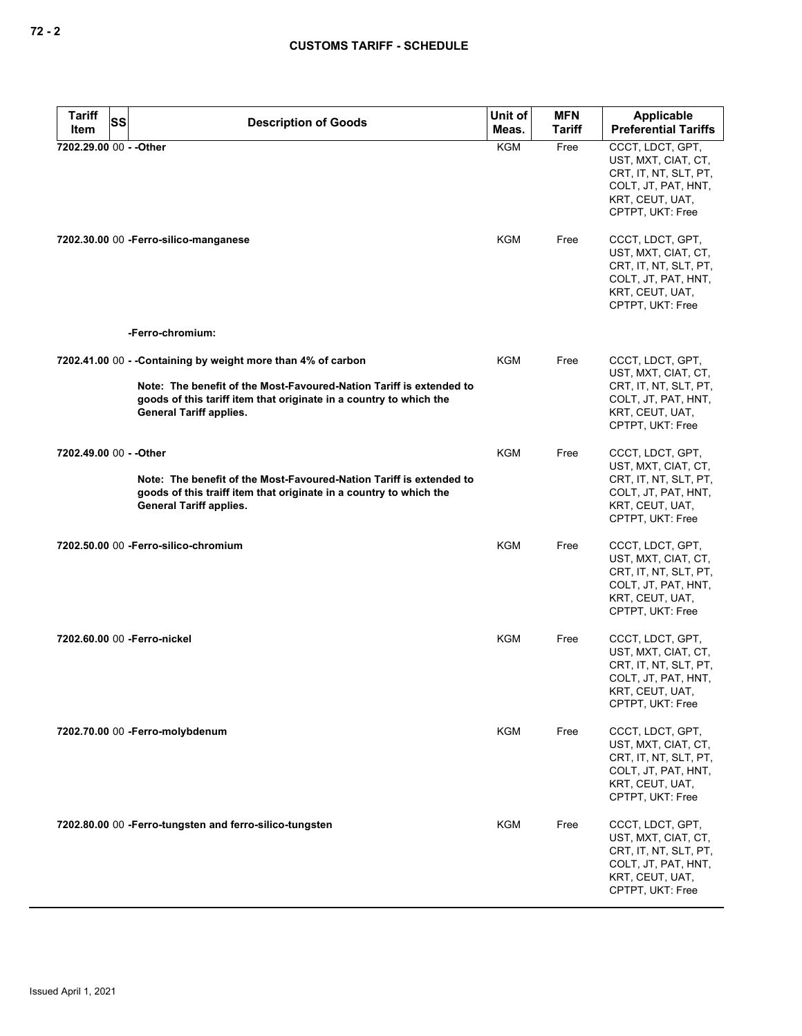| <b>Tariff</b>           | SS | <b>Description of Goods</b>                                                                                                                                                 | Unit of    | <b>MFN</b> | Applicable                                                                                                                     |
|-------------------------|----|-----------------------------------------------------------------------------------------------------------------------------------------------------------------------------|------------|------------|--------------------------------------------------------------------------------------------------------------------------------|
| Item                    |    |                                                                                                                                                                             | Meas.      | Tariff     | <b>Preferential Tariffs</b>                                                                                                    |
| 7202.29.00 00 - - Other |    |                                                                                                                                                                             | <b>KGM</b> | Free       | CCCT, LDCT, GPT,<br>UST, MXT, CIAT, CT,<br>CRT, IT, NT, SLT, PT,<br>COLT, JT, PAT, HNT,<br>KRT, CEUT, UAT,<br>CPTPT, UKT: Free |
|                         |    | 7202.30.00 00 - Ferro-silico-manganese                                                                                                                                      | KGM        | Free       | CCCT, LDCT, GPT,<br>UST, MXT, CIAT, CT,<br>CRT, IT, NT, SLT, PT,<br>COLT, JT, PAT, HNT,<br>KRT, CEUT, UAT,<br>CPTPT, UKT: Free |
|                         |    | -Ferro-chromium:                                                                                                                                                            |            |            |                                                                                                                                |
|                         |    | 7202.41.00 00 - - Containing by weight more than 4% of carbon                                                                                                               | KGM        | Free       | CCCT, LDCT, GPT,<br>UST, MXT, CIAT, CT,                                                                                        |
|                         |    | Note: The benefit of the Most-Favoured-Nation Tariff is extended to<br>goods of this tariff item that originate in a country to which the<br><b>General Tariff applies.</b> |            |            | CRT, IT, NT, SLT, PT,<br>COLT, JT, PAT, HNT,<br>KRT, CEUT, UAT,<br>CPTPT, UKT: Free                                            |
| 7202.49.00 00 - - Other |    |                                                                                                                                                                             | <b>KGM</b> | Free       | CCCT, LDCT, GPT,<br>UST, MXT, CIAT, CT,                                                                                        |
|                         |    | Note: The benefit of the Most-Favoured-Nation Tariff is extended to<br>goods of this traiff item that originate in a country to which the<br><b>General Tariff applies.</b> |            |            | CRT, IT, NT, SLT, PT,<br>COLT, JT, PAT, HNT,<br>KRT, CEUT, UAT,<br>CPTPT, UKT: Free                                            |
|                         |    | 7202.50.00 00 - Ferro-silico-chromium                                                                                                                                       | KGM        | Free       | CCCT, LDCT, GPT,<br>UST, MXT, CIAT, CT,<br>CRT, IT, NT, SLT, PT,<br>COLT, JT, PAT, HNT,<br>KRT, CEUT, UAT,<br>CPTPT, UKT: Free |
|                         |    | 7202.60.00 00 - Ferro-nickel                                                                                                                                                | <b>KGM</b> | Free       | CCCT, LDCT, GPT,<br>UST, MXT, CIAT, CT,<br>CRT, IT, NT, SLT, PT,<br>COLT, JT, PAT, HNT,<br>KRT, CEUT, UAT,<br>CPTPT, UKT: Free |
|                         |    | 7202.70.00 00 -Ferro-molybdenum                                                                                                                                             | <b>KGM</b> | Free       | CCCT, LDCT, GPT,<br>UST, MXT, CIAT, CT,<br>CRT, IT, NT, SLT, PT,<br>COLT, JT, PAT, HNT,<br>KRT, CEUT, UAT,<br>CPTPT, UKT: Free |
|                         |    | 7202.80.00 00 - Ferro-tungsten and ferro-silico-tungsten                                                                                                                    | KGM        | Free       | CCCT, LDCT, GPT,<br>UST, MXT, CIAT, CT,<br>CRT, IT, NT, SLT, PT,<br>COLT, JT, PAT, HNT,<br>KRT, CEUT, UAT,<br>CPTPT, UKT: Free |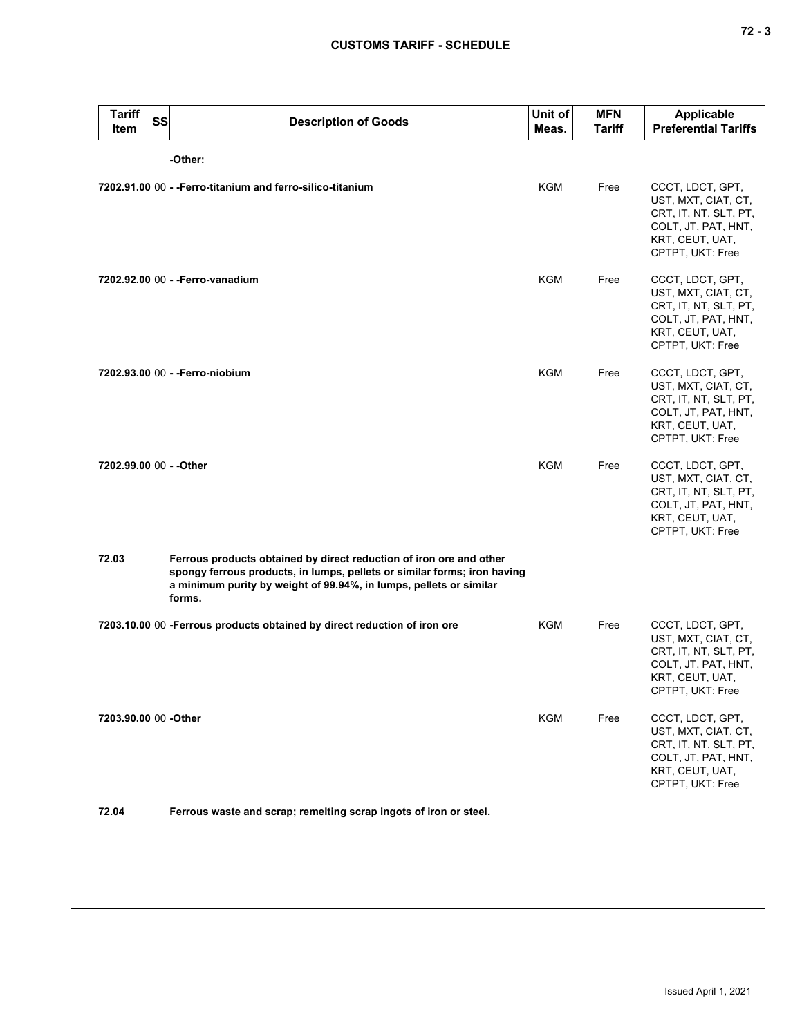| <b>Tariff</b><br>ltem   | <b>SS</b> | <b>Description of Goods</b>                                                                                                                                                                                                     | Unit of<br>Meas. | <b>MFN</b><br><b>Tariff</b> | Applicable<br><b>Preferential Tariffs</b>                                                                                      |
|-------------------------|-----------|---------------------------------------------------------------------------------------------------------------------------------------------------------------------------------------------------------------------------------|------------------|-----------------------------|--------------------------------------------------------------------------------------------------------------------------------|
|                         |           | -Other:                                                                                                                                                                                                                         |                  |                             |                                                                                                                                |
|                         |           | 7202.91.00 00 - - Ferro-titanium and ferro-silico-titanium                                                                                                                                                                      | KGM              | Free                        | CCCT, LDCT, GPT,<br>UST, MXT, CIAT, CT,<br>CRT, IT, NT, SLT, PT,<br>COLT, JT, PAT, HNT,<br>KRT, CEUT, UAT,<br>CPTPT, UKT: Free |
|                         |           | 7202.92.00 00 - - Ferro-vanadium                                                                                                                                                                                                | <b>KGM</b>       | Free                        | CCCT, LDCT, GPT,<br>UST, MXT, CIAT, CT,<br>CRT, IT, NT, SLT, PT,<br>COLT, JT, PAT, HNT,<br>KRT, CEUT, UAT,<br>CPTPT, UKT: Free |
|                         |           | 7202.93.00 00 - - Ferro-niobium                                                                                                                                                                                                 | <b>KGM</b>       | Free                        | CCCT, LDCT, GPT,<br>UST, MXT, CIAT, CT,<br>CRT, IT, NT, SLT, PT,<br>COLT, JT, PAT, HNT,<br>KRT, CEUT, UAT,<br>CPTPT, UKT: Free |
| 7202.99.00 00 - - Other |           |                                                                                                                                                                                                                                 | <b>KGM</b>       | Free                        | CCCT, LDCT, GPT,<br>UST, MXT, CIAT, CT,<br>CRT, IT, NT, SLT, PT,<br>COLT, JT, PAT, HNT,<br>KRT, CEUT, UAT,<br>CPTPT, UKT: Free |
| 72.03                   |           | Ferrous products obtained by direct reduction of iron ore and other<br>spongy ferrous products, in lumps, pellets or similar forms; iron having<br>a minimum purity by weight of 99.94%, in lumps, pellets or similar<br>forms. |                  |                             |                                                                                                                                |
|                         |           | 7203.10.00 00 -Ferrous products obtained by direct reduction of iron ore                                                                                                                                                        | <b>KGM</b>       | Free                        | CCCT, LDCT, GPT,<br>UST, MXT, CIAT, CT,<br>CRT, IT, NT, SLT, PT,<br>COLT, JT, PAT, HNT,<br>KRT, CEUT, UAT,<br>CPTPT, UKT: Free |
| 7203.90.00 00 -Other    |           |                                                                                                                                                                                                                                 | KGM              | Free                        | CCCT, LDCT, GPT,<br>UST, MXT, CIAT, CT,<br>CRT, IT, NT, SLT, PT,<br>COLT, JT, PAT, HNT,<br>KRT, CEUT, UAT,<br>CPTPT, UKT: Free |

**72.04 Ferrous waste and scrap; remelting scrap ingots of iron or steel.**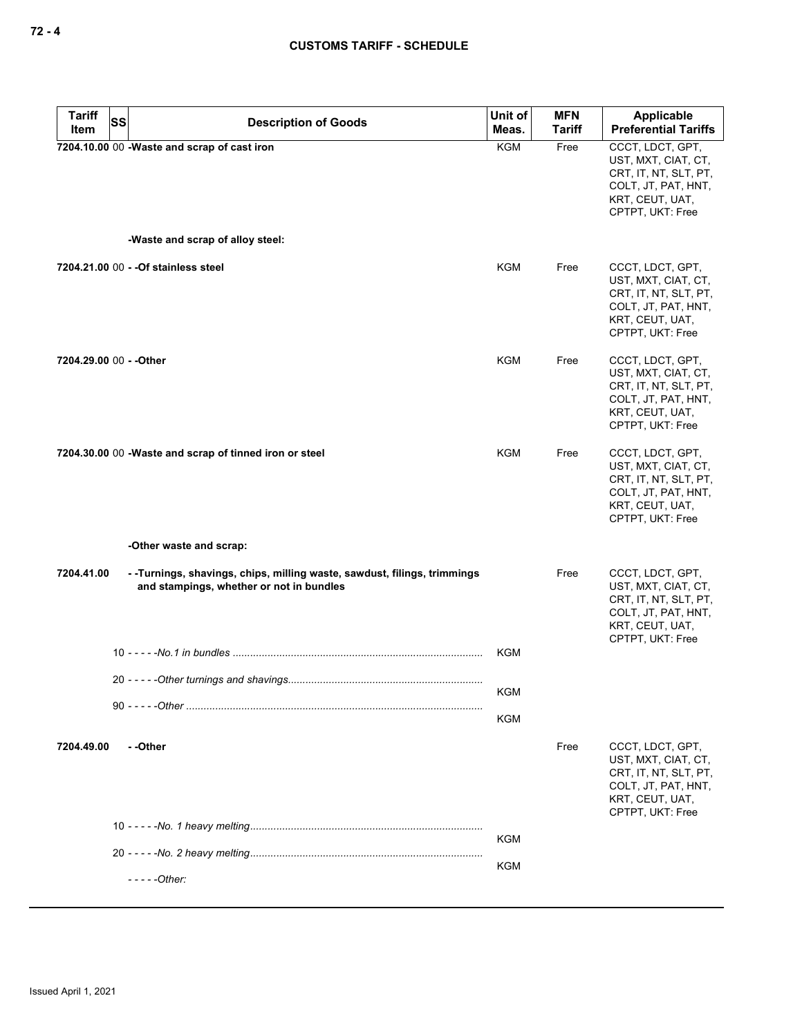| <b>Tariff</b>           | <b>SS</b> | <b>Description of Goods</b>                                                                                           | Unit of    | <b>MFN</b>    | <b>Applicable</b>                                                                                                              |
|-------------------------|-----------|-----------------------------------------------------------------------------------------------------------------------|------------|---------------|--------------------------------------------------------------------------------------------------------------------------------|
| Item                    |           |                                                                                                                       | Meas.      | <b>Tariff</b> | <b>Preferential Tariffs</b>                                                                                                    |
|                         |           | 7204.10.00 00 -Waste and scrap of cast iron<br>-Waste and scrap of alloy steel:                                       | <b>KGM</b> | Free          | CCCT, LDCT, GPT,<br>UST, MXT, CIAT, CT,<br>CRT, IT, NT, SLT, PT,<br>COLT, JT, PAT, HNT,<br>KRT, CEUT, UAT,<br>CPTPT, UKT: Free |
|                         |           |                                                                                                                       |            |               |                                                                                                                                |
|                         |           | 7204.21.00 00 - - Of stainless steel                                                                                  | KGM        | Free          | CCCT, LDCT, GPT,<br>UST, MXT, CIAT, CT,<br>CRT, IT, NT, SLT, PT,<br>COLT, JT, PAT, HNT,<br>KRT, CEUT, UAT,<br>CPTPT, UKT: Free |
| 7204.29.00 00 - - Other |           |                                                                                                                       | KGM        | Free          | CCCT, LDCT, GPT,<br>UST, MXT, CIAT, CT,                                                                                        |
|                         |           |                                                                                                                       |            |               | CRT, IT, NT, SLT, PT,<br>COLT, JT, PAT, HNT,<br>KRT, CEUT, UAT,<br>CPTPT, UKT: Free                                            |
|                         |           | 7204.30.00 00 -Waste and scrap of tinned iron or steel                                                                | <b>KGM</b> | Free          | CCCT, LDCT, GPT,<br>UST, MXT, CIAT, CT,<br>CRT, IT, NT, SLT, PT,<br>COLT, JT, PAT, HNT,<br>KRT, CEUT, UAT,<br>CPTPT, UKT: Free |
|                         |           | -Other waste and scrap:                                                                                               |            |               |                                                                                                                                |
|                         |           |                                                                                                                       |            |               |                                                                                                                                |
| 7204.41.00              |           | - - Turnings, shavings, chips, milling waste, sawdust, filings, trimmings<br>and stampings, whether or not in bundles |            | Free          | CCCT, LDCT, GPT,<br>UST, MXT, CIAT, CT,<br>CRT, IT, NT, SLT, PT,<br>COLT, JT, PAT, HNT,<br>KRT, CEUT, UAT,<br>CPTPT, UKT: Free |
|                         |           |                                                                                                                       | <b>KGM</b> |               |                                                                                                                                |
|                         |           |                                                                                                                       | <b>KGM</b> |               |                                                                                                                                |
|                         |           |                                                                                                                       | KGM        |               |                                                                                                                                |
| 7204.49.00              |           | --Other                                                                                                               |            | Free          | CCCT, LDCT, GPT,                                                                                                               |
|                         |           |                                                                                                                       |            |               | UST, MXT, CIAT, CT,<br>CRT, IT, NT, SLT, PT,<br>COLT, JT, PAT, HNT,<br>KRT, CEUT, UAT,<br>CPTPT, UKT: Free                     |
|                         |           |                                                                                                                       | KGM        |               |                                                                                                                                |
|                         |           |                                                                                                                       | KGM        |               |                                                                                                                                |
|                         |           | - - - - - Other:                                                                                                      |            |               |                                                                                                                                |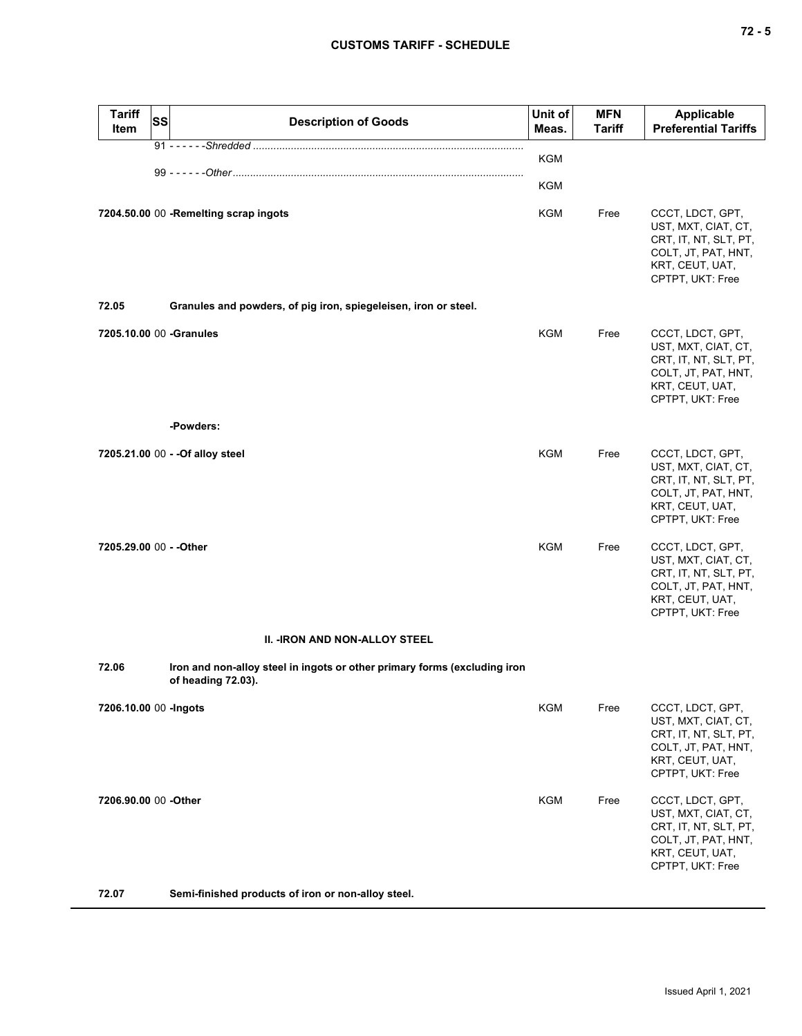| <b>Tariff</b><br><b>Item</b> | <b>SS</b> | <b>Description of Goods</b>                                                                     | Unit of<br>Meas. | <b>MFN</b><br><b>Tariff</b> | Applicable<br><b>Preferential Tariffs</b>                                                                                      |
|------------------------------|-----------|-------------------------------------------------------------------------------------------------|------------------|-----------------------------|--------------------------------------------------------------------------------------------------------------------------------|
|                              |           |                                                                                                 | <b>KGM</b>       |                             |                                                                                                                                |
|                              |           |                                                                                                 | KGM              |                             |                                                                                                                                |
|                              |           | 7204.50.00 00 -Remelting scrap ingots                                                           | KGM              | Free                        | CCCT, LDCT, GPT,<br>UST, MXT, CIAT, CT,<br>CRT, IT, NT, SLT, PT,<br>COLT, JT, PAT, HNT,<br>KRT, CEUT, UAT,<br>CPTPT, UKT: Free |
| 72.05                        |           | Granules and powders, of pig iron, spiegeleisen, iron or steel.                                 |                  |                             |                                                                                                                                |
| 7205.10.00 00 -Granules      |           |                                                                                                 | <b>KGM</b>       | Free                        | CCCT, LDCT, GPT,<br>UST, MXT, CIAT, CT,<br>CRT, IT, NT, SLT, PT,<br>COLT, JT, PAT, HNT,<br>KRT, CEUT, UAT,<br>CPTPT, UKT: Free |
|                              |           | -Powders:                                                                                       |                  |                             |                                                                                                                                |
|                              |           | 7205.21.00 00 - - Of alloy steel                                                                | KGM              | Free                        | CCCT, LDCT, GPT,<br>UST, MXT, CIAT, CT,<br>CRT, IT, NT, SLT, PT,<br>COLT, JT, PAT, HNT,<br>KRT, CEUT, UAT,<br>CPTPT, UKT: Free |
| 7205.29.00 00 - - Other      |           |                                                                                                 | KGM              | Free                        | CCCT, LDCT, GPT,<br>UST, MXT, CIAT, CT,<br>CRT, IT, NT, SLT, PT,<br>COLT, JT, PAT, HNT,<br>KRT, CEUT, UAT,<br>CPTPT, UKT: Free |
|                              |           | <b>II. - IRON AND NON-ALLOY STEEL</b>                                                           |                  |                             |                                                                                                                                |
| 72.06                        |           | Iron and non-alloy steel in ingots or other primary forms (excluding iron<br>of heading 72.03). |                  |                             |                                                                                                                                |
| 7206.10.00 00 - Ingots       |           |                                                                                                 | KGM              | Free                        | CCCT, LDCT, GPT,<br>UST, MXT, CIAT, CT,<br>CRT, IT, NT, SLT, PT,<br>COLT, JT, PAT, HNT,<br>KRT, CEUT, UAT,<br>CPTPT, UKT: Free |
| 7206.90.00 00 -Other         |           |                                                                                                 | KGM              | Free                        | CCCT, LDCT, GPT,<br>UST, MXT, CIAT, CT,<br>CRT, IT, NT, SLT, PT,<br>COLT, JT, PAT, HNT,<br>KRT, CEUT, UAT,<br>CPTPT, UKT: Free |
| 70 A 7                       |           |                                                                                                 |                  |                             |                                                                                                                                |

**72.07 Semi-finished products of iron or non-alloy steel.**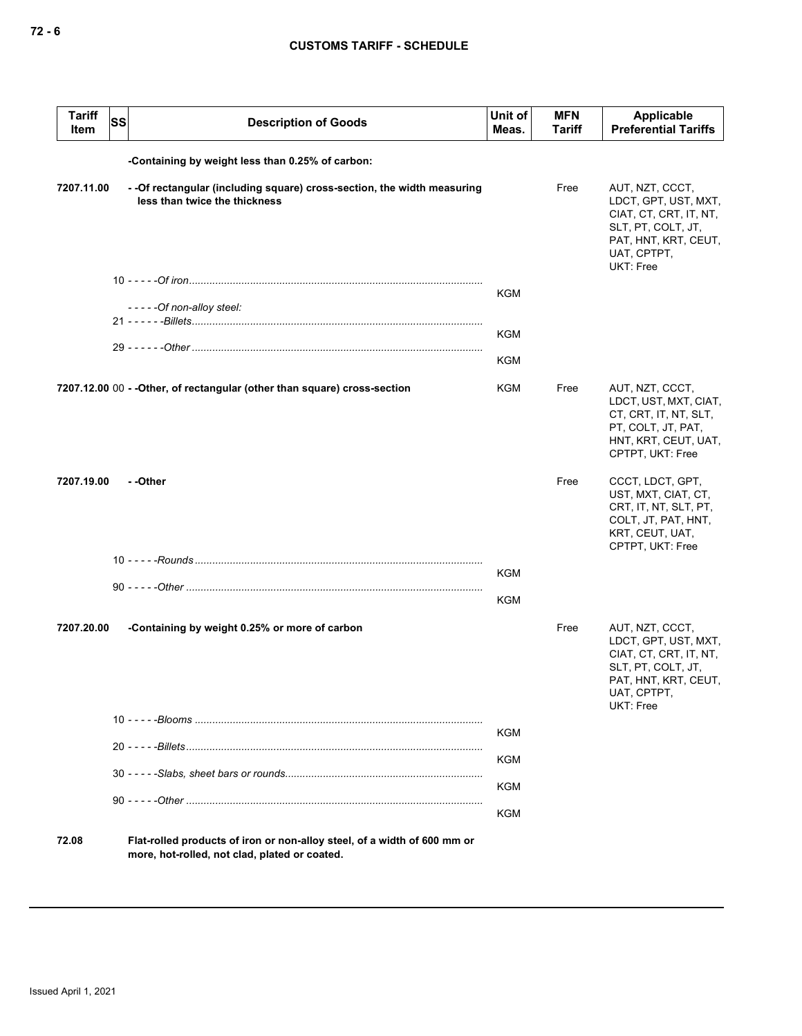| <b>Tariff</b><br>Item | SS                                               | <b>Description of Goods</b>                                                                                               | Unit of<br>Meas. | <b>MFN</b><br>Tariff | Applicable<br><b>Preferential Tariffs</b>                                                                                                   |  |  |  |  |
|-----------------------|--------------------------------------------------|---------------------------------------------------------------------------------------------------------------------------|------------------|----------------------|---------------------------------------------------------------------------------------------------------------------------------------------|--|--|--|--|
|                       | -Containing by weight less than 0.25% of carbon: |                                                                                                                           |                  |                      |                                                                                                                                             |  |  |  |  |
| 7207.11.00            |                                                  | - - Of rectangular (including square) cross-section, the width measuring<br>less than twice the thickness                 |                  | Free                 | AUT, NZT, CCCT,<br>LDCT, GPT, UST, MXT,<br>CIAT, CT, CRT, IT, NT,<br>SLT, PT, COLT, JT,<br>PAT, HNT, KRT, CEUT,<br>UAT, CPTPT,<br>UKT: Free |  |  |  |  |
|                       |                                                  |                                                                                                                           | <b>KGM</b>       |                      |                                                                                                                                             |  |  |  |  |
|                       |                                                  | - - - - - Of non-alloy steel:                                                                                             |                  |                      |                                                                                                                                             |  |  |  |  |
|                       |                                                  |                                                                                                                           | <b>KGM</b>       |                      |                                                                                                                                             |  |  |  |  |
|                       |                                                  |                                                                                                                           | <b>KGM</b>       |                      |                                                                                                                                             |  |  |  |  |
|                       |                                                  | 7207.12.00 00 - - Other, of rectangular (other than square) cross-section                                                 | KGM              | Free                 | AUT, NZT, CCCT,<br>LDCT, UST, MXT, CIAT,<br>CT, CRT, IT, NT, SLT,<br>PT, COLT, JT, PAT,<br>HNT, KRT, CEUT, UAT,<br>CPTPT, UKT: Free         |  |  |  |  |
| 7207.19.00            |                                                  | - -Other                                                                                                                  |                  | Free                 | CCCT, LDCT, GPT,<br>UST, MXT, CIAT, CT,<br>CRT, IT, NT, SLT, PT,<br>COLT, JT, PAT, HNT,<br>KRT, CEUT, UAT,<br>CPTPT, UKT: Free              |  |  |  |  |
|                       |                                                  |                                                                                                                           | <b>KGM</b>       |                      |                                                                                                                                             |  |  |  |  |
|                       |                                                  |                                                                                                                           | <b>KGM</b>       |                      |                                                                                                                                             |  |  |  |  |
| 7207.20.00            |                                                  | -Containing by weight 0.25% or more of carbon                                                                             |                  | Free                 | AUT, NZT, CCCT,<br>LDCT, GPT, UST, MXT,<br>CIAT, CT, CRT, IT, NT,<br>SLT, PT, COLT, JT,<br>PAT, HNT, KRT, CEUT,<br>UAT, CPTPT,<br>UKT: Free |  |  |  |  |
|                       |                                                  |                                                                                                                           | KGM              |                      |                                                                                                                                             |  |  |  |  |
|                       |                                                  |                                                                                                                           | KGM              |                      |                                                                                                                                             |  |  |  |  |
|                       |                                                  |                                                                                                                           | <b>KGM</b>       |                      |                                                                                                                                             |  |  |  |  |
|                       |                                                  |                                                                                                                           |                  |                      |                                                                                                                                             |  |  |  |  |
|                       |                                                  |                                                                                                                           | <b>KGM</b>       |                      |                                                                                                                                             |  |  |  |  |
| 72.08                 |                                                  | Flat-rolled products of iron or non-alloy steel, of a width of 600 mm or<br>more, hot-rolled, not clad, plated or coated. |                  |                      |                                                                                                                                             |  |  |  |  |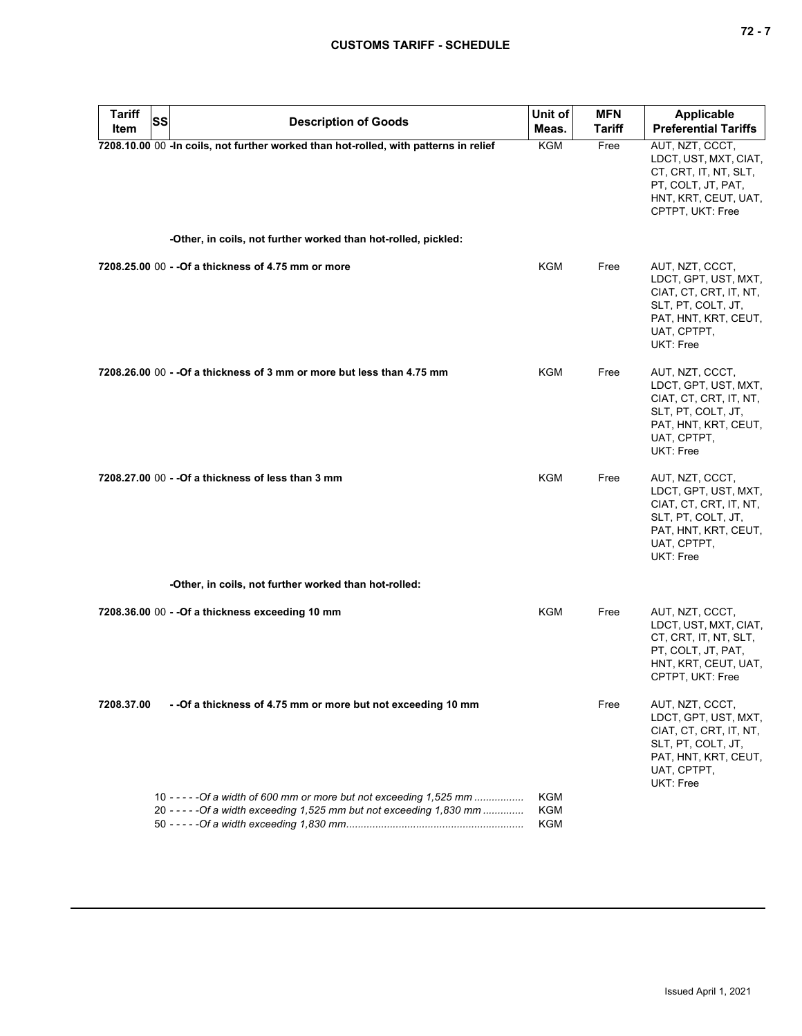| <b>Tariff</b> | <b>SS</b> | <b>Description of Goods</b>                                                                                                                   | Unit of                  | <b>MFN</b>    | <b>Applicable</b>                                                                                                                           |
|---------------|-----------|-----------------------------------------------------------------------------------------------------------------------------------------------|--------------------------|---------------|---------------------------------------------------------------------------------------------------------------------------------------------|
| Item          |           |                                                                                                                                               | Meas.                    | <b>Tariff</b> | <b>Preferential Tariffs</b>                                                                                                                 |
|               |           | 7208.10.00 00 -In coils, not further worked than hot-rolled, with patterns in relief                                                          | <b>KGM</b>               | Free          | AUT, NZT, CCCT,<br>LDCT, UST, MXT, CIAT,<br>CT, CRT, IT, NT, SLT,<br>PT, COLT, JT, PAT,<br>HNT, KRT, CEUT, UAT,<br>CPTPT, UKT: Free         |
|               |           | -Other, in coils, not further worked than hot-rolled, pickled:                                                                                |                          |               |                                                                                                                                             |
|               |           | 7208,25,00 00 - - Of a thickness of 4.75 mm or more                                                                                           | <b>KGM</b>               | Free          | AUT, NZT, CCCT,<br>LDCT, GPT, UST, MXT,<br>CIAT, CT, CRT, IT, NT,<br>SLT, PT, COLT, JT,<br>PAT, HNT, KRT, CEUT,<br>UAT, CPTPT,<br>UKT: Free |
|               |           | 7208.26.00 00 - -Of a thickness of 3 mm or more but less than 4.75 mm                                                                         | <b>KGM</b>               | Free          | AUT, NZT, CCCT,<br>LDCT, GPT, UST, MXT,<br>CIAT, CT, CRT, IT, NT,<br>SLT, PT, COLT, JT,<br>PAT, HNT, KRT, CEUT,<br>UAT, CPTPT,<br>UKT: Free |
|               |           | 7208.27.00 00 - - Of a thickness of less than 3 mm                                                                                            | <b>KGM</b>               | Free          | AUT, NZT, CCCT,<br>LDCT, GPT, UST, MXT,<br>CIAT, CT, CRT, IT, NT,<br>SLT, PT, COLT, JT,<br>PAT, HNT, KRT, CEUT,<br>UAT, CPTPT,<br>UKT: Free |
|               |           | -Other, in coils, not further worked than hot-rolled:                                                                                         |                          |               |                                                                                                                                             |
|               |           | 7208.36.00 00 - - Of a thickness exceeding 10 mm                                                                                              | <b>KGM</b>               | Free          | AUT, NZT, CCCT,<br>LDCT, UST, MXT, CIAT,<br>CT, CRT, IT, NT, SLT,<br>PT, COLT, JT, PAT,<br>HNT, KRT, CEUT, UAT,<br>CPTPT, UKT: Free         |
| 7208.37.00    |           | - - Of a thickness of 4.75 mm or more but not exceeding 10 mm                                                                                 |                          | Free          | AUT, NZT, CCCT,<br>LDCT, GPT, UST, MXT,<br>CIAT, CT, CRT, IT, NT,<br>SLT, PT, COLT, JT,<br>PAT, HNT, KRT, CEUT,<br>UAT, CPTPT,<br>UKT: Free |
|               |           | 10 - - - - - Of a width of 600 mm or more but not exceeding 1,525 mm<br>20 - - - - - Of a width exceeding 1,525 mm but not exceeding 1,830 mm | KGM<br><b>KGM</b><br>KGM |               |                                                                                                                                             |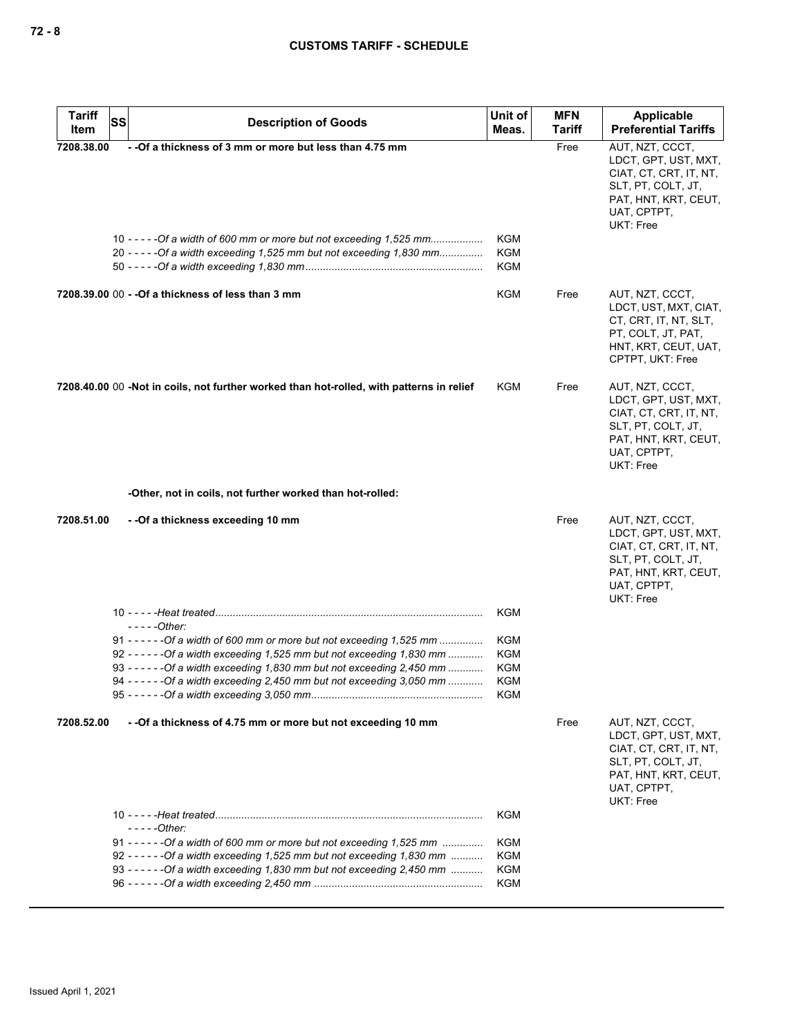| <b>Tariff</b><br><b>SS</b><br>Item | <b>Description of Goods</b>                                                                                                                                                                            | Unit of<br>Meas.                                     | <b>MFN</b><br>Tariff | Applicable<br><b>Preferential Tariffs</b>                                                                                                          |
|------------------------------------|--------------------------------------------------------------------------------------------------------------------------------------------------------------------------------------------------------|------------------------------------------------------|----------------------|----------------------------------------------------------------------------------------------------------------------------------------------------|
| 7208.38.00                         | - -Of a thickness of 3 mm or more but less than 4.75 mm<br>10 - - - - - Of a width of 600 mm or more but not exceeding 1,525 mm<br>20 ----- - Of a width exceeding 1,525 mm but not exceeding 1,830 mm | KGM<br><b>KGM</b><br><b>KGM</b>                      | Free                 | AUT, NZT, CCCT,<br>LDCT, GPT, UST, MXT,<br>CIAT, CT, CRT, IT, NT,<br>SLT, PT, COLT, JT,<br>PAT, HNT, KRT, CEUT,<br>UAT, CPTPT,<br><b>UKT: Free</b> |
|                                    | 7208.39.00 00 - - Of a thickness of less than 3 mm                                                                                                                                                     | <b>KGM</b>                                           | Free                 | AUT, NZT, CCCT,<br>LDCT, UST, MXT, CIAT,<br>CT, CRT, IT, NT, SLT,<br>PT, COLT, JT, PAT,<br>HNT, KRT, CEUT, UAT,<br>CPTPT, UKT: Free                |
|                                    | 7208.40.00 00 -Not in coils, not further worked than hot-rolled, with patterns in relief                                                                                                               | KGM                                                  | Free                 | AUT, NZT, CCCT,<br>LDCT, GPT, UST, MXT,<br>CIAT, CT, CRT, IT, NT,<br>SLT, PT, COLT, JT,<br>PAT, HNT, KRT, CEUT,<br>UAT, CPTPT,<br><b>UKT: Free</b> |
|                                    | -Other, not in coils, not further worked than hot-rolled:                                                                                                                                              |                                                      |                      |                                                                                                                                                    |
| 7208.51.00                         | - - Of a thickness exceeding 10 mm                                                                                                                                                                     |                                                      | Free                 | AUT, NZT, CCCT,<br>LDCT, GPT, UST, MXT,<br>CIAT, CT, CRT, IT, NT,<br>SLT, PT, COLT, JT,<br>PAT, HNT, KRT, CEUT,<br>UAT, CPTPT,<br>UKT: Free        |
|                                    | $---Other:$                                                                                                                                                                                            | <b>KGM</b>                                           |                      |                                                                                                                                                    |
|                                    | 92 ----- - - - Of a width exceeding 1,525 mm but not exceeding 1,830 mm<br>94 ----- - - - Of a width exceeding 2,450 mm but not exceeding 3,050 mm                                                     | <b>KGM</b><br><b>KGM</b><br><b>KGM</b><br>KGM<br>KGM |                      |                                                                                                                                                    |
| 7208.52.00                         | - - Of a thickness of 4.75 mm or more but not exceeding 10 mm                                                                                                                                          |                                                      | Free                 | AUT, NZT, CCCT,<br>LDCT, GPT, UST, MXT,<br>CIAT, CT, CRT, IT, NT,<br>SLT, PT, COLT, JT,<br>PAT, HNT, KRT, CEUT,<br>UAT, CPTPT,<br><b>UKT: Free</b> |
|                                    | - - - - -Other:                                                                                                                                                                                        | <b>KGM</b>                                           |                      |                                                                                                                                                    |
|                                    | 91 ----- - - - Of a width of 600 mm or more but not exceeding $1.525$ mm<br>92 ----- - - - - Of a width exceeding 1,525 mm but not exceeding 1,830 mm                                                  | <b>KGM</b><br><b>KGM</b><br><b>KGM</b><br>KGM        |                      |                                                                                                                                                    |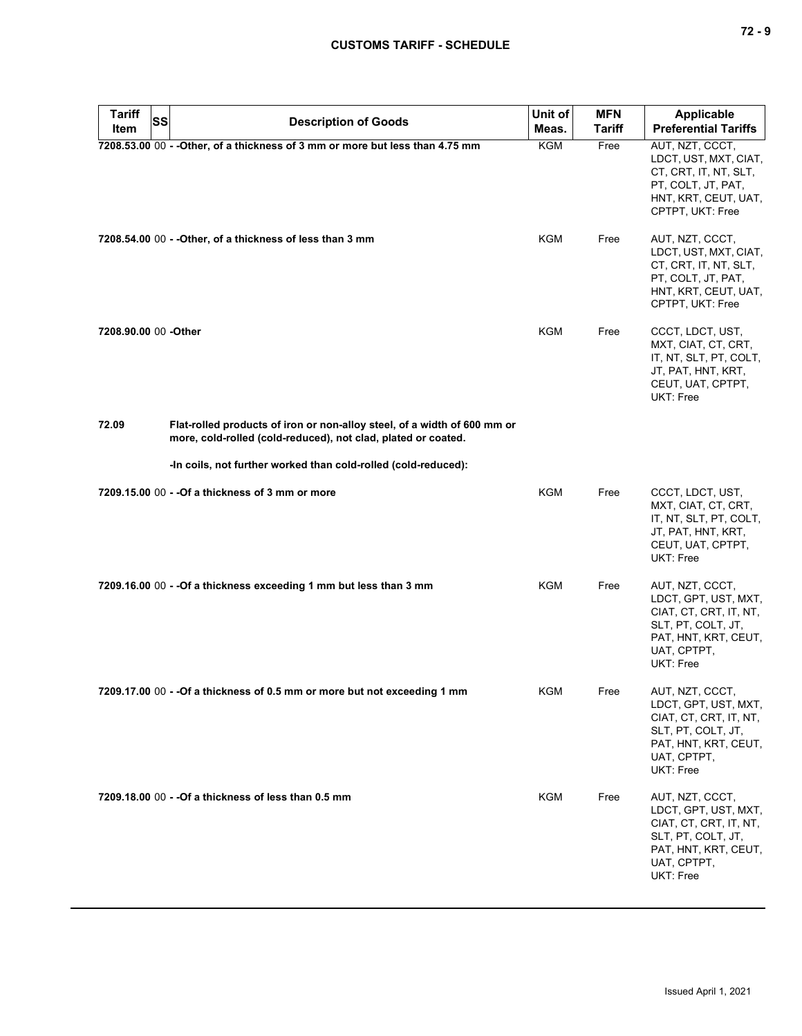| <b>Tariff</b><br><b>SS</b> | <b>Description of Goods</b>                                                                                                               | Unit of    | <b>MFN</b>    | <b>Applicable</b>                                                                                                                                  |
|----------------------------|-------------------------------------------------------------------------------------------------------------------------------------------|------------|---------------|----------------------------------------------------------------------------------------------------------------------------------------------------|
| Item                       |                                                                                                                                           | Meas.      | <b>Tariff</b> | <b>Preferential Tariffs</b>                                                                                                                        |
|                            | 7208.53.00 00 - - Other, of a thickness of 3 mm or more but less than 4.75 mm                                                             | <b>KGM</b> | Free          | AUT, NZT, CCCT,<br>LDCT, UST, MXT, CIAT,<br>CT, CRT, IT, NT, SLT,<br>PT, COLT, JT, PAT,<br>HNT, KRT, CEUT, UAT,<br>CPTPT, UKT: Free                |
|                            | 7208.54.00 00 - - Other, of a thickness of less than 3 mm                                                                                 | KGM        | Free          | AUT, NZT, CCCT,<br>LDCT, UST, MXT, CIAT,<br>CT, CRT, IT, NT, SLT,<br>PT, COLT, JT, PAT,<br>HNT, KRT, CEUT, UAT,<br>CPTPT, UKT: Free                |
| 7208.90.00 00 -Other       |                                                                                                                                           | <b>KGM</b> | Free          | CCCT, LDCT, UST,<br>MXT, CIAT, CT, CRT,<br>IT, NT, SLT, PT, COLT,<br>JT, PAT, HNT, KRT,<br>CEUT, UAT, CPTPT,<br>UKT: Free                          |
| 72.09                      | Flat-rolled products of iron or non-alloy steel, of a width of 600 mm or<br>more, cold-rolled (cold-reduced), not clad, plated or coated. |            |               |                                                                                                                                                    |
|                            | -In coils, not further worked than cold-rolled (cold-reduced):                                                                            |            |               |                                                                                                                                                    |
|                            | 7209.15.00 00 - - Of a thickness of 3 mm or more                                                                                          | KGM        | Free          | CCCT, LDCT, UST,<br>MXT, CIAT, CT, CRT,<br>IT, NT, SLT, PT, COLT,<br>JT, PAT, HNT, KRT,<br>CEUT, UAT, CPTPT,<br>UKT: Free                          |
|                            | 7209.16.00 00 - - Of a thickness exceeding 1 mm but less than 3 mm                                                                        | KGM        | Free          | AUT, NZT, CCCT,<br>LDCT, GPT, UST, MXT,<br>CIAT, CT, CRT, IT, NT,<br>SLT, PT, COLT, JT,<br>PAT, HNT, KRT, CEUT,<br>UAT, CPTPT,<br>UKT: Free        |
|                            | 7209.17.00 00 - - Of a thickness of 0.5 mm or more but not exceeding 1 mm                                                                 | KGM        | Free          | AUT, NZT, CCCT,<br>LDCT, GPT, UST, MXT,<br>CIAT, CT, CRT, IT, NT,<br>SLT, PT, COLT, JT,<br>PAT, HNT, KRT, CEUT,<br>UAT, CPTPT,<br><b>UKT: Free</b> |
|                            | 7209.18.00 00 - - Of a thickness of less than 0.5 mm                                                                                      | <b>KGM</b> | Free          | AUT, NZT, CCCT,<br>LDCT, GPT, UST, MXT,<br>CIAT, CT, CRT, IT, NT,<br>SLT, PT, COLT, JT,<br>PAT, HNT, KRT, CEUT,<br>UAT, CPTPT,<br>UKT: Free        |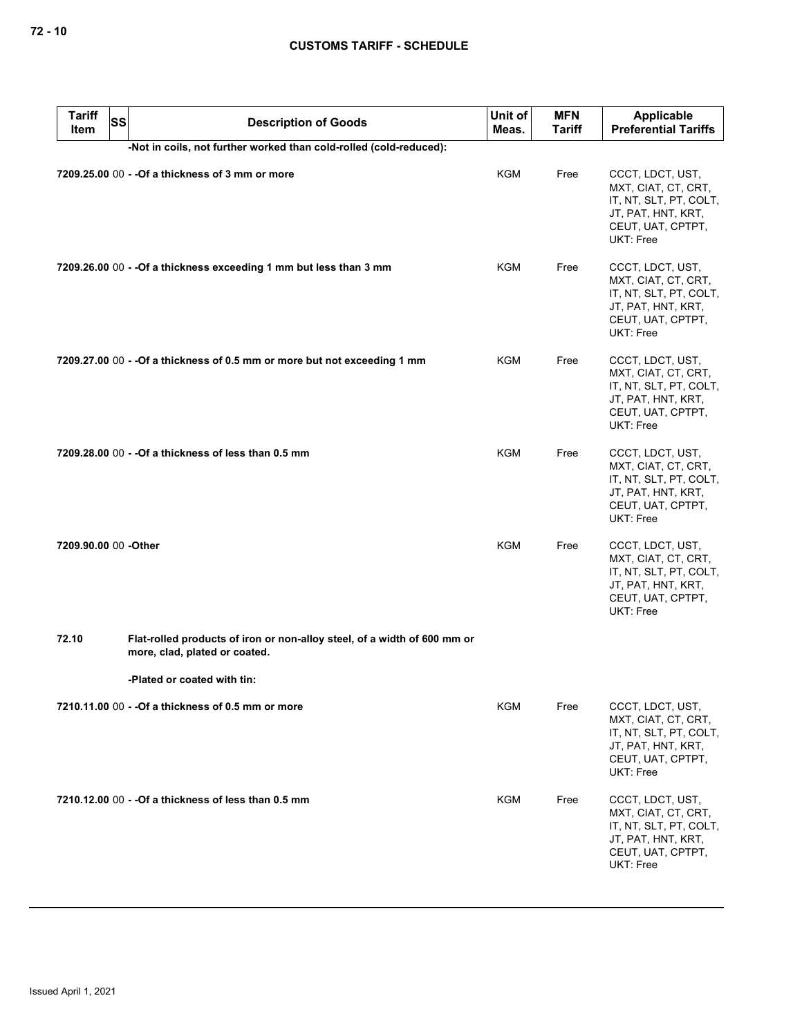| <b>Tariff</b><br>Item | <b>SS</b><br><b>Description of Goods</b>                                                                  | Unit of<br>Meas. | <b>MFN</b><br>Tariff | Applicable<br><b>Preferential Tariffs</b>                                                                                 |
|-----------------------|-----------------------------------------------------------------------------------------------------------|------------------|----------------------|---------------------------------------------------------------------------------------------------------------------------|
|                       | -Not in coils, not further worked than cold-rolled (cold-reduced):                                        |                  |                      |                                                                                                                           |
|                       | 7209.25.00 00 - - Of a thickness of 3 mm or more                                                          | KGM              | Free                 | CCCT, LDCT, UST,<br>MXT, CIAT, CT, CRT,<br>IT, NT, SLT, PT, COLT,<br>JT, PAT, HNT, KRT,<br>CEUT, UAT, CPTPT,<br>UKT: Free |
|                       | 7209.26.00 00 - - Of a thickness exceeding 1 mm but less than 3 mm                                        | <b>KGM</b>       | Free                 | CCCT, LDCT, UST,<br>MXT, CIAT, CT, CRT,<br>IT, NT, SLT, PT, COLT,<br>JT, PAT, HNT, KRT,<br>CEUT, UAT, CPTPT,<br>UKT: Free |
|                       | 7209.27.00 00 - - Of a thickness of 0.5 mm or more but not exceeding 1 mm                                 | <b>KGM</b>       | Free                 | CCCT, LDCT, UST,<br>MXT, CIAT, CT, CRT,<br>IT, NT, SLT, PT, COLT,<br>JT, PAT, HNT, KRT,<br>CEUT, UAT, CPTPT,<br>UKT: Free |
|                       | 7209.28.00 00 - - Of a thickness of less than 0.5 mm                                                      | KGM              | Free                 | CCCT, LDCT, UST,<br>MXT, CIAT, CT, CRT,<br>IT, NT, SLT, PT, COLT,<br>JT, PAT, HNT, KRT,<br>CEUT, UAT, CPTPT,<br>UKT: Free |
| 7209.90.00 00 -Other  |                                                                                                           | <b>KGM</b>       | Free                 | CCCT, LDCT, UST,<br>MXT, CIAT, CT, CRT,<br>IT, NT, SLT, PT, COLT,<br>JT, PAT, HNT, KRT,<br>CEUT, UAT, CPTPT,<br>UKT: Free |
| 72.10                 | Flat-rolled products of iron or non-alloy steel, of a width of 600 mm or<br>more, clad, plated or coated. |                  |                      |                                                                                                                           |
|                       | -Plated or coated with tin:                                                                               |                  |                      |                                                                                                                           |
|                       | 7210.11.00 00 - - Of a thickness of 0.5 mm or more                                                        | KGM              | Free                 | CCCT, LDCT, UST,<br>MXT, CIAT, CT, CRT,<br>IT, NT, SLT, PT, COLT,<br>JT, PAT, HNT, KRT,<br>CEUT, UAT, CPTPT,<br>UKT: Free |
|                       | 7210.12.00 00 - - Of a thickness of less than 0.5 mm                                                      | KGM              | Free                 | CCCT, LDCT, UST,<br>MXT, CIAT, CT, CRT,<br>IT, NT, SLT, PT, COLT,<br>JT, PAT, HNT, KRT,<br>CEUT, UAT, CPTPT,<br>UKT: Free |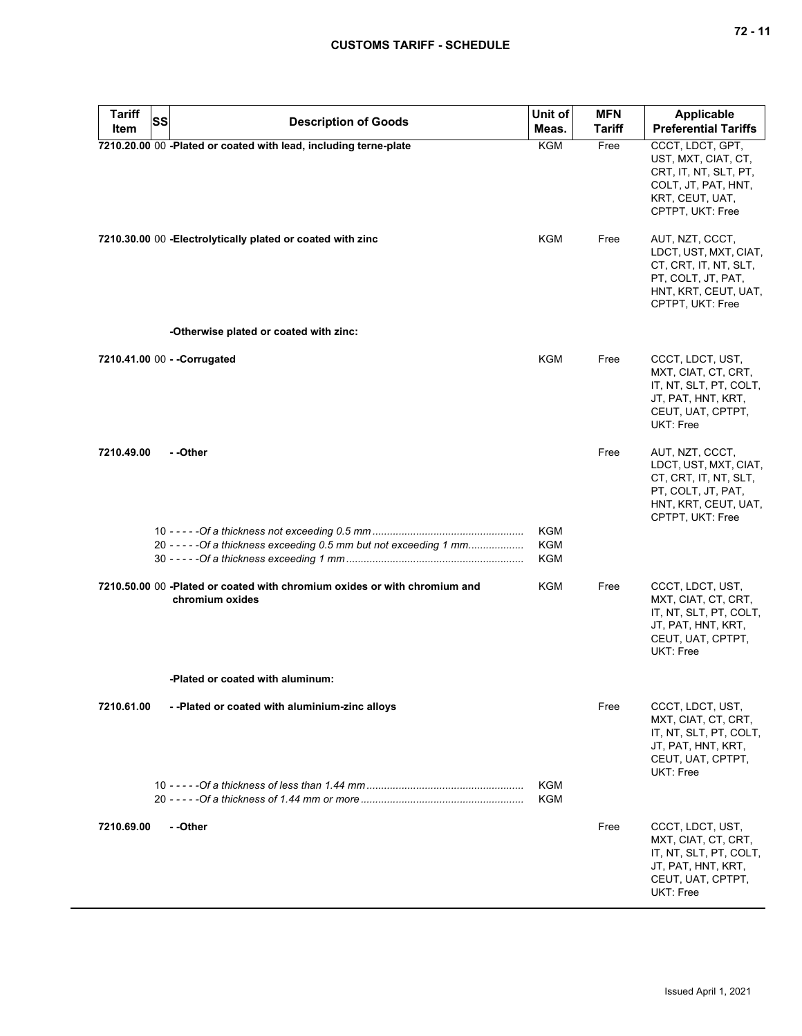| <b>Tariff</b> | SS<br><b>Description of Goods</b>                                                            | Unit of                                | <b>MFN</b> | Applicable                                                                                                                          |
|---------------|----------------------------------------------------------------------------------------------|----------------------------------------|------------|-------------------------------------------------------------------------------------------------------------------------------------|
| Item          |                                                                                              | Meas.                                  | Tariff     | <b>Preferential Tariffs</b>                                                                                                         |
|               | 7210.20.00 00 -Plated or coated with lead, including terne-plate                             | <b>KGM</b>                             | Free       | CCCT, LDCT, GPT,<br>UST, MXT, CIAT, CT,<br>CRT, IT, NT, SLT, PT,<br>COLT, JT, PAT, HNT,<br>KRT, CEUT, UAT,<br>CPTPT, UKT: Free      |
|               | 7210.30.00 00 - Electrolytically plated or coated with zinc                                  | KGM                                    | Free       | AUT, NZT, CCCT,<br>LDCT, UST, MXT, CIAT,<br>CT, CRT, IT, NT, SLT,<br>PT, COLT, JT, PAT,<br>HNT, KRT, CEUT, UAT,<br>CPTPT, UKT: Free |
|               | -Otherwise plated or coated with zinc:                                                       |                                        |            |                                                                                                                                     |
|               | 7210.41.00 00 - - Corrugated                                                                 | <b>KGM</b>                             | Free       | CCCT, LDCT, UST,<br>MXT, CIAT, CT, CRT,<br>IT, NT, SLT, PT, COLT,<br>JT, PAT, HNT, KRT,<br>CEUT, UAT, CPTPT,<br>UKT: Free           |
| 7210.49.00    | - -Other                                                                                     |                                        | Free       | AUT, NZT, CCCT,<br>LDCT, UST, MXT, CIAT,<br>CT, CRT, IT, NT, SLT,<br>PT, COLT, JT, PAT,<br>HNT, KRT, CEUT, UAT,<br>CPTPT, UKT: Free |
|               | 20 - - - - - Of a thickness exceeding 0.5 mm but not exceeding 1 mm                          | <b>KGM</b><br><b>KGM</b><br><b>KGM</b> |            |                                                                                                                                     |
|               | 7210.50.00 00 -Plated or coated with chromium oxides or with chromium and<br>chromium oxides | <b>KGM</b>                             | Free       | CCCT, LDCT, UST,<br>MXT, CIAT, CT, CRT,<br>IT, NT, SLT, PT, COLT,<br>JT, PAT, HNT, KRT,<br>CEUT, UAT, CPTPT,<br>UKT: Free           |
|               | -Plated or coated with aluminum:                                                             |                                        |            |                                                                                                                                     |
| 7210.61.00    | --Plated or coated with aluminium-zinc alloys                                                |                                        | Free       | CCCT, LDCT, UST,<br>MXT, CIAT, CT, CRT,<br>IT, NT, SLT, PT, COLT,<br>JT, PAT, HNT, KRT,<br>CEUT, UAT, CPTPT,<br>UKT: Free           |
|               |                                                                                              | KGM<br>KGM                             |            |                                                                                                                                     |
| 7210.69.00    | - -Other                                                                                     |                                        | Free       | CCCT, LDCT, UST,<br>MXT, CIAT, CT, CRT,<br>IT, NT, SLT, PT, COLT,<br>JT, PAT, HNT, KRT,<br>CEUT, UAT, CPTPT,<br>UKT: Free           |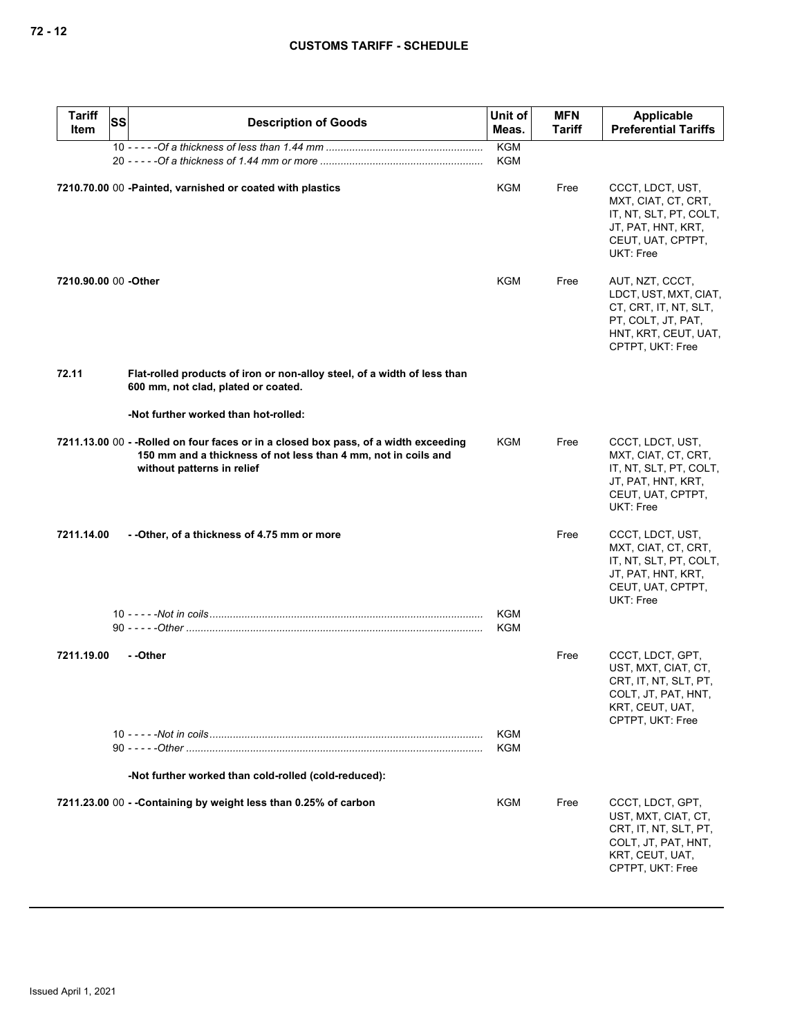| <b>Tariff</b><br>ltem | <b>SS</b><br><b>Description of Goods</b>                                                                                                                                            | Unit of<br>Meas.         | <b>MFN</b><br><b>Tariff</b> | Applicable<br><b>Preferential Tariffs</b>                                                                                           |
|-----------------------|-------------------------------------------------------------------------------------------------------------------------------------------------------------------------------------|--------------------------|-----------------------------|-------------------------------------------------------------------------------------------------------------------------------------|
|                       |                                                                                                                                                                                     | <b>KGM</b>               |                             |                                                                                                                                     |
|                       |                                                                                                                                                                                     | <b>KGM</b>               |                             |                                                                                                                                     |
|                       | 7210.70.00 00 -Painted, varnished or coated with plastics                                                                                                                           | KGM                      | Free                        | CCCT, LDCT, UST,<br>MXT, CIAT, CT, CRT,<br>IT, NT, SLT, PT, COLT,<br>JT, PAT, HNT, KRT,<br>CEUT, UAT, CPTPT,<br>UKT: Free           |
| 7210.90.00 00 - Other |                                                                                                                                                                                     | KGM                      | Free                        | AUT, NZT, CCCT,<br>LDCT, UST, MXT, CIAT,<br>CT, CRT, IT, NT, SLT,<br>PT, COLT, JT, PAT,<br>HNT, KRT, CEUT, UAT,<br>CPTPT, UKT: Free |
| 72.11                 | Flat-rolled products of iron or non-alloy steel, of a width of less than<br>600 mm, not clad, plated or coated.                                                                     |                          |                             |                                                                                                                                     |
|                       | -Not further worked than hot-rolled:                                                                                                                                                |                          |                             |                                                                                                                                     |
|                       | 7211.13.00 00 - -Rolled on four faces or in a closed box pass, of a width exceeding<br>150 mm and a thickness of not less than 4 mm, not in coils and<br>without patterns in relief | KGM                      | Free                        | CCCT, LDCT, UST,<br>MXT, CIAT, CT, CRT,<br>IT, NT, SLT, PT, COLT,<br>JT, PAT, HNT, KRT,<br>CEUT, UAT, CPTPT,<br>UKT: Free           |
| 7211.14.00            | --Other, of a thickness of 4.75 mm or more                                                                                                                                          |                          | Free                        | CCCT, LDCT, UST,<br>MXT, CIAT, CT, CRT,<br>IT, NT, SLT, PT, COLT,<br>JT, PAT, HNT, KRT,<br>CEUT, UAT, CPTPT,<br>UKT: Free           |
|                       |                                                                                                                                                                                     | <b>KGM</b><br><b>KGM</b> |                             |                                                                                                                                     |
| 7211.19.00            | --Other                                                                                                                                                                             |                          | Free                        | CCCT, LDCT, GPT,<br>UST, MXT, CIAT, CT,<br>CRT, IT, NT, SLT, PT,<br>COLT, JT, PAT, HNT,<br>KRT, CEUT, UAT,<br>CPTPT, UKT: Free      |
|                       |                                                                                                                                                                                     | <b>KGM</b><br><b>KGM</b> |                             |                                                                                                                                     |
|                       | -Not further worked than cold-rolled (cold-reduced):                                                                                                                                |                          |                             |                                                                                                                                     |
|                       | 7211.23.00 00 - - Containing by weight less than 0.25% of carbon                                                                                                                    | KGM                      | Free                        | CCCT, LDCT, GPT,<br>UST, MXT, CIAT, CT,<br>CRT, IT, NT, SLT, PT,<br>COLT, JT, PAT, HNT,<br>KRT, CEUT, UAT,<br>CPTPT, UKT: Free      |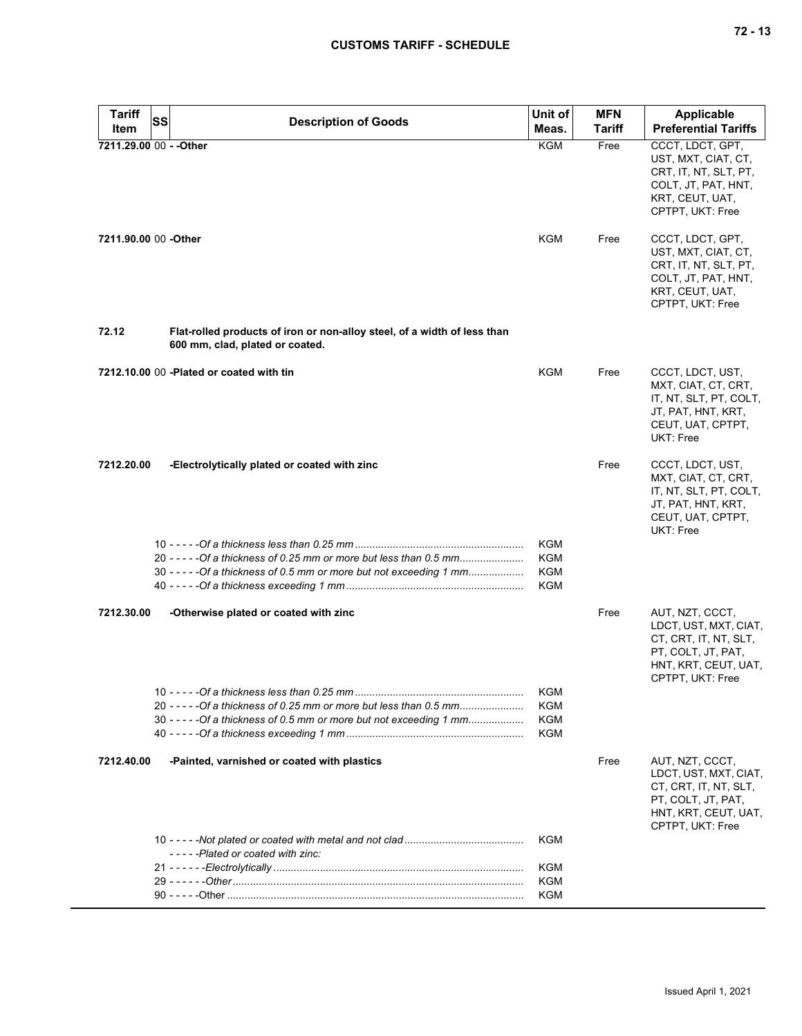| <b>Tariff</b>           | SS<br><b>Description of Goods</b>                                                                                                                              | Unit of                                       | <b>MFN</b>    | <b>Applicable</b>                                                                                                                   |
|-------------------------|----------------------------------------------------------------------------------------------------------------------------------------------------------------|-----------------------------------------------|---------------|-------------------------------------------------------------------------------------------------------------------------------------|
| Item                    |                                                                                                                                                                | Meas.                                         | <b>Tariff</b> | <b>Preferential Tariffs</b>                                                                                                         |
| 7211.29.00 00 - - Other |                                                                                                                                                                | <b>KGM</b>                                    | Free          | CCCT, LDCT, GPT,<br>UST, MXT, CIAT, CT,<br>CRT, IT, NT, SLT, PT,<br>COLT, JT, PAT, HNT,<br>KRT, CEUT, UAT,<br>CPTPT, UKT: Free      |
| 7211.90.00 00 -Other    |                                                                                                                                                                | KGM                                           | Free          | CCCT, LDCT, GPT,<br>UST, MXT, CIAT, CT,<br>CRT, IT, NT, SLT, PT,<br>COLT, JT, PAT, HNT,<br>KRT, CEUT, UAT,<br>CPTPT, UKT: Free      |
| 72.12                   | Flat-rolled products of iron or non-alloy steel, of a width of less than<br>600 mm, clad, plated or coated.                                                    |                                               |               |                                                                                                                                     |
|                         | 7212.10.00 00 -Plated or coated with tin                                                                                                                       | <b>KGM</b>                                    | Free          | CCCT, LDCT, UST,<br>MXT, CIAT, CT, CRT,<br>IT, NT, SLT, PT, COLT,<br>JT, PAT, HNT, KRT,<br>CEUT, UAT, CPTPT,<br>UKT: Free           |
| 7212.20.00              | -Electrolytically plated or coated with zinc                                                                                                                   |                                               | Free          | CCCT, LDCT, UST,<br>MXT, CIAT, CT, CRT,<br>IT, NT, SLT, PT, COLT,<br>JT, PAT, HNT, KRT,<br>CEUT, UAT, CPTPT,<br>UKT: Free           |
|                         | 20 - - - - - Of a thickness of 0.25 mm or more but less than 0.5 mm<br>30 - - - - - Of a thickness of 0.5 mm or more but not exceeding 1 mm                    | KGM<br>KGM<br>KGM<br>KGM                      |               |                                                                                                                                     |
| 7212.30.00              | -Otherwise plated or coated with zinc                                                                                                                          |                                               | Free          | AUT, NZT, CCCT,<br>LDCT, UST, MXT, CIAT,<br>CT, CRT, IT, NT, SLT,<br>PT, COLT, JT, PAT,<br>HNT, KRT, CEUT, UAT,<br>CPTPT, UKT: Free |
|                         | 10 <sup>1</sup><br>20 - - - - - Of a thickness of 0.25 mm or more but less than 0.5 mm<br>30 - - - - - Of a thickness of 0.5 mm or more but not exceeding 1 mm | <b>KGM</b><br>KGM<br><b>KGM</b><br><b>KGM</b> |               |                                                                                                                                     |
| 7212.40.00              | -Painted, varnished or coated with plastics                                                                                                                    |                                               | Free          | AUT, NZT, CCCT,<br>LDCT, UST, MXT, CIAT,<br>CT, CRT, IT, NT, SLT,<br>PT, COLT, JT, PAT,<br>HNT, KRT, CEUT, UAT,<br>CPTPT, UKT: Free |
|                         |                                                                                                                                                                | KGM                                           |               |                                                                                                                                     |
|                         | -----Plated or coated with zinc:                                                                                                                               | <b>KGM</b>                                    |               |                                                                                                                                     |
|                         |                                                                                                                                                                | KGM                                           |               |                                                                                                                                     |
|                         |                                                                                                                                                                | <b>KGM</b>                                    |               |                                                                                                                                     |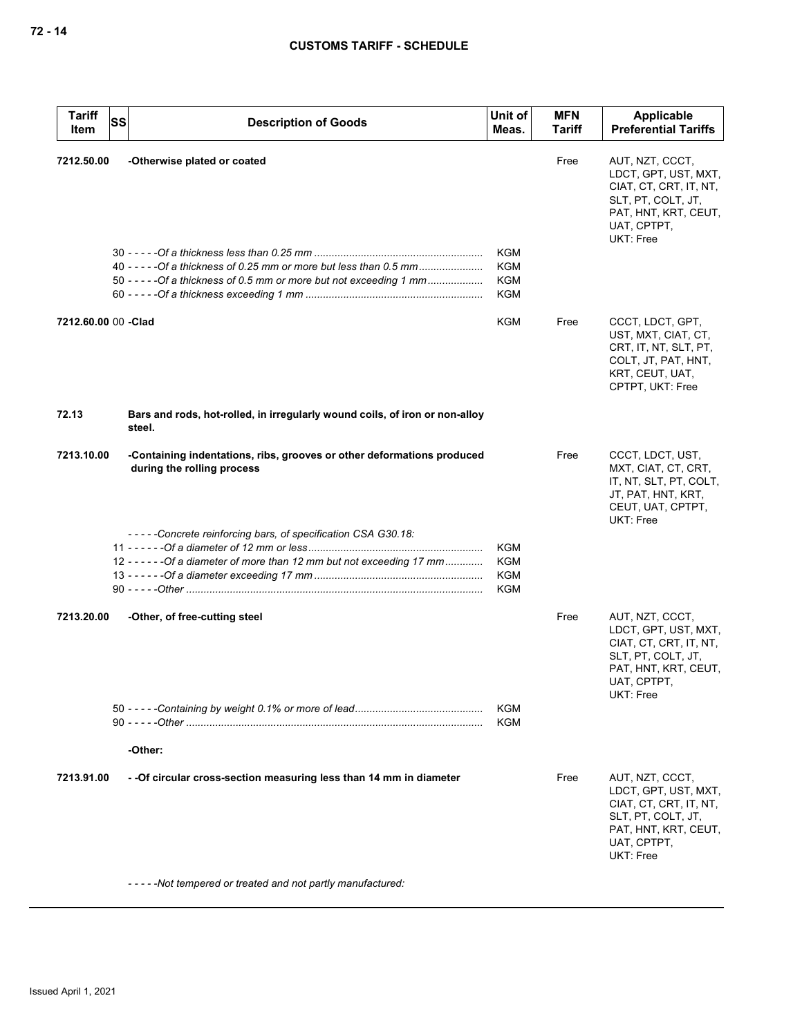| <b>Tariff</b><br>Item | <b>SS</b> | <b>Description of Goods</b>                                                                                                                 | Unit of<br>Meas.                                     | <b>MFN</b><br><b>Tariff</b> | <b>Applicable</b><br><b>Preferential Tariffs</b>                                                                                            |
|-----------------------|-----------|---------------------------------------------------------------------------------------------------------------------------------------------|------------------------------------------------------|-----------------------------|---------------------------------------------------------------------------------------------------------------------------------------------|
| 7212.50.00            |           | -Otherwise plated or coated                                                                                                                 | <b>KGM</b>                                           | Free                        | AUT, NZT, CCCT,<br>LDCT, GPT, UST, MXT,<br>CIAT, CT, CRT, IT, NT,<br>SLT, PT, COLT, JT,<br>PAT, HNT, KRT, CEUT,<br>UAT, CPTPT,<br>UKT: Free |
|                       |           | 40 - - - - - Of a thickness of 0.25 mm or more but less than 0.5 mm<br>50 - - - - - Of a thickness of 0.5 mm or more but not exceeding 1 mm | <b>KGM</b><br>KGM<br>KGM                             |                             |                                                                                                                                             |
| 7212.60.00 00 -Clad   |           |                                                                                                                                             | KGM                                                  | Free                        | CCCT, LDCT, GPT,<br>UST, MXT, CIAT, CT,<br>CRT, IT, NT, SLT, PT,<br>COLT, JT, PAT, HNT,<br>KRT, CEUT, UAT,<br>CPTPT, UKT: Free              |
| 72.13                 |           | Bars and rods, hot-rolled, in irregularly wound coils, of iron or non-alloy<br>steel.                                                       |                                                      |                             |                                                                                                                                             |
| 7213.10.00            |           | -Containing indentations, ribs, grooves or other deformations produced<br>during the rolling process                                        |                                                      | Free                        | CCCT, LDCT, UST,<br>MXT, CIAT, CT, CRT,<br>IT, NT, SLT, PT, COLT,<br>JT, PAT, HNT, KRT,<br>CEUT, UAT, CPTPT,<br>UKT: Free                   |
|                       |           | -----Concrete reinforcing bars, of specification CSA G30.18:<br>12 - - - - - - Of a diameter of more than 12 mm but not exceeding 17 mm     | <b>KGM</b><br><b>KGM</b><br><b>KGM</b><br><b>KGM</b> |                             |                                                                                                                                             |
| 7213.20.00            |           | -Other, of free-cutting steel                                                                                                               |                                                      | Free                        | AUT, NZT, CCCT,<br>LDCT, GPT, UST, MXT,<br>CIAT, CT, CRT, IT, NT,<br>SLT, PT, COLT, JT,<br>PAT, HNT, KRT, CEUT,<br>UAT, CPTPT,<br>UKT: Free |
|                       |           |                                                                                                                                             | <b>KGM</b><br><b>KGM</b>                             |                             |                                                                                                                                             |
|                       |           | -Other:                                                                                                                                     |                                                      |                             |                                                                                                                                             |
| 7213.91.00            |           | - - Of circular cross-section measuring less than 14 mm in diameter                                                                         |                                                      | Free                        | AUT, NZT, CCCT,<br>LDCT, GPT, UST, MXT,<br>CIAT, CT, CRT, IT, NT,<br>SLT, PT, COLT, JT,<br>PAT, HNT, KRT, CEUT,<br>UAT, CPTPT,<br>UKT: Free |
|                       |           | -----Not tempered or treated and not partly manufactured:                                                                                   |                                                      |                             |                                                                                                                                             |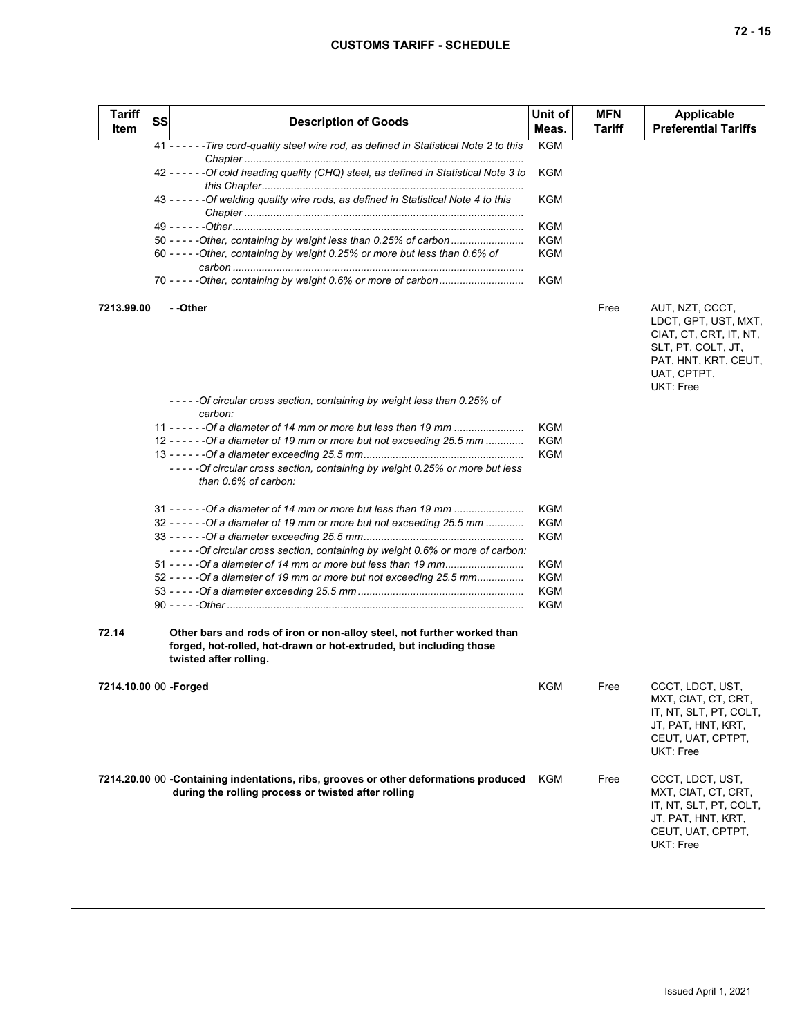| <b>Tariff</b><br>Item  | SS | <b>Description of Goods</b>                                                                                                                                             | Unit of<br>Meas. | <b>MFN</b><br><b>Tariff</b> | <b>Applicable</b><br><b>Preferential Tariffs</b>                                                                                            |
|------------------------|----|-------------------------------------------------------------------------------------------------------------------------------------------------------------------------|------------------|-----------------------------|---------------------------------------------------------------------------------------------------------------------------------------------|
|                        |    | 41 - - - - - - Tire cord-quality steel wire rod, as defined in Statistical Note 2 to this                                                                               | <b>KGM</b>       |                             |                                                                                                                                             |
|                        |    | 42 - - - - - - Of cold heading quality (CHQ) steel, as defined in Statistical Note 3 to                                                                                 | KGM              |                             |                                                                                                                                             |
|                        |    | 43 - - - - - - Of welding quality wire rods, as defined in Statistical Note 4 to this                                                                                   | <b>KGM</b>       |                             |                                                                                                                                             |
|                        |    |                                                                                                                                                                         | <b>KGM</b>       |                             |                                                                                                                                             |
|                        |    | 50 - - - - - Other, containing by weight less than 0.25% of carbon                                                                                                      | KGM              |                             |                                                                                                                                             |
|                        |    | 60 - - - - - Other, containing by weight 0.25% or more but less than 0.6% of                                                                                            | KGM              |                             |                                                                                                                                             |
|                        |    |                                                                                                                                                                         | <b>KGM</b>       |                             |                                                                                                                                             |
| 7213.99.00             |    | - -Other                                                                                                                                                                |                  | Free                        | AUT, NZT, CCCT,<br>LDCT, GPT, UST, MXT,<br>CIAT, CT, CRT, IT, NT,<br>SLT, PT, COLT, JT,<br>PAT, HNT, KRT, CEUT,<br>UAT, CPTPT,<br>UKT: Free |
|                        |    | -----Of circular cross section, containing by weight less than 0.25% of<br>carbon:                                                                                      |                  |                             |                                                                                                                                             |
|                        |    | 11 - - - - - - Of a diameter of 14 mm or more but less than 19 mm                                                                                                       | <b>KGM</b>       |                             |                                                                                                                                             |
|                        |    | 12 - - - - - - Of a diameter of 19 mm or more but not exceeding 25.5 mm                                                                                                 | <b>KGM</b>       |                             |                                                                                                                                             |
|                        |    |                                                                                                                                                                         | KGM              |                             |                                                                                                                                             |
|                        |    | -----Of circular cross section, containing by weight 0.25% or more but less<br>than 0.6% of carbon:                                                                     |                  |                             |                                                                                                                                             |
|                        |    | 31 - - - - - - Of a diameter of 14 mm or more but less than 19 mm                                                                                                       | <b>KGM</b>       |                             |                                                                                                                                             |
|                        |    | $32 - - - - -$ - Of a diameter of 19 mm or more but not exceeding 25.5 mm                                                                                               | KGM              |                             |                                                                                                                                             |
|                        |    | -----Of circular cross section, containing by weight 0.6% or more of carbon:                                                                                            | KGM              |                             |                                                                                                                                             |
|                        |    | 51 - - - - - Of a diameter of 14 mm or more but less than 19 mm                                                                                                         | KGM              |                             |                                                                                                                                             |
|                        |    | 52 - - - - -Of a diameter of 19 mm or more but not exceeding 25.5 mm                                                                                                    | KGM              |                             |                                                                                                                                             |
|                        |    |                                                                                                                                                                         | KGM              |                             |                                                                                                                                             |
|                        |    |                                                                                                                                                                         | KGM              |                             |                                                                                                                                             |
|                        |    |                                                                                                                                                                         |                  |                             |                                                                                                                                             |
| 72.14                  |    | Other bars and rods of iron or non-alloy steel, not further worked than<br>forged, hot-rolled, hot-drawn or hot-extruded, but including those<br>twisted after rolling. |                  |                             |                                                                                                                                             |
| 7214.10.00 00 - Forged |    |                                                                                                                                                                         | <b>KGM</b>       | Free                        | CCCT, LDCT, UST,<br>MXT, CIAT, CT, CRT,<br>IT, NT, SLT, PT, COLT,<br>JT, PAT, HNT, KRT,<br>CEUT, UAT, CPTPT,<br>UKT: Free                   |
|                        |    | 7214.20.00 00 -Containing indentations, ribs, grooves or other deformations produced<br>during the rolling process or twisted after rolling                             | KGM              | Free                        | CCCT, LDCT, UST,<br>MXT, CIAT, CT, CRT,<br>IT, NT, SLT, PT, COLT,<br>JT, PAT, HNT, KRT,<br>CEUT, UAT, CPTPT,<br>UKT: Free                   |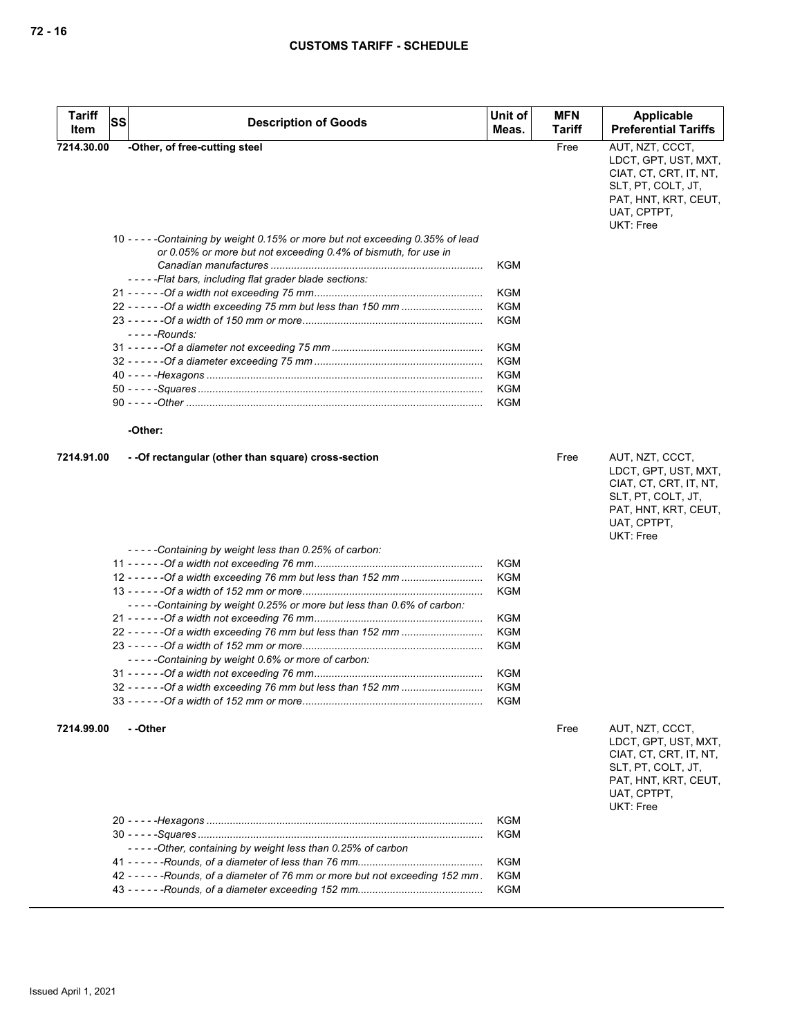| <b>Tariff</b><br>Item | lssl<br><b>Description of Goods</b>                                                                                                          | Unit of<br>Meas. | <b>MFN</b><br>Tariff | Applicable<br><b>Preferential Tariffs</b>                                                                                                          |
|-----------------------|----------------------------------------------------------------------------------------------------------------------------------------------|------------------|----------------------|----------------------------------------------------------------------------------------------------------------------------------------------------|
| 7214.30.00            | -Other, of free-cutting steel                                                                                                                |                  | Free                 | AUT, NZT, CCCT,                                                                                                                                    |
|                       |                                                                                                                                              |                  |                      | LDCT, GPT, UST, MXT,<br>CIAT, CT, CRT, IT, NT,<br>SLT, PT, COLT, JT,<br>PAT, HNT, KRT, CEUT,<br>UAT, CPTPT,<br>UKT: Free                           |
|                       | 10 -----Containing by weight 0.15% or more but not exceeding 0.35% of lead<br>or 0.05% or more but not exceeding 0.4% of bismuth, for use in |                  |                      |                                                                                                                                                    |
|                       |                                                                                                                                              | KGM              |                      |                                                                                                                                                    |
|                       | -----Flat bars, including flat grader blade sections:                                                                                        |                  |                      |                                                                                                                                                    |
|                       |                                                                                                                                              | <b>KGM</b>       |                      |                                                                                                                                                    |
|                       |                                                                                                                                              | KGM              |                      |                                                                                                                                                    |
|                       | - - - - -Rounds:                                                                                                                             | KGM              |                      |                                                                                                                                                    |
|                       |                                                                                                                                              | KGM              |                      |                                                                                                                                                    |
|                       |                                                                                                                                              | KGM              |                      |                                                                                                                                                    |
|                       |                                                                                                                                              | KGM              |                      |                                                                                                                                                    |
|                       |                                                                                                                                              | <b>KGM</b>       |                      |                                                                                                                                                    |
|                       |                                                                                                                                              | KGM              |                      |                                                                                                                                                    |
|                       | -Other:                                                                                                                                      |                  |                      |                                                                                                                                                    |
|                       |                                                                                                                                              |                  |                      |                                                                                                                                                    |
| 7214.91.00            | - - Of rectangular (other than square) cross-section                                                                                         |                  | Free                 | AUT, NZT, CCCT,<br>LDCT, GPT, UST, MXT,<br>CIAT, CT, CRT, IT, NT,<br>SLT, PT, COLT, JT,<br>PAT, HNT, KRT, CEUT,<br>UAT, CPTPT,<br><b>UKT: Free</b> |
|                       | -----Containing by weight less than 0.25% of carbon:                                                                                         |                  |                      |                                                                                                                                                    |
|                       |                                                                                                                                              | KGM              |                      |                                                                                                                                                    |
|                       |                                                                                                                                              | KGM              |                      |                                                                                                                                                    |
|                       |                                                                                                                                              | KGM              |                      |                                                                                                                                                    |
|                       | -----Containing by weight 0.25% or more but less than 0.6% of carbon:                                                                        | KGM              |                      |                                                                                                                                                    |
|                       |                                                                                                                                              | KGM              |                      |                                                                                                                                                    |
|                       |                                                                                                                                              | KGM              |                      |                                                                                                                                                    |
|                       | -----Containing by weight 0.6% or more of carbon:                                                                                            |                  |                      |                                                                                                                                                    |
|                       |                                                                                                                                              | KGM              |                      |                                                                                                                                                    |
|                       |                                                                                                                                              | <b>KGM</b>       |                      |                                                                                                                                                    |
|                       |                                                                                                                                              | KGM              |                      |                                                                                                                                                    |
| 7214.99.00            | - -Other                                                                                                                                     |                  | Free                 | AUT, NZT, CCCT,<br>LDCT, GPT, UST, MXT,<br>CIAT, CT, CRT, IT, NT,<br>SLT, PT, COLT, JT,<br>PAT, HNT, KRT, CEUT,<br>UAT, CPTPT,<br>UKT: Free        |
|                       |                                                                                                                                              | KGM              |                      |                                                                                                                                                    |
|                       |                                                                                                                                              | KGM              |                      |                                                                                                                                                    |
|                       | -----Other, containing by weight less than 0.25% of carbon                                                                                   |                  |                      |                                                                                                                                                    |
|                       |                                                                                                                                              | KGM              |                      |                                                                                                                                                    |
|                       | 42 - - - - - - Rounds, of a diameter of 76 mm or more but not exceeding 152 mm.                                                              | KGM<br>KGM       |                      |                                                                                                                                                    |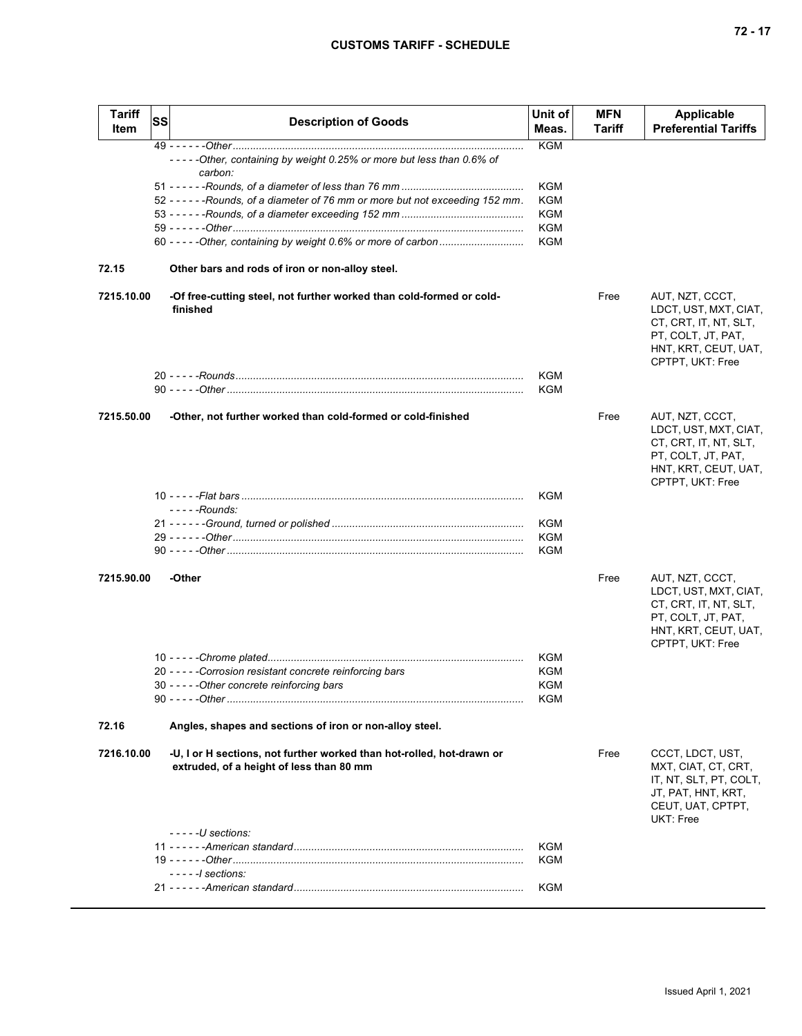|--|--|--|--|

| Tariff<br>Item | <b>SS</b> | <b>Description of Goods</b>                                                                                       | Unit of<br>Meas.         | <b>MFN</b><br><b>Tariff</b> | Applicable<br><b>Preferential Tariffs</b>                                                                                           |
|----------------|-----------|-------------------------------------------------------------------------------------------------------------------|--------------------------|-----------------------------|-------------------------------------------------------------------------------------------------------------------------------------|
|                |           | -----Other, containing by weight 0.25% or more but less than 0.6% of                                              | <b>KGM</b>               |                             |                                                                                                                                     |
|                |           | carbon:                                                                                                           |                          |                             |                                                                                                                                     |
|                |           |                                                                                                                   | KGM                      |                             |                                                                                                                                     |
|                |           | 52 - - - - - - Rounds, of a diameter of 76 mm or more but not exceeding 152 mm.                                   | KGM                      |                             |                                                                                                                                     |
|                |           |                                                                                                                   | KGM<br>KGM               |                             |                                                                                                                                     |
|                |           | 60 - - - - - Other, containing by weight 0.6% or more of carbon                                                   | KGM                      |                             |                                                                                                                                     |
| 72.15          |           | Other bars and rods of iron or non-alloy steel.                                                                   |                          |                             |                                                                                                                                     |
| 7215.10.00     |           | -Of free-cutting steel, not further worked than cold-formed or cold-<br>finished                                  |                          | Free                        | AUT, NZT, CCCT,<br>LDCT, UST, MXT, CIAT,<br>CT, CRT, IT, NT, SLT,<br>PT, COLT, JT, PAT,<br>HNT, KRT, CEUT, UAT,<br>CPTPT, UKT: Free |
|                |           |                                                                                                                   | <b>KGM</b><br><b>KGM</b> |                             |                                                                                                                                     |
| 7215.50.00     |           | -Other, not further worked than cold-formed or cold-finished                                                      |                          | Free                        | AUT, NZT, CCCT,<br>LDCT, UST, MXT, CIAT,<br>CT, CRT, IT, NT, SLT,<br>PT, COLT, JT, PAT,<br>HNT, KRT, CEUT, UAT,<br>CPTPT, UKT: Free |
|                |           |                                                                                                                   | KGM                      |                             |                                                                                                                                     |
|                |           | - - - - - Rounds:                                                                                                 |                          |                             |                                                                                                                                     |
|                |           |                                                                                                                   | <b>KGM</b><br>KGM        |                             |                                                                                                                                     |
|                |           |                                                                                                                   | KGM                      |                             |                                                                                                                                     |
| 7215.90.00     |           | -Other                                                                                                            |                          | Free                        | AUT, NZT, CCCT,<br>LDCT, UST, MXT, CIAT,<br>CT, CRT, IT, NT, SLT,<br>PT, COLT, JT, PAT,<br>HNT, KRT, CEUT, UAT,<br>CPTPT, UKT: Free |
|                |           |                                                                                                                   | KGM                      |                             |                                                                                                                                     |
|                |           | 20 - - - - - Corrosion resistant concrete reinforcing bars<br>30 - - - - - Other concrete reinforcing bars        | <b>KGM</b><br>KGM        |                             |                                                                                                                                     |
|                |           |                                                                                                                   | KGM                      |                             |                                                                                                                                     |
| 72.16          |           | Angles, shapes and sections of iron or non-alloy steel.                                                           |                          |                             |                                                                                                                                     |
| 7216.10.00     |           | -U, I or H sections, not further worked than hot-rolled, hot-drawn or<br>extruded, of a height of less than 80 mm |                          | Free                        | CCCT, LDCT, UST,<br>MXT, CIAT, CT, CRT,<br>IT, NT, SLT, PT, COLT,<br>JT, PAT, HNT, KRT,<br>CEUT, UAT, CPTPT,<br>UKT: Free           |
|                |           | $---U$ sections:                                                                                                  | <b>KGM</b>               |                             |                                                                                                                                     |
|                |           |                                                                                                                   | KGM                      |                             |                                                                                                                                     |
|                |           | $-- -1$ sections:                                                                                                 |                          |                             |                                                                                                                                     |
|                |           |                                                                                                                   | KGM                      |                             |                                                                                                                                     |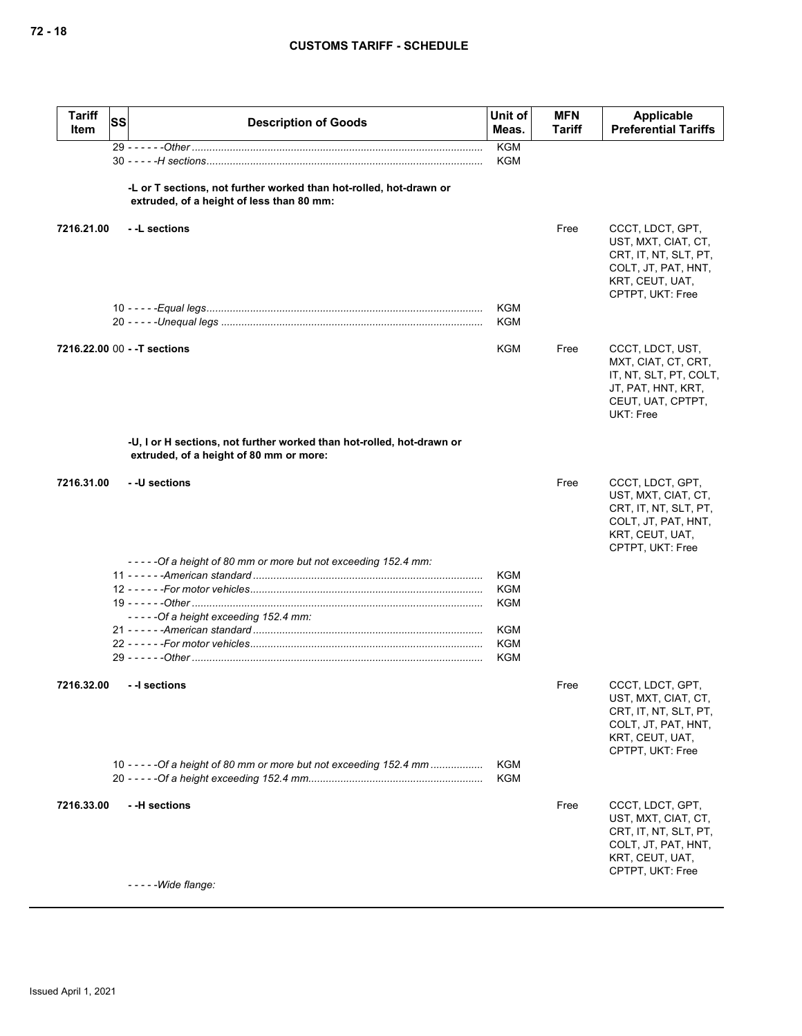| <b>Tariff</b><br>Item | <b>SS</b> | <b>Description of Goods</b>                                                                                      | Unit of<br>Meas.         | <b>MFN</b><br>Tariff | Applicable<br><b>Preferential Tariffs</b>                                                                                      |
|-----------------------|-----------|------------------------------------------------------------------------------------------------------------------|--------------------------|----------------------|--------------------------------------------------------------------------------------------------------------------------------|
|                       |           |                                                                                                                  | <b>KGM</b><br><b>KGM</b> |                      |                                                                                                                                |
|                       |           | -L or T sections, not further worked than hot-rolled, hot-drawn or<br>extruded, of a height of less than 80 mm:  |                          |                      |                                                                                                                                |
| 7216.21.00            |           | - -L sections                                                                                                    |                          | Free                 | CCCT, LDCT, GPT,<br>UST, MXT, CIAT, CT,<br>CRT, IT, NT, SLT, PT,<br>COLT, JT, PAT, HNT,<br>KRT, CEUT, UAT,<br>CPTPT, UKT: Free |
|                       |           |                                                                                                                  | KGM<br><b>KGM</b>        |                      |                                                                                                                                |
|                       |           | 7216.22.00 00 - - T sections                                                                                     | KGM                      | Free                 | CCCT, LDCT, UST,<br>MXT, CIAT, CT, CRT,<br>IT, NT, SLT, PT, COLT,<br>JT, PAT, HNT, KRT,<br>CEUT, UAT, CPTPT,<br>UKT: Free      |
|                       |           | -U, I or H sections, not further worked than hot-rolled, hot-drawn or<br>extruded, of a height of 80 mm or more: |                          |                      |                                                                                                                                |
| 7216.31.00            |           | - -U sections                                                                                                    |                          | Free                 | CCCT, LDCT, GPT,<br>UST, MXT, CIAT, CT,<br>CRT, IT, NT, SLT, PT,<br>COLT, JT, PAT, HNT,<br>KRT, CEUT, UAT,<br>CPTPT, UKT: Free |
|                       |           | -----Of a height of 80 mm or more but not exceeding 152.4 mm:                                                    |                          |                      |                                                                                                                                |
|                       |           |                                                                                                                  | KGM<br><b>KGM</b>        |                      |                                                                                                                                |
|                       |           |                                                                                                                  | KGM                      |                      |                                                                                                                                |
|                       |           | -----Of a height exceeding 152.4 mm:                                                                             |                          |                      |                                                                                                                                |
|                       |           |                                                                                                                  | KGM                      |                      |                                                                                                                                |
|                       |           |                                                                                                                  | <b>KGM</b>               |                      |                                                                                                                                |
|                       |           |                                                                                                                  | <b>KGM</b>               |                      |                                                                                                                                |
| 7216.32.00            |           | - -I sections                                                                                                    |                          | Free                 | CCCT, LDCT, GPT,<br>UST, MXT, CIAT, CT,<br>CRT, IT, NT, SLT, PT,<br>COLT, JT, PAT, HNT,<br>KRT, CEUT, UAT,<br>CPTPT, UKT: Free |
|                       |           | 10 - - - - - Of a height of 80 mm or more but not exceeding 152.4 mm                                             | <b>KGM</b><br>KGM        |                      |                                                                                                                                |
| 7216.33.00            |           | - -H sections                                                                                                    |                          | Free                 | CCCT, LDCT, GPT,<br>UST, MXT, CIAT, CT,<br>CRT, IT, NT, SLT, PT,<br>COLT, JT, PAT, HNT,<br>KRT, CEUT, UAT,<br>CPTPT, UKT: Free |
|                       |           | $---Wide \, \mathit{flange}:$                                                                                    |                          |                      |                                                                                                                                |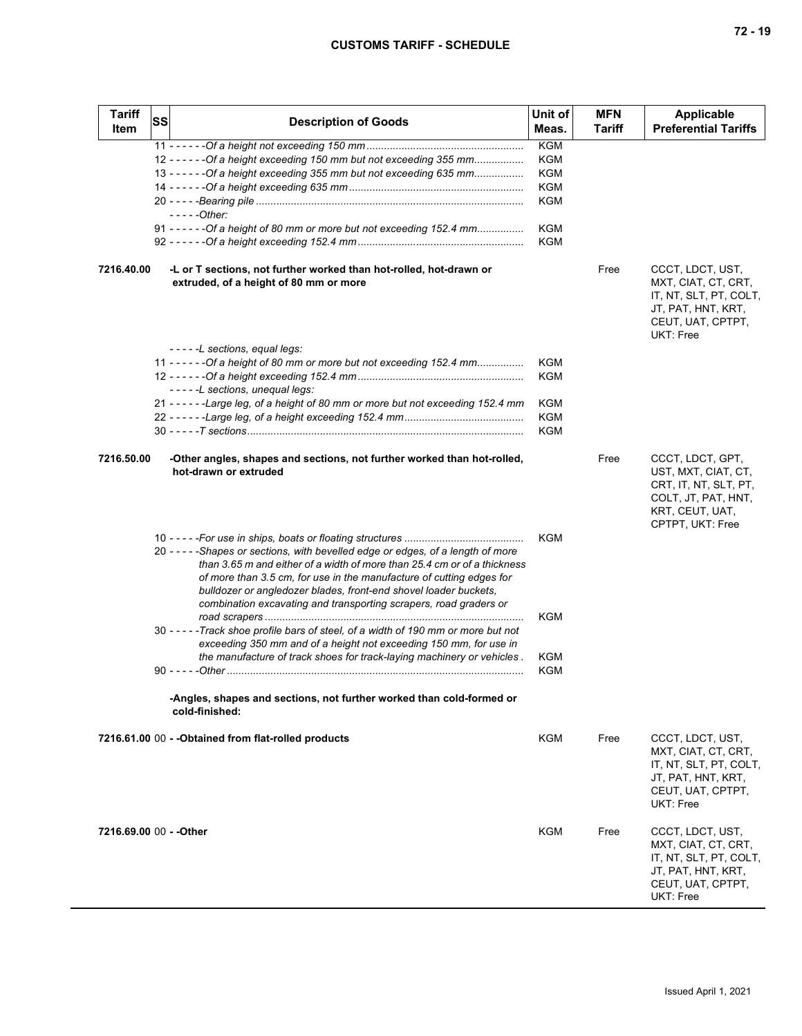| <b>Tariff</b><br><b>Item</b> | <b>SS</b> | <b>Description of Goods</b>                                                                                                                                                                                                                                                                                                                                                    | Unit of<br>Meas.                                     | <b>MFN</b><br>Tariff | <b>Applicable</b><br><b>Preferential Tariffs</b>                                                                               |
|------------------------------|-----------|--------------------------------------------------------------------------------------------------------------------------------------------------------------------------------------------------------------------------------------------------------------------------------------------------------------------------------------------------------------------------------|------------------------------------------------------|----------------------|--------------------------------------------------------------------------------------------------------------------------------|
|                              |           | 12 - - - - - - Of a height exceeding 150 mm but not exceeding 355 mm<br>13 - - - - - - Of a height exceeding 355 mm but not exceeding 635 mm<br>$---Other:$<br>91 - - - - - - Of a height of 80 mm or more but not exceeding 152.4 mm                                                                                                                                          | <b>KGM</b><br>KGM<br>KGM<br>KGM<br>KGM<br>KGM<br>KGM |                      |                                                                                                                                |
| 7216.40.00                   |           | -L or T sections, not further worked than hot-rolled, hot-drawn or<br>extruded, of a height of 80 mm or more                                                                                                                                                                                                                                                                   |                                                      | Free                 | CCCT, LDCT, UST,<br>MXT, CIAT, CT, CRT,<br>IT, NT, SLT, PT, COLT,<br>JT, PAT, HNT, KRT,<br>CEUT, UAT, CPTPT,<br>UKT: Free      |
|                              |           | -----L sections, equal legs:<br>11 - - - - - - Of a height of 80 mm or more but not exceeding 152.4 mm<br>-----L sections, unequal legs:<br>21 - - - - - - Large leg, of a height of 80 mm or more but not exceeding 152.4 mm                                                                                                                                                  | KGM<br><b>KGM</b><br>KGM<br><b>KGM</b><br><b>KGM</b> |                      |                                                                                                                                |
| 7216.50.00                   |           | -Other angles, shapes and sections, not further worked than hot-rolled,<br>hot-drawn or extruded                                                                                                                                                                                                                                                                               |                                                      | Free                 | CCCT, LDCT, GPT,<br>UST, MXT, CIAT, CT,<br>CRT, IT, NT, SLT, PT,<br>COLT, JT, PAT, HNT,<br>KRT, CEUT, UAT,<br>CPTPT, UKT: Free |
|                              |           | 20 - - - - - Shapes or sections, with bevelled edge or edges, of a length of more<br>than 3.65 m and either of a width of more than 25.4 cm or of a thickness<br>of more than 3.5 cm, for use in the manufacture of cutting edges for<br>bulldozer or angledozer blades, front-end shovel loader buckets,<br>combination excavating and transporting scrapers, road graders or | KGM                                                  |                      |                                                                                                                                |
|                              |           | 30 - - - - - Track shoe profile bars of steel, of a width of 190 mm or more but not<br>exceeding 350 mm and of a height not exceeding 150 mm, for use in<br>the manufacture of track shoes for track-laying machinery or vehicles.                                                                                                                                             | KGM<br>KGM<br>KGM                                    |                      |                                                                                                                                |
|                              |           | -Angles, shapes and sections, not further worked than cold-formed or<br>cold-finished:                                                                                                                                                                                                                                                                                         |                                                      |                      |                                                                                                                                |
|                              |           | 7216.61.00 00 - - Obtained from flat-rolled products                                                                                                                                                                                                                                                                                                                           | KGM                                                  | Free                 | CCCT, LDCT, UST,<br>MXT, CIAT, CT, CRT,<br>IT, NT, SLT, PT, COLT,<br>JT, PAT, HNT, KRT,<br>CEUT, UAT, CPTPT,<br>UKT: Free      |
| 7216.69.00 00 - - Other      |           |                                                                                                                                                                                                                                                                                                                                                                                | KGM                                                  | Free                 | CCCT, LDCT, UST,<br>MXT, CIAT, CT, CRT,<br>IT, NT, SLT, PT, COLT,<br>JT, PAT, HNT, KRT,<br>CEUT, UAT, CPTPT,<br>UKT: Free      |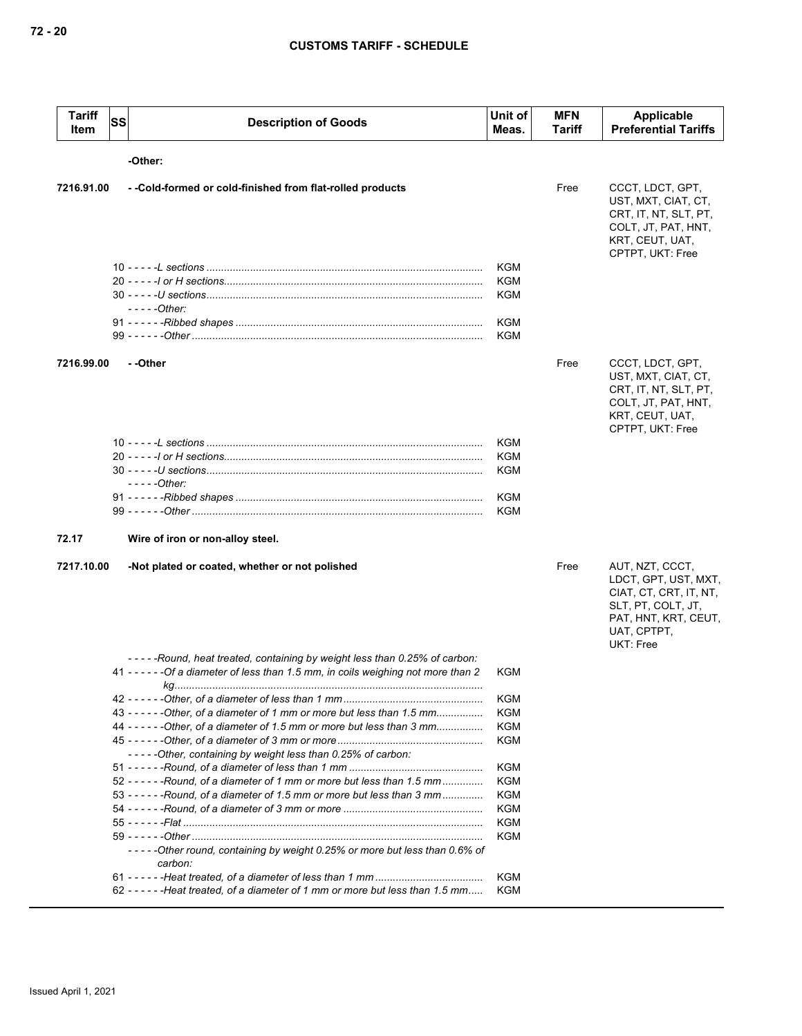| <b>Tariff</b><br>Item | SS | <b>Description of Goods</b>                                                                                                                                      | Unit of<br>Meas.                       | <b>MFN</b><br>Tariff | <b>Applicable</b><br><b>Preferential Tariffs</b>                                                                                                   |
|-----------------------|----|------------------------------------------------------------------------------------------------------------------------------------------------------------------|----------------------------------------|----------------------|----------------------------------------------------------------------------------------------------------------------------------------------------|
|                       |    | -Other:                                                                                                                                                          |                                        |                      |                                                                                                                                                    |
| 7216.91.00            |    | - - Cold-formed or cold-finished from flat-rolled products                                                                                                       |                                        | Free                 | CCCT, LDCT, GPT,<br>UST, MXT, CIAT, CT,<br>CRT, IT, NT, SLT, PT,<br>COLT, JT, PAT, HNT,<br>KRT, CEUT, UAT,                                         |
|                       |    |                                                                                                                                                                  |                                        |                      | CPTPT, UKT: Free                                                                                                                                   |
|                       |    |                                                                                                                                                                  | <b>KGM</b><br><b>KGM</b><br><b>KGM</b> |                      |                                                                                                                                                    |
|                       |    | $---Other:$                                                                                                                                                      |                                        |                      |                                                                                                                                                    |
|                       |    |                                                                                                                                                                  | <b>KGM</b><br><b>KGM</b>               |                      |                                                                                                                                                    |
|                       |    |                                                                                                                                                                  |                                        |                      |                                                                                                                                                    |
| 7216.99.00            |    | - -Other                                                                                                                                                         |                                        | Free                 | CCCT, LDCT, GPT,<br>UST, MXT, CIAT, CT,<br>CRT, IT, NT, SLT, PT,<br>COLT, JT, PAT, HNT,<br>KRT, CEUT, UAT,<br>CPTPT, UKT: Free                     |
|                       |    |                                                                                                                                                                  | <b>KGM</b>                             |                      |                                                                                                                                                    |
|                       |    |                                                                                                                                                                  | <b>KGM</b>                             |                      |                                                                                                                                                    |
|                       |    |                                                                                                                                                                  | <b>KGM</b>                             |                      |                                                                                                                                                    |
|                       |    | $---Other:$                                                                                                                                                      |                                        |                      |                                                                                                                                                    |
|                       |    |                                                                                                                                                                  | KGM                                    |                      |                                                                                                                                                    |
|                       |    |                                                                                                                                                                  | <b>KGM</b>                             |                      |                                                                                                                                                    |
| 72.17                 |    | Wire of iron or non-alloy steel.                                                                                                                                 |                                        |                      |                                                                                                                                                    |
| 7217.10.00            |    | -Not plated or coated, whether or not polished                                                                                                                   |                                        | Free                 | AUT, NZT, CCCT,<br>LDCT, GPT, UST, MXT,<br>CIAT, CT, CRT, IT, NT,<br>SLT, PT, COLT, JT,<br>PAT, HNT, KRT, CEUT,<br>UAT, CPTPT,<br><b>UKT: Free</b> |
|                       |    | -----Round, heat treated, containing by weight less than 0.25% of carbon:<br>41 - - - - - - Of a diameter of less than 1.5 mm, in coils weighing not more than 2 | KGM                                    |                      |                                                                                                                                                    |
|                       |    |                                                                                                                                                                  | KGM                                    |                      |                                                                                                                                                    |
|                       |    | 43 - - - - - - Other, of a diameter of 1 mm or more but less than 1.5 mm                                                                                         | KGM                                    |                      |                                                                                                                                                    |
|                       |    | 44 - - - - - - Other, of a diameter of 1.5 mm or more but less than 3 mm                                                                                         | KGM                                    |                      |                                                                                                                                                    |
|                       |    |                                                                                                                                                                  | KGM                                    |                      |                                                                                                                                                    |
|                       |    | -----Other, containing by weight less than 0.25% of carbon:                                                                                                      |                                        |                      |                                                                                                                                                    |
|                       |    |                                                                                                                                                                  | KGM                                    |                      |                                                                                                                                                    |
|                       |    | 52 - - - - - - Round, of a diameter of 1 mm or more but less than 1.5 mm                                                                                         | KGM                                    |                      |                                                                                                                                                    |
|                       |    | 53 - - - - - - Round, of a diameter of 1.5 mm or more but less than 3 mm                                                                                         | KGM                                    |                      |                                                                                                                                                    |
|                       |    |                                                                                                                                                                  | KGM                                    |                      |                                                                                                                                                    |
|                       |    |                                                                                                                                                                  | KGM                                    |                      |                                                                                                                                                    |
|                       |    | -----Other round, containing by weight 0.25% or more but less than 0.6% of                                                                                       | KGM                                    |                      |                                                                                                                                                    |
|                       |    | carbon:                                                                                                                                                          |                                        |                      |                                                                                                                                                    |
|                       |    | 62 - - - - - - - Heat treated, of a diameter of 1 mm or more but less than 1.5 mm                                                                                | KGM<br>KGM                             |                      |                                                                                                                                                    |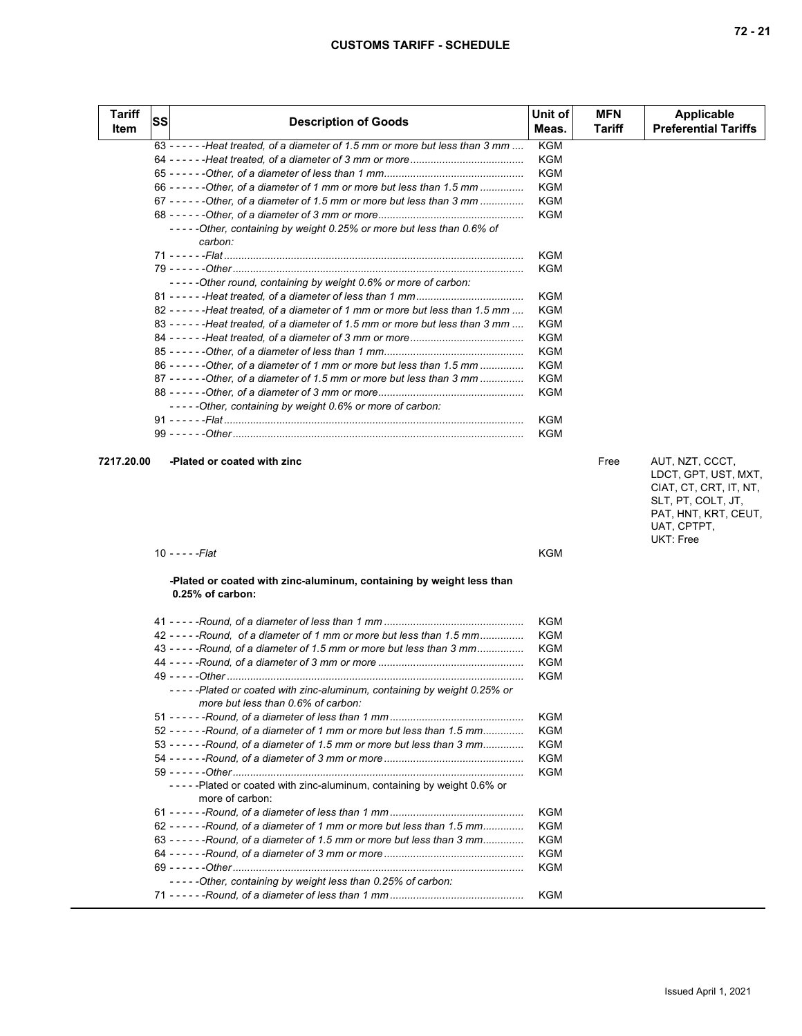| <b>Tariff</b><br>Item | SS | <b>Description of Goods</b>                                                       | Unit of<br>Meas. | <b>MFN</b><br>Tariff | <b>Applicable</b><br><b>Preferential Tariffs</b> |
|-----------------------|----|-----------------------------------------------------------------------------------|------------------|----------------------|--------------------------------------------------|
|                       |    | 63 - - - - - - - Heat treated, of a diameter of 1.5 mm or more but less than 3 mm | <b>KGM</b>       |                      |                                                  |
|                       |    |                                                                                   | KGM              |                      |                                                  |
|                       |    |                                                                                   | <b>KGM</b>       |                      |                                                  |
|                       |    | 66 - - - - - - Other, of a diameter of 1 mm or more but less than 1.5 mm          | <b>KGM</b>       |                      |                                                  |
|                       |    | 67 - - - - - - - Other, of a diameter of 1.5 mm or more but less than 3 mm        | KGM              |                      |                                                  |
|                       |    |                                                                                   | <b>KGM</b>       |                      |                                                  |
|                       |    | -----Other, containing by weight 0.25% or more but less than 0.6% of<br>carbon:   |                  |                      |                                                  |
|                       |    |                                                                                   | <b>KGM</b>       |                      |                                                  |
|                       |    | -----Other round, containing by weight 0.6% or more of carbon:                    | KGM              |                      |                                                  |
|                       |    |                                                                                   | KGM              |                      |                                                  |
|                       |    | 82 - - - - - - - Heat treated, of a diameter of 1 mm or more but less than 1.5 mm | KGM              |                      |                                                  |
|                       |    | 83 - - - - - - - Heat treated, of a diameter of 1.5 mm or more but less than 3 mm | KGM              |                      |                                                  |
|                       |    |                                                                                   | KGM              |                      |                                                  |
|                       |    |                                                                                   | KGM              |                      |                                                  |
|                       |    | 86 - - - - - - Other, of a diameter of 1 mm or more but less than 1.5 mm          | <b>KGM</b>       |                      |                                                  |
|                       |    | 87 - - - - - - - Other, of a diameter of 1.5 mm or more but less than 3 mm        | KGM              |                      |                                                  |
|                       |    | -----Other, containing by weight 0.6% or more of carbon:                          | <b>KGM</b>       |                      |                                                  |
|                       |    |                                                                                   | KGM              |                      |                                                  |
|                       |    |                                                                                   | <b>KGM</b>       |                      |                                                  |
| 7217.20.00            |    | -Plated or coated with zinc                                                       |                  | Free                 | AUT, NZT, CCCT,                                  |

| AUT. NZT. CCCT.        |
|------------------------|
| LDCT, GPT, UST, MXT,   |
| CIAT, CT, CRT, IT, NT, |
| SLT, PT, COLT, JT,     |
| PAT, HNT, KRT, CEUT,   |
| UAT, CPTPT,            |
| UKT: Free              |

| 10 - - - - -Flat | <b>KGM</b> |
|------------------|------------|
|                  |            |

## **-Plated or coated with zinc-aluminum, containing by weight less than 0.25% of carbon:**

|                                                                                                               | KGM        |
|---------------------------------------------------------------------------------------------------------------|------------|
| 42 - - - - - Round, of a diameter of 1 mm or more but less than 1.5 mm                                        | KGM        |
| 43 - - - - - Round, of a diameter of 1.5 mm or more but less than 3 mm                                        | KGM        |
|                                                                                                               | <b>KGM</b> |
|                                                                                                               | <b>KGM</b> |
| -----Plated or coated with zinc-aluminum, containing by weight 0.25% or<br>more but less than 0.6% of carbon: |            |
|                                                                                                               | <b>KGM</b> |
| 52 - - - - - - Round, of a diameter of 1 mm or more but less than 1.5 mm                                      | KGM        |
| 53 - - - - - - Round, of a diameter of 1.5 mm or more but less than 3 mm                                      | KGM        |
|                                                                                                               | KGM        |
|                                                                                                               | KGM        |
| - - - - - - Plated or coated with zinc-aluminum, containing by weight 0.6% or<br>more of carbon:              |            |
|                                                                                                               | KGM        |
| $62 - - - -$ -Round, of a diameter of 1 mm or more but less than 1.5 mm                                       | KGM        |
| 63 - - - - - - Round, of a diameter of 1.5 mm or more but less than 3 mm                                      | <b>KGM</b> |
|                                                                                                               | KGM        |
|                                                                                                               | KGM        |
| -----Other, containing by weight less than 0.25% of carbon:                                                   |            |
|                                                                                                               | KGM        |
|                                                                                                               |            |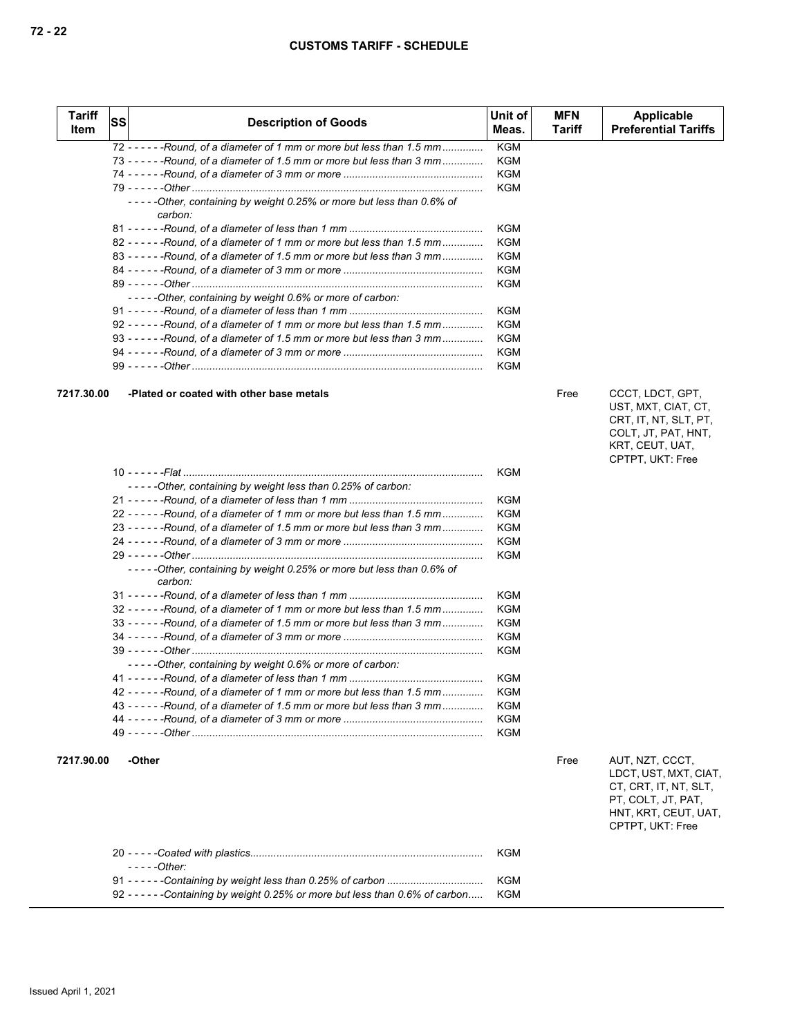| Tariff<br>Item | <b>SS</b> | <b>Description of Goods</b>                                                                                                                          | Unit of<br>Meas.  | <b>MFN</b><br>Tariff | <b>Applicable</b><br><b>Preferential Tariffs</b>                                                                                    |
|----------------|-----------|------------------------------------------------------------------------------------------------------------------------------------------------------|-------------------|----------------------|-------------------------------------------------------------------------------------------------------------------------------------|
|                |           |                                                                                                                                                      |                   |                      |                                                                                                                                     |
|                |           | 72 - - - - - - Round, of a diameter of 1 mm or more but less than 1.5 mm<br>73 - - - - - - Round, of a diameter of 1.5 mm or more but less than 3 mm | <b>KGM</b><br>KGM |                      |                                                                                                                                     |
|                |           |                                                                                                                                                      | KGM               |                      |                                                                                                                                     |
|                |           |                                                                                                                                                      | KGM               |                      |                                                                                                                                     |
|                |           | -----Other, containing by weight 0.25% or more but less than 0.6% of<br>carbon:                                                                      |                   |                      |                                                                                                                                     |
|                |           |                                                                                                                                                      | KGM               |                      |                                                                                                                                     |
|                |           | 82 - - - - - - Round, of a diameter of 1 mm or more but less than 1.5 mm                                                                             | KGM               |                      |                                                                                                                                     |
|                |           | $83 - - - -$ -Round, of a diameter of 1.5 mm or more but less than 3 mm                                                                              | KGM               |                      |                                                                                                                                     |
|                |           |                                                                                                                                                      | KGM               |                      |                                                                                                                                     |
|                |           |                                                                                                                                                      | KGM               |                      |                                                                                                                                     |
|                |           | -----Other, containing by weight 0.6% or more of carbon:                                                                                             |                   |                      |                                                                                                                                     |
|                |           |                                                                                                                                                      | KGM               |                      |                                                                                                                                     |
|                |           | 92 ----- - - Round, of a diameter of 1 mm or more but less than 1.5 mm                                                                               | KGM               |                      |                                                                                                                                     |
|                |           | 93 - - - - - - Round, of a diameter of 1.5 mm or more but less than 3 mm                                                                             | KGM               |                      |                                                                                                                                     |
|                |           |                                                                                                                                                      | KGM               |                      |                                                                                                                                     |
|                |           | 99 - - - - - <i>-Other …………………………………………………………………………………</i>                                                                                           | KGM               |                      |                                                                                                                                     |
| 7217.30.00     |           | -Plated or coated with other base metals                                                                                                             |                   | Free                 | CCCT, LDCT, GPT,<br>UST, MXT, CIAT, CT,<br>CRT, IT, NT, SLT, PT,<br>COLT, JT, PAT, HNT,<br>KRT, CEUT, UAT,                          |
|                |           |                                                                                                                                                      |                   |                      | CPTPT, UKT: Free                                                                                                                    |
|                |           | -----Other, containing by weight less than 0.25% of carbon:                                                                                          | KGM               |                      |                                                                                                                                     |
|                |           |                                                                                                                                                      | KGM               |                      |                                                                                                                                     |
|                |           | 22 - - - - - - Round, of a diameter of 1 mm or more but less than 1.5 mm                                                                             | KGM               |                      |                                                                                                                                     |
|                |           | 23 - - - - - - Round, of a diameter of 1.5 mm or more but less than 3 mm                                                                             | KGM               |                      |                                                                                                                                     |
|                |           |                                                                                                                                                      | KGM               |                      |                                                                                                                                     |
|                |           |                                                                                                                                                      | KGM               |                      |                                                                                                                                     |
|                |           | -----Other, containing by weight 0.25% or more but less than 0.6% of<br>carbon:                                                                      |                   |                      |                                                                                                                                     |
|                |           |                                                                                                                                                      | KGM               |                      |                                                                                                                                     |
|                |           | 32 - - - - - - Round, of a diameter of 1 mm or more but less than 1.5 mm                                                                             | KGM               |                      |                                                                                                                                     |
|                |           | 33 - - - - - - Round, of a diameter of 1.5 mm or more but less than 3 mm                                                                             | KGM               |                      |                                                                                                                                     |
|                |           |                                                                                                                                                      | KGM               |                      |                                                                                                                                     |
|                |           |                                                                                                                                                      | KGM               |                      |                                                                                                                                     |
|                |           | -----Other, containing by weight 0.6% or more of carbon:                                                                                             |                   |                      |                                                                                                                                     |
|                |           |                                                                                                                                                      | KGM<br>KGM        |                      |                                                                                                                                     |
|                |           | 42 - - - - - - Round, of a diameter of 1 mm or more but less than 1.5 mm<br>43 - - - - - - Round, of a diameter of 1.5 mm or more but less than 3 mm | KGM               |                      |                                                                                                                                     |
|                |           |                                                                                                                                                      | KGM               |                      |                                                                                                                                     |
|                |           |                                                                                                                                                      | KGM               |                      |                                                                                                                                     |
| 7217.90.00     |           | -Other                                                                                                                                               |                   | Free                 | AUT, NZT, CCCT,<br>LDCT, UST, MXT, CIAT,<br>CT, CRT, IT, NT, SLT,<br>PT, COLT, JT, PAT,<br>HNT, KRT, CEUT, UAT,<br>CPTPT, UKT: Free |
|                |           | - - - - -Other:                                                                                                                                      | KGM               |                      |                                                                                                                                     |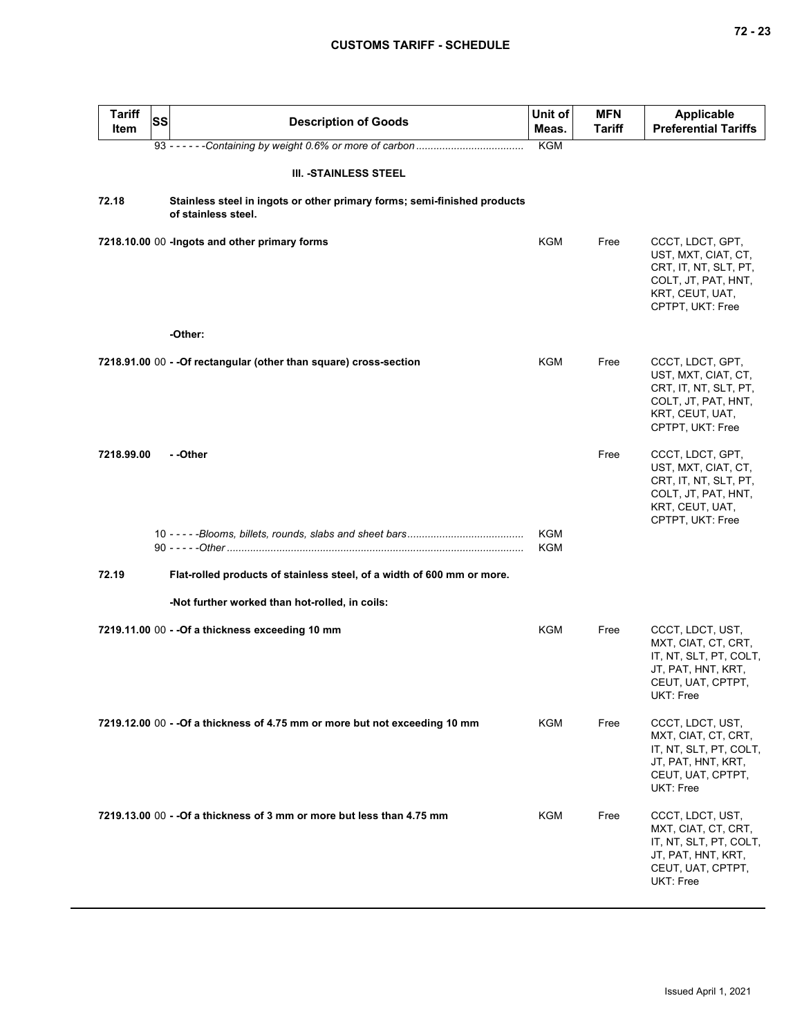| <b>Tariff</b><br>Item | <b>SS</b> | <b>Description of Goods</b>                                                                     | Unit of<br>Meas. | <b>MFN</b><br>Tariff | <b>Applicable</b><br><b>Preferential Tariffs</b>                                                                               |
|-----------------------|-----------|-------------------------------------------------------------------------------------------------|------------------|----------------------|--------------------------------------------------------------------------------------------------------------------------------|
|                       |           |                                                                                                 | <b>KGM</b>       |                      |                                                                                                                                |
|                       |           | <b>III. -STAINLESS STEEL</b>                                                                    |                  |                      |                                                                                                                                |
| 72.18                 |           | Stainless steel in ingots or other primary forms; semi-finished products<br>of stainless steel. |                  |                      |                                                                                                                                |
|                       |           | 7218.10.00 00 - Ingots and other primary forms                                                  | KGM              | Free                 | CCCT, LDCT, GPT,<br>UST, MXT, CIAT, CT,<br>CRT, IT, NT, SLT, PT,<br>COLT, JT, PAT, HNT,<br>KRT, CEUT, UAT,<br>CPTPT, UKT: Free |
|                       |           | -Other:                                                                                         |                  |                      |                                                                                                                                |
|                       |           | 7218.91.00 00 - - Of rectangular (other than square) cross-section                              | KGM              | Free                 | CCCT, LDCT, GPT,<br>UST, MXT, CIAT, CT,<br>CRT, IT, NT, SLT, PT,<br>COLT, JT, PAT, HNT,<br>KRT, CEUT, UAT,<br>CPTPT, UKT: Free |
| 7218.99.00            |           | - -Other                                                                                        |                  | Free                 | CCCT, LDCT, GPT,<br>UST, MXT, CIAT, CT,<br>CRT, IT, NT, SLT, PT,<br>COLT, JT, PAT, HNT,<br>KRT, CEUT, UAT,<br>CPTPT, UKT: Free |
|                       |           |                                                                                                 | KGM<br>KGM       |                      |                                                                                                                                |
| 72.19                 |           | Flat-rolled products of stainless steel, of a width of 600 mm or more.                          |                  |                      |                                                                                                                                |
|                       |           | -Not further worked than hot-rolled, in coils:                                                  |                  |                      |                                                                                                                                |
|                       |           | 7219.11.00 00 - - Of a thickness exceeding 10 mm                                                | KGM              | Free                 | CCCT, LDCT, UST,<br>MXT, CIAT, CT, CRT,<br>IT, NT, SLT, PT, COLT,<br>JT, PAT, HNT, KRT,<br>CEUT, UAT, CPTPT,<br>UKT: Free      |
|                       |           | 7219.12.00 00 - - Of a thickness of 4.75 mm or more but not exceeding 10 mm                     | <b>KGM</b>       | Free                 | CCCT, LDCT, UST,<br>MXT, CIAT, CT, CRT,<br>IT, NT, SLT, PT, COLT,<br>JT, PAT, HNT, KRT,<br>CEUT, UAT, CPTPT,<br>UKT: Free      |
|                       |           | 7219.13.00 00 - - Of a thickness of 3 mm or more but less than 4.75 mm                          | <b>KGM</b>       | Free                 | CCCT, LDCT, UST,<br>MXT, CIAT, CT, CRT,<br>IT, NT, SLT, PT, COLT,<br>JT, PAT, HNT, KRT,<br>CEUT, UAT, CPTPT,<br>UKT: Free      |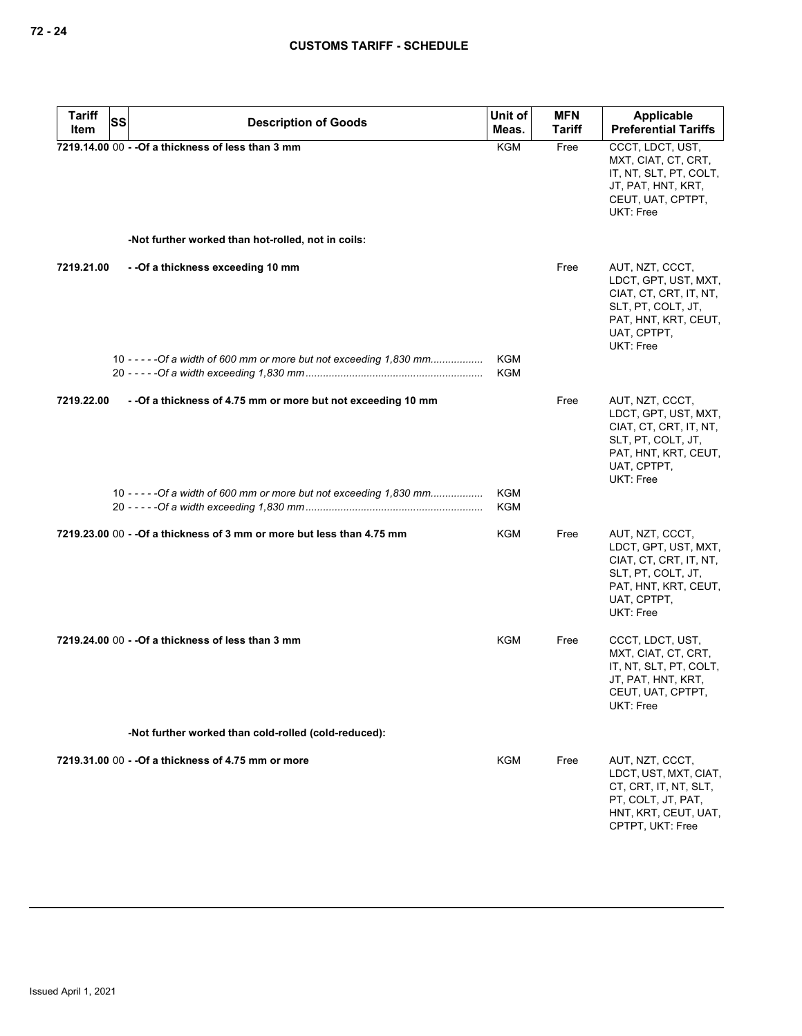| <b>Tariff</b><br><b>SS</b> | <b>Description of Goods</b>                                            | Unit of           | <b>MFN</b>    | Applicable                                                                                                                                  |
|----------------------------|------------------------------------------------------------------------|-------------------|---------------|---------------------------------------------------------------------------------------------------------------------------------------------|
| Item                       |                                                                        | Meas.             | <b>Tariff</b> | <b>Preferential Tariffs</b>                                                                                                                 |
|                            | 7219.14.00 00 - - Of a thickness of less than 3 mm                     | <b>KGM</b>        | Free          | CCCT, LDCT, UST,<br>MXT, CIAT, CT, CRT,<br>IT, NT, SLT, PT, COLT,<br>JT, PAT, HNT, KRT,<br>CEUT, UAT, CPTPT,<br>UKT: Free                   |
|                            | -Not further worked than hot-rolled, not in coils:                     |                   |               |                                                                                                                                             |
| 7219.21.00                 | - - Of a thickness exceeding 10 mm                                     |                   | Free          | AUT, NZT, CCCT,<br>LDCT, GPT, UST, MXT,<br>CIAT, CT, CRT, IT, NT,<br>SLT, PT, COLT, JT,<br>PAT, HNT, KRT, CEUT,<br>UAT, CPTPT,<br>UKT: Free |
|                            | 10 - - - - - Of a width of 600 mm or more but not exceeding 1,830 mm   | KGM<br><b>KGM</b> |               |                                                                                                                                             |
| 7219.22.00                 | - - Of a thickness of 4.75 mm or more but not exceeding 10 mm          |                   | Free          | AUT, NZT, CCCT,<br>LDCT, GPT, UST, MXT,<br>CIAT, CT, CRT, IT, NT,<br>SLT, PT, COLT, JT,<br>PAT, HNT, KRT, CEUT,<br>UAT, CPTPT,<br>UKT: Free |
|                            | 10 - - - - - Of a width of 600 mm or more but not exceeding 1,830 mm   | KGM<br><b>KGM</b> |               |                                                                                                                                             |
|                            | 7219.23.00 00 - - Of a thickness of 3 mm or more but less than 4.75 mm | KGM               | Free          | AUT, NZT, CCCT,<br>LDCT, GPT, UST, MXT,<br>CIAT, CT, CRT, IT, NT,<br>SLT, PT, COLT, JT,<br>PAT, HNT, KRT, CEUT,<br>UAT, CPTPT,<br>UKT: Free |
|                            | 7219.24.00 00 - - Of a thickness of less than 3 mm                     | KGM               | Free          | CCCT, LDCT, UST,<br>MXT, CIAT, CT, CRT,<br>IT, NT, SLT, PT, COLT,<br>JT, PAT, HNT, KRT,<br>CEUT, UAT, CPTPT,<br>UKT: Free                   |
|                            | -Not further worked than cold-rolled (cold-reduced):                   |                   |               |                                                                                                                                             |
|                            | 7219.31.00 00 - - Of a thickness of 4.75 mm or more                    | KGM               | Free          | AUT, NZT, CCCT,<br>LDCT, UST, MXT, CIAT,<br>CT, CRT, IT, NT, SLT,<br>PT, COLT, JT, PAT,<br>HNT, KRT, CEUT, UAT,<br>CPTPT, UKT: Free         |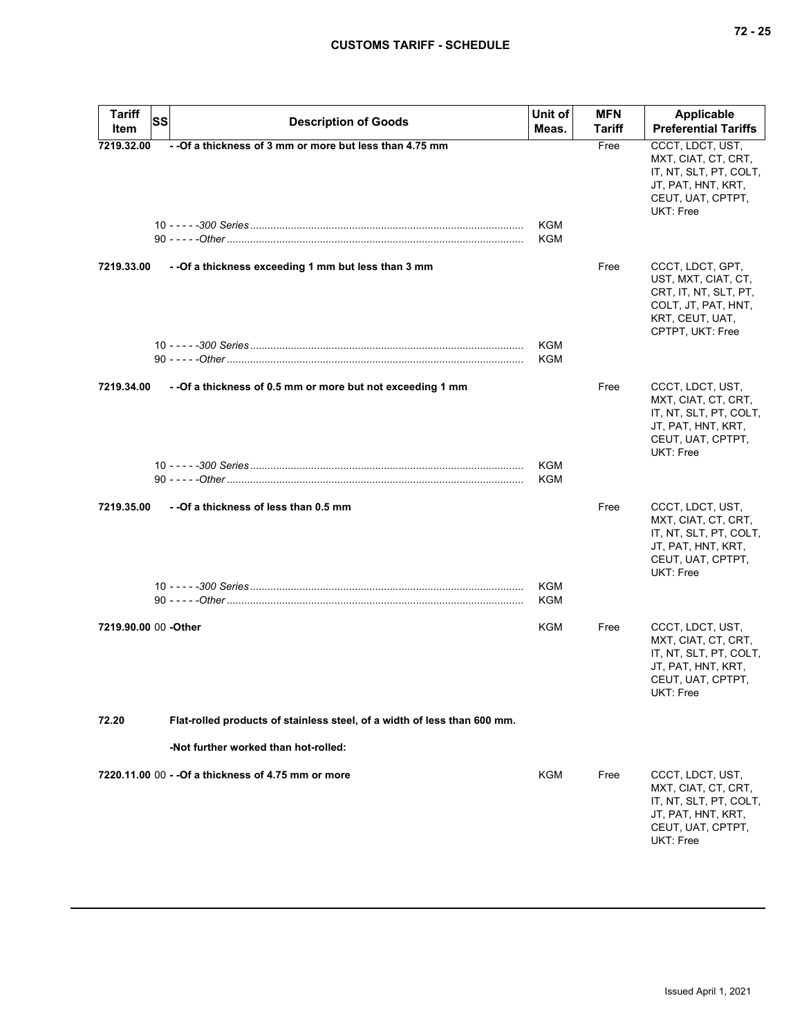| <b>Tariff</b><br>Item | <b>SS</b><br><b>Description of Goods</b>                                 | Unit of<br>Meas.         | <b>MFN</b><br><b>Tariff</b> | <b>Applicable</b><br><b>Preferential Tariffs</b>                                                                               |
|-----------------------|--------------------------------------------------------------------------|--------------------------|-----------------------------|--------------------------------------------------------------------------------------------------------------------------------|
| 7219.32.00            | - - Of a thickness of 3 mm or more but less than 4.75 mm                 | KGM                      | Free                        | CCCT, LDCT, UST,<br>MXT, CIAT, CT, CRT,<br>IT, NT, SLT, PT, COLT,<br>JT, PAT, HNT, KRT,<br>CEUT, UAT, CPTPT,<br>UKT: Free      |
|                       |                                                                          | <b>KGM</b>               |                             |                                                                                                                                |
| 7219.33.00            | - - Of a thickness exceeding 1 mm but less than 3 mm                     |                          | Free                        | CCCT, LDCT, GPT,<br>UST, MXT, CIAT, CT,<br>CRT, IT, NT, SLT, PT,<br>COLT, JT, PAT, HNT,<br>KRT, CEUT, UAT,<br>CPTPT, UKT: Free |
|                       |                                                                          | KGM<br><b>KGM</b>        |                             |                                                                                                                                |
| 7219.34.00            | - - Of a thickness of 0.5 mm or more but not exceeding 1 mm              |                          | Free                        | CCCT, LDCT, UST,<br>MXT, CIAT, CT, CRT,<br>IT, NT, SLT, PT, COLT,<br>JT, PAT, HNT, KRT,<br>CEUT, UAT, CPTPT,<br>UKT: Free      |
|                       |                                                                          | <b>KGM</b><br><b>KGM</b> |                             |                                                                                                                                |
| 7219.35.00            | - - Of a thickness of less than 0.5 mm                                   |                          | Free                        | CCCT, LDCT, UST,<br>MXT, CIAT, CT, CRT,<br>IT, NT, SLT, PT, COLT,<br>JT, PAT, HNT, KRT,<br>CEUT, UAT, CPTPT,<br>UKT: Free      |
|                       |                                                                          | KGM<br>KGM               |                             |                                                                                                                                |
| 7219.90.00 00 -Other  |                                                                          | KGM                      | Free                        | CCCT, LDCT, UST,<br>MXT, CIAT, CT, CRT,<br>IT, NT, SLT, PT, COLT,<br>JT, PAT, HNT, KRT,<br>CEUT, UAT, CPTPT,<br>UKT: Free      |
| 72.20                 | Flat-rolled products of stainless steel, of a width of less than 600 mm. |                          |                             |                                                                                                                                |
|                       | -Not further worked than hot-rolled:                                     |                          |                             |                                                                                                                                |
|                       | 7220.11.00 00 - - Of a thickness of 4.75 mm or more                      | KGM                      | Free                        | CCCT, LDCT, UST,<br>MXT, CIAT, CT, CRT,<br>IT, NT, SLT, PT, COLT,<br>JT, PAT, HNT, KRT,<br>CEUT, UAT, CPTPT,<br>UKT: Free      |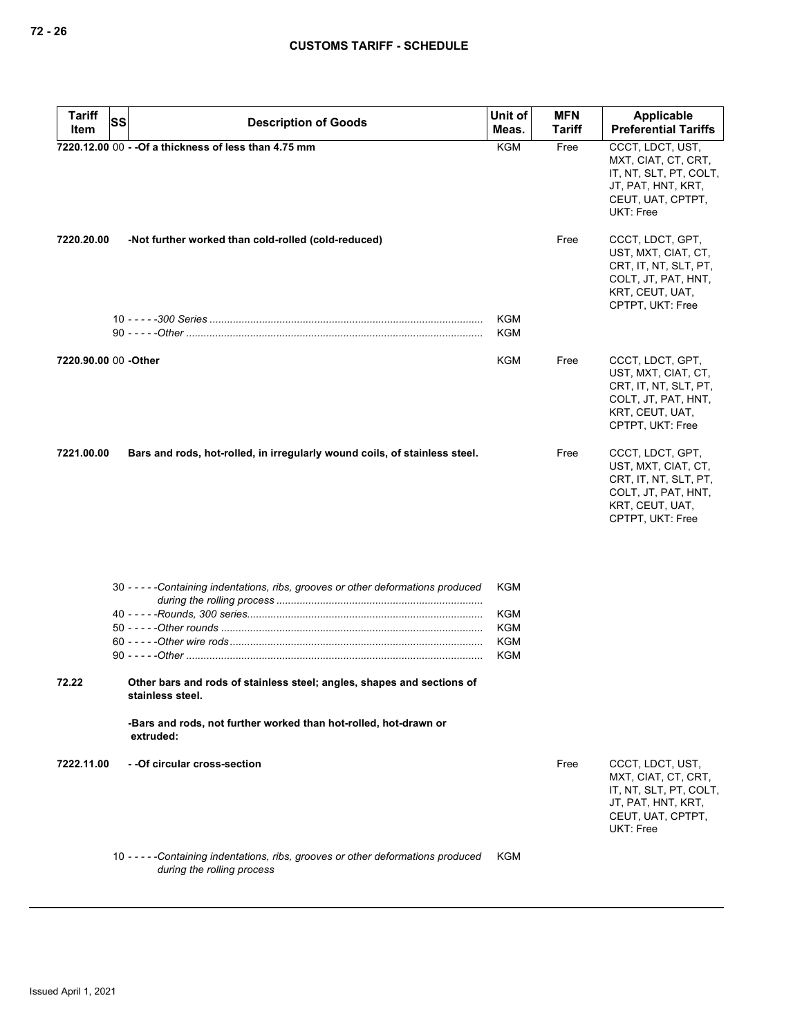| <b>Tariff</b>        | SS | <b>Description of Goods</b>                                                                                      | Unit of    | <b>MFN</b>    | Applicable                                                                                                                     |
|----------------------|----|------------------------------------------------------------------------------------------------------------------|------------|---------------|--------------------------------------------------------------------------------------------------------------------------------|
| Item                 |    |                                                                                                                  | Meas.      | <b>Tariff</b> | <b>Preferential Tariffs</b>                                                                                                    |
|                      |    | 7220.12.00 00 - - Of a thickness of less than 4.75 mm                                                            | <b>KGM</b> | Free          | CCCT, LDCT, UST,<br>MXT, CIAT, CT, CRT,<br>IT, NT, SLT, PT, COLT,<br>JT, PAT, HNT, KRT,<br>CEUT, UAT, CPTPT,<br>UKT: Free      |
| 7220.20.00           |    | -Not further worked than cold-rolled (cold-reduced)                                                              |            | Free          | CCCT, LDCT, GPT,<br>UST, MXT, CIAT, CT,<br>CRT, IT, NT, SLT, PT,<br>COLT, JT, PAT, HNT,<br>KRT, CEUT, UAT,<br>CPTPT, UKT: Free |
|                      |    |                                                                                                                  | KGM<br>KGM |               |                                                                                                                                |
| 7220.90.00 00 -Other |    |                                                                                                                  | KGM        | Free          | CCCT, LDCT, GPT,<br>UST, MXT, CIAT, CT,<br>CRT, IT, NT, SLT, PT,<br>COLT, JT, PAT, HNT,<br>KRT, CEUT, UAT,<br>CPTPT, UKT: Free |
| 7221.00.00           |    | Bars and rods, hot-rolled, in irregularly wound coils, of stainless steel.                                       |            | Free          | CCCT, LDCT, GPT,<br>UST, MXT, CIAT, CT,<br>CRT, IT, NT, SLT, PT,<br>COLT, JT, PAT, HNT,<br>KRT, CEUT, UAT,<br>CPTPT, UKT: Free |
|                      |    | 30 - - - - - Containing indentations, ribs, grooves or other deformations produced                               | KGM        |               |                                                                                                                                |
|                      |    |                                                                                                                  | KGM        |               |                                                                                                                                |
|                      |    |                                                                                                                  | <b>KGM</b> |               |                                                                                                                                |
|                      |    |                                                                                                                  | KGM        |               |                                                                                                                                |
|                      |    |                                                                                                                  | <b>KGM</b> |               |                                                                                                                                |
| 72.22                |    | Other bars and rods of stainless steel; angles, shapes and sections of<br>stainless steel.                       |            |               |                                                                                                                                |
|                      |    | -Bars and rods, not further worked than hot-rolled, hot-drawn or<br>extruded:                                    |            |               |                                                                                                                                |
| 7222.11.00           |    | - - Of circular cross-section                                                                                    |            | Free          | CCCT, LDCT, UST,<br>MXT, CIAT, CT, CRT,<br>IT, NT, SLT, PT, COLT,<br>JT, PAT, HNT, KRT,<br>CEUT, UAT, CPTPT,<br>UKT: Free      |
|                      |    | 10 - - - - - Containing indentations, ribs, grooves or other deformations produced<br>during the rolling process | <b>KGM</b> |               |                                                                                                                                |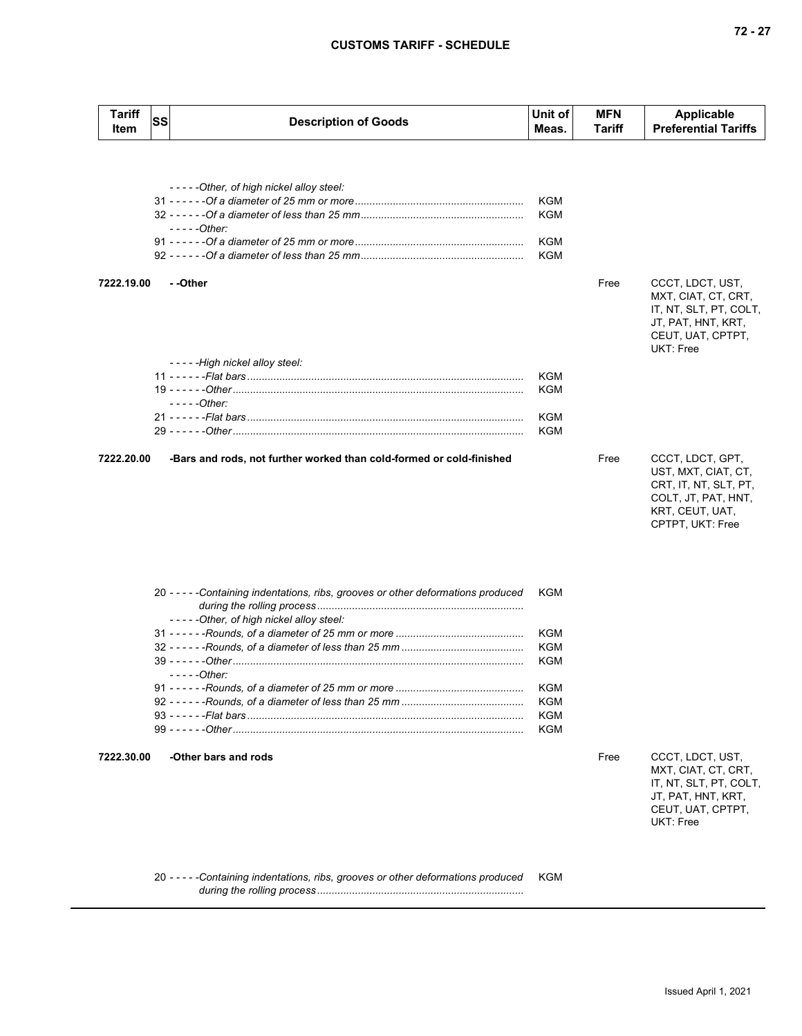| <b>Tariff</b><br>Item | <b>SS</b> | <b>Description of Goods</b>                                                        | Unit of<br>Meas. | <b>MFN</b><br>Tariff | Applicable<br><b>Preferential Tariffs</b> |
|-----------------------|-----------|------------------------------------------------------------------------------------|------------------|----------------------|-------------------------------------------|
|                       |           |                                                                                    |                  |                      |                                           |
|                       |           | -----Other, of high nickel alloy steel:                                            |                  |                      |                                           |
|                       |           |                                                                                    | <b>KGM</b>       |                      |                                           |
|                       |           |                                                                                    | <b>KGM</b>       |                      |                                           |
|                       |           | $---Other:$                                                                        |                  |                      |                                           |
|                       |           |                                                                                    | <b>KGM</b>       |                      |                                           |
|                       |           |                                                                                    | <b>KGM</b>       |                      |                                           |
|                       |           |                                                                                    |                  |                      |                                           |
| 7222.19.00            |           | - -Other                                                                           |                  | Free                 | CCCT, LDCT, UST,                          |
|                       |           |                                                                                    |                  |                      | MXT, CIAT, CT, CRT,                       |
|                       |           |                                                                                    |                  |                      | IT, NT, SLT, PT, COLT,                    |
|                       |           |                                                                                    |                  |                      | JT, PAT, HNT, KRT,                        |
|                       |           |                                                                                    |                  |                      | CEUT, UAT, CPTPT,                         |
|                       |           |                                                                                    |                  |                      | UKT: Free                                 |
|                       |           | -----High nickel alloy steel:                                                      | <b>KGM</b>       |                      |                                           |
|                       |           |                                                                                    | KGM              |                      |                                           |
|                       |           | $---Other:$                                                                        |                  |                      |                                           |
|                       |           |                                                                                    | <b>KGM</b>       |                      |                                           |
|                       |           |                                                                                    | <b>KGM</b>       |                      |                                           |
|                       |           |                                                                                    |                  |                      |                                           |
| 7222.20.00            |           | -Bars and rods, not further worked than cold-formed or cold-finished               |                  | Free                 | CCCT, LDCT, GPT,                          |
|                       |           |                                                                                    |                  |                      | UST, MXT, CIAT, CT,                       |
|                       |           |                                                                                    |                  |                      | CRT, IT, NT, SLT, PT,                     |
|                       |           |                                                                                    |                  |                      | COLT, JT, PAT, HNT,                       |
|                       |           |                                                                                    |                  |                      | KRT, CEUT, UAT,                           |
|                       |           |                                                                                    |                  |                      | CPTPT, UKT: Free                          |
|                       |           |                                                                                    |                  |                      |                                           |
|                       |           |                                                                                    |                  |                      |                                           |
|                       |           |                                                                                    |                  |                      |                                           |
|                       |           | 20 - - - - - Containing indentations, ribs, grooves or other deformations produced | KGM              |                      |                                           |
|                       |           |                                                                                    |                  |                      |                                           |
|                       |           | -----Other, of high nickel alloy steel:                                            |                  |                      |                                           |
|                       |           |                                                                                    | <b>KGM</b>       |                      |                                           |
|                       |           |                                                                                    | KGM<br>KGM       |                      |                                           |
|                       |           | $---Other:$                                                                        |                  |                      |                                           |
|                       |           |                                                                                    | KGM              |                      |                                           |
|                       |           |                                                                                    | KGM              |                      |                                           |
|                       |           |                                                                                    | <b>KGM</b>       |                      |                                           |
|                       |           |                                                                                    | <b>KGM</b>       |                      |                                           |
|                       |           |                                                                                    |                  |                      |                                           |
| 7222.30.00            |           | -Other bars and rods                                                               |                  | Free                 | CCCT, LDCT, UST,                          |
|                       |           |                                                                                    |                  |                      | MXT, CIAT, CT, CRT,                       |
|                       |           |                                                                                    |                  |                      | IT, NT, SLT, PT, COLT,                    |
|                       |           |                                                                                    |                  |                      | JT, PAT, HNT, KRT,<br>CEUT, UAT, CPTPT,   |
|                       |           |                                                                                    |                  |                      | UKT: Free                                 |
|                       |           |                                                                                    |                  |                      |                                           |
|                       |           |                                                                                    |                  |                      |                                           |
|                       |           |                                                                                    |                  |                      |                                           |

20 *- - - - -Containing indentations, ribs, grooves or other deformations produced during the rolling process .......................................................................* KGM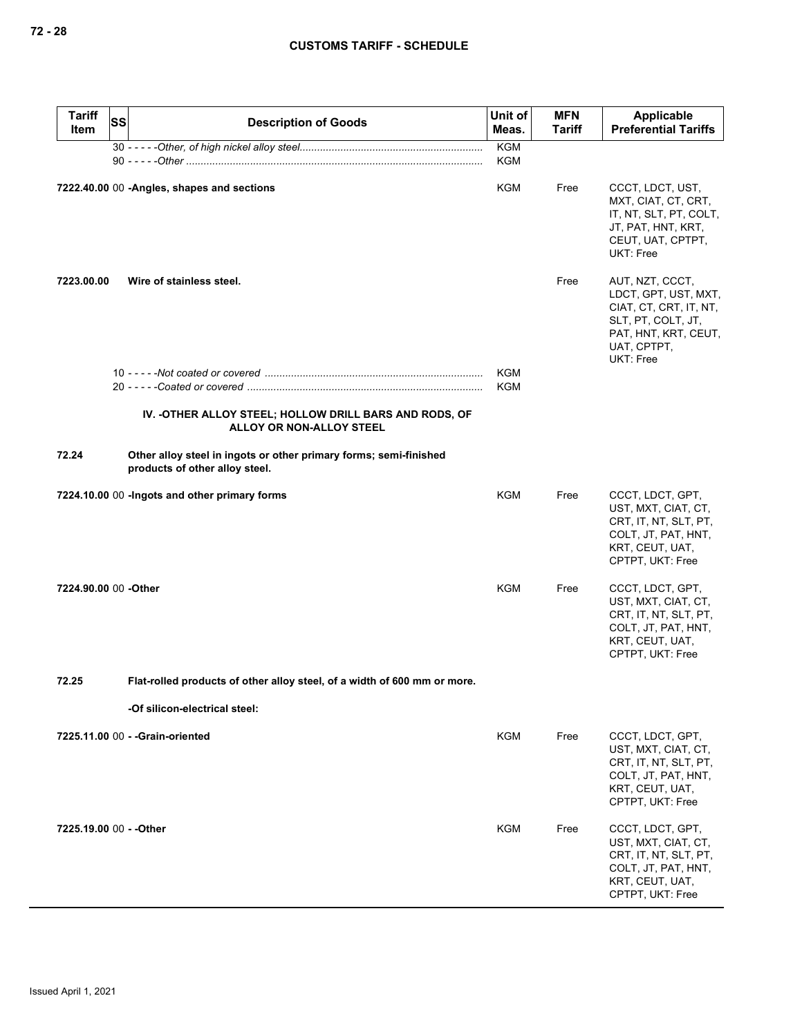| <b>Tariff</b><br>ltem   | <b>SS</b> | <b>Description of Goods</b>                                                                         | Unit of<br>Meas.         | <b>MFN</b><br>Tariff | Applicable<br><b>Preferential Tariffs</b>                                                                                                   |
|-------------------------|-----------|-----------------------------------------------------------------------------------------------------|--------------------------|----------------------|---------------------------------------------------------------------------------------------------------------------------------------------|
|                         |           |                                                                                                     | <b>KGM</b><br><b>KGM</b> |                      |                                                                                                                                             |
|                         |           | 7222.40.00 00 -Angles, shapes and sections                                                          | KGM                      | Free                 | CCCT, LDCT, UST,<br>MXT, CIAT, CT, CRT,<br>IT, NT, SLT, PT, COLT,<br>JT, PAT, HNT, KRT,<br>CEUT, UAT, CPTPT,<br>UKT: Free                   |
| 7223.00.00              |           | Wire of stainless steel.                                                                            |                          | Free                 | AUT, NZT, CCCT,<br>LDCT, GPT, UST, MXT,<br>CIAT, CT, CRT, IT, NT,<br>SLT, PT, COLT, JT,<br>PAT, HNT, KRT, CEUT,<br>UAT, CPTPT,<br>UKT: Free |
|                         |           |                                                                                                     | KGM                      |                      |                                                                                                                                             |
|                         |           | IV. - OTHER ALLOY STEEL; HOLLOW DRILL BARS AND RODS, OF<br>ALLOY OR NON-ALLOY STEEL                 | KGM                      |                      |                                                                                                                                             |
| 72.24                   |           | Other alloy steel in ingots or other primary forms; semi-finished<br>products of other alloy steel. |                          |                      |                                                                                                                                             |
|                         |           | 7224.10.00 00 -Ingots and other primary forms                                                       | <b>KGM</b>               | Free                 | CCCT, LDCT, GPT,<br>UST, MXT, CIAT, CT,<br>CRT, IT, NT, SLT, PT,<br>COLT, JT, PAT, HNT,<br>KRT, CEUT, UAT,<br>CPTPT, UKT: Free              |
| 7224.90.00 00 -Other    |           |                                                                                                     | <b>KGM</b>               | Free                 | CCCT, LDCT, GPT,<br>UST, MXT, CIAT, CT,<br>CRT, IT, NT, SLT, PT,<br>COLT, JT, PAT, HNT,<br>KRT, CEUT, UAT,<br>CPTPT, UKT: Free              |
| 72.25                   |           | Flat-rolled products of other alloy steel, of a width of 600 mm or more.                            |                          |                      |                                                                                                                                             |
|                         |           | -Of silicon-electrical steel:                                                                       |                          |                      |                                                                                                                                             |
|                         |           | 7225.11.00 00 - - Grain-oriented                                                                    | KGM                      | Free                 | CCCT, LDCT, GPT,<br>UST, MXT, CIAT, CT,<br>CRT, IT, NT, SLT, PT,<br>COLT, JT, PAT, HNT,<br>KRT, CEUT, UAT,<br>CPTPT, UKT: Free              |
| 7225.19.00 00 - - Other |           |                                                                                                     | KGM                      | Free                 | CCCT, LDCT, GPT,<br>UST, MXT, CIAT, CT,<br>CRT, IT, NT, SLT, PT,<br>COLT, JT, PAT, HNT,<br>KRT, CEUT, UAT,<br>CPTPT, UKT: Free              |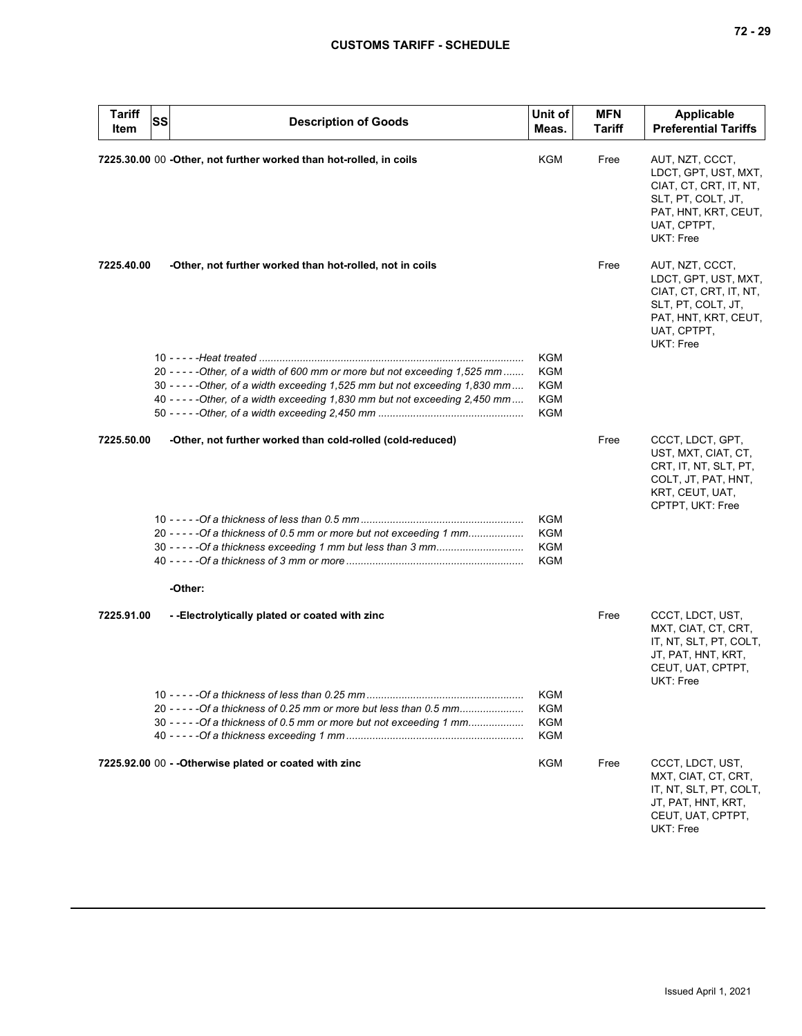| <b>Tariff</b><br>Item | SS | <b>Description of Goods</b>                                                                                                                                  | Unit of<br>Meas. | <b>MFN</b><br>Tariff | <b>Applicable</b><br><b>Preferential Tariffs</b>                                                                                            |
|-----------------------|----|--------------------------------------------------------------------------------------------------------------------------------------------------------------|------------------|----------------------|---------------------------------------------------------------------------------------------------------------------------------------------|
|                       |    | 7225.30.00 00 -Other, not further worked than hot-rolled, in coils                                                                                           | KGM              | Free                 | AUT, NZT, CCCT,<br>LDCT, GPT, UST, MXT,<br>CIAT, CT, CRT, IT, NT,<br>SLT, PT, COLT, JT,<br>PAT, HNT, KRT, CEUT,<br>UAT, CPTPT,<br>UKT: Free |
| 7225.40.00            |    | -Other, not further worked than hot-rolled, not in coils                                                                                                     |                  | Free                 | AUT, NZT, CCCT,<br>LDCT, GPT, UST, MXT,<br>CIAT, CT, CRT, IT, NT,<br>SLT, PT, COLT, JT,<br>PAT, HNT, KRT, CEUT,<br>UAT, CPTPT,<br>UKT: Free |
|                       |    |                                                                                                                                                              | KGM              |                      |                                                                                                                                             |
|                       |    | 20 - - - - - - Other, of a width of 600 mm or more but not exceeding 1,525 mm                                                                                | KGM              |                      |                                                                                                                                             |
|                       |    | 30 - - - - - Other, of a width exceeding 1,525 mm but not exceeding 1,830 mm<br>40 - - - - - Other, of a width exceeding 1,830 mm but not exceeding 2,450 mm | KGM<br>KGM       |                      |                                                                                                                                             |
|                       |    |                                                                                                                                                              | KGM              |                      |                                                                                                                                             |
|                       |    |                                                                                                                                                              |                  |                      |                                                                                                                                             |
| 7225.50.00            |    | -Other, not further worked than cold-rolled (cold-reduced)                                                                                                   |                  | Free                 | CCCT, LDCT, GPT,<br>UST, MXT, CIAT, CT,<br>CRT, IT, NT, SLT, PT,<br>COLT, JT, PAT, HNT,<br>KRT, CEUT, UAT,<br>CPTPT, UKT: Free              |
|                       |    |                                                                                                                                                              | <b>KGM</b>       |                      |                                                                                                                                             |
|                       |    | 20 - - - - - Of a thickness of 0.5 mm or more but not exceeding 1 mm                                                                                         | <b>KGM</b>       |                      |                                                                                                                                             |
|                       |    |                                                                                                                                                              | <b>KGM</b>       |                      |                                                                                                                                             |
|                       |    |                                                                                                                                                              | <b>KGM</b>       |                      |                                                                                                                                             |
|                       |    | -Other:                                                                                                                                                      |                  |                      |                                                                                                                                             |
|                       |    |                                                                                                                                                              |                  |                      |                                                                                                                                             |
| 7225.91.00            |    | --Electrolytically plated or coated with zinc                                                                                                                |                  | Free                 | CCCT, LDCT, UST,<br>MXT, CIAT, CT, CRT,<br>IT, NT, SLT, PT, COLT,<br>JT, PAT, HNT, KRT,<br>CEUT, UAT, CPTPT,<br>UKT: Free                   |
|                       |    |                                                                                                                                                              | KGM              |                      |                                                                                                                                             |
|                       |    | 20 - - - - - Of a thickness of 0.25 mm or more but less than 0.5 mm                                                                                          | KGM              |                      |                                                                                                                                             |
|                       |    | 30 - - - - - Of a thickness of 0.5 mm or more but not exceeding 1 mm                                                                                         | KGM              |                      |                                                                                                                                             |
|                       |    |                                                                                                                                                              | KGM              |                      |                                                                                                                                             |
|                       |    | 7225.92.00 00 - - Otherwise plated or coated with zinc                                                                                                       | KGM              | Free                 | CCCT, LDCT, UST,<br>MXT, CIAT, CT, CRT,<br>IT, NT, SLT, PT, COLT,<br>JT, PAT, HNT, KRT,<br>CEUT, UAT, CPTPT,<br>UKT: Free                   |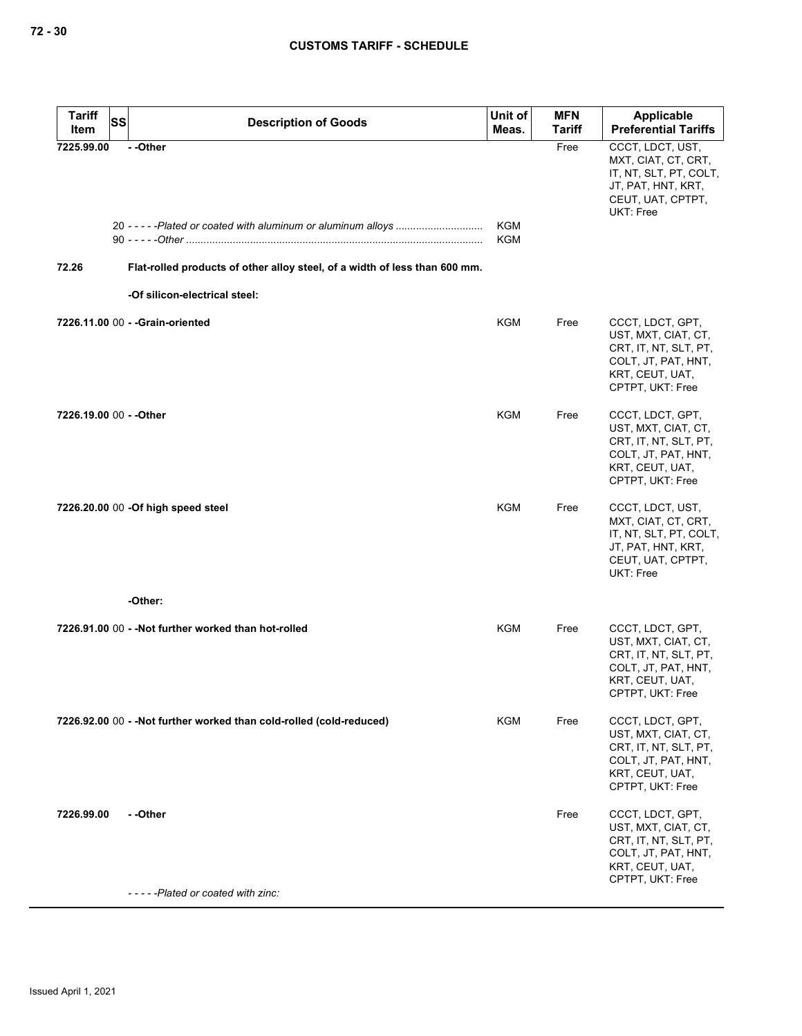| <b>Tariff</b><br><b>SS</b> | <b>Description of Goods</b>                                                                                            | Unit of           | <b>MFN</b><br><b>Tariff</b> | Applicable<br><b>Preferential Tariffs</b>                                                                                      |
|----------------------------|------------------------------------------------------------------------------------------------------------------------|-------------------|-----------------------------|--------------------------------------------------------------------------------------------------------------------------------|
| Item                       |                                                                                                                        | Meas.             |                             |                                                                                                                                |
| 7225.99.00<br>72.26        | --Other<br>Flat-rolled products of other alloy steel, of a width of less than 600 mm.<br>-Of silicon-electrical steel: | KGM<br><b>KGM</b> | Free                        | CCCT, LDCT, UST,<br>MXT, CIAT, CT, CRT,<br>IT, NT, SLT, PT, COLT,<br>JT, PAT, HNT, KRT,<br>CEUT, UAT, CPTPT,<br>UKT: Free      |
|                            |                                                                                                                        |                   |                             |                                                                                                                                |
|                            | 7226.11.00 00 - - Grain-oriented                                                                                       | KGM               | Free                        | CCCT, LDCT, GPT,<br>UST, MXT, CIAT, CT,<br>CRT, IT, NT, SLT, PT,<br>COLT, JT, PAT, HNT,<br>KRT, CEUT, UAT,<br>CPTPT, UKT: Free |
| 7226.19.00 00 - - Other    |                                                                                                                        | KGM               | Free                        | CCCT, LDCT, GPT,<br>UST, MXT, CIAT, CT,<br>CRT, IT, NT, SLT, PT,<br>COLT, JT, PAT, HNT,<br>KRT, CEUT, UAT,<br>CPTPT, UKT: Free |
|                            | 7226.20.00 00 - Of high speed steel                                                                                    | KGM               | Free                        | CCCT, LDCT, UST,<br>MXT, CIAT, CT, CRT,<br>IT, NT, SLT, PT, COLT,<br>JT, PAT, HNT, KRT,<br>CEUT, UAT, CPTPT,<br>UKT: Free      |
|                            | -Other:                                                                                                                |                   |                             |                                                                                                                                |
|                            | 7226.91.00 00 - - Not further worked than hot-rolled                                                                   | KGM               | Free                        | CCCT, LDCT, GPT,<br>UST, MXT, CIAT, CT,<br>CRT, IT, NT, SLT, PT,<br>COLT, JT, PAT, HNT,<br>KRT, CEUT, UAT,<br>CPTPT, UKT: Free |
|                            | 7226.92.00 00 - - Not further worked than cold-rolled (cold-reduced)                                                   | KGM               | Free                        | CCCT, LDCT, GPT,<br>UST, MXT, CIAT, CT,<br>CRT, IT, NT, SLT, PT,<br>COLT, JT, PAT, HNT,<br>KRT, CEUT, UAT,<br>CPTPT, UKT: Free |
| 7226.99.00                 | - -Other<br>-----Plated or coated with zinc:                                                                           |                   | Free                        | CCCT, LDCT, GPT,<br>UST, MXT, CIAT, CT,<br>CRT, IT, NT, SLT, PT,<br>COLT, JT, PAT, HNT,<br>KRT, CEUT, UAT,<br>CPTPT, UKT: Free |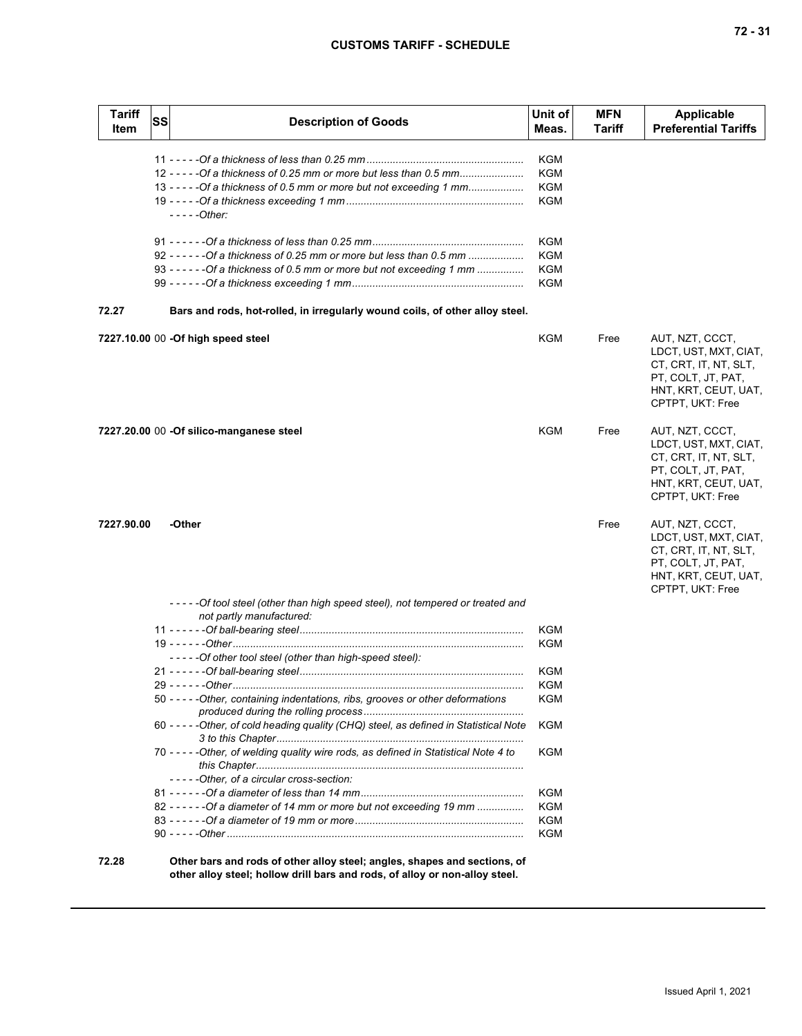| <b>Tariff</b><br>Item | SS | <b>Description of Goods</b>                                                                               | Unit of<br>Meas. | <b>MFN</b><br>Tariff | <b>Applicable</b><br><b>Preferential Tariffs</b>                                                                                    |
|-----------------------|----|-----------------------------------------------------------------------------------------------------------|------------------|----------------------|-------------------------------------------------------------------------------------------------------------------------------------|
|                       |    |                                                                                                           | KGM              |                      |                                                                                                                                     |
|                       |    | 12 - - - - - Of a thickness of 0.25 mm or more but less than 0.5 mm                                       | KGM              |                      |                                                                                                                                     |
|                       |    | 13 - - - - - Of a thickness of 0.5 mm or more but not exceeding 1 mm                                      | KGM              |                      |                                                                                                                                     |
|                       |    |                                                                                                           | KGM              |                      |                                                                                                                                     |
|                       |    | - - - - -Other:                                                                                           |                  |                      |                                                                                                                                     |
|                       |    |                                                                                                           | KGM              |                      |                                                                                                                                     |
|                       |    | 92 - - - - - - - Of a thickness of 0.25 mm or more but less than 0.5 mm                                   | KGM              |                      |                                                                                                                                     |
|                       |    | 93 - - - - - - - Of a thickness of 0.5 mm or more but not exceeding 1 mm                                  | <b>KGM</b>       |                      |                                                                                                                                     |
|                       |    |                                                                                                           | KGM              |                      |                                                                                                                                     |
| 72.27                 |    | Bars and rods, hot-rolled, in irregularly wound coils, of other alloy steel.                              |                  |                      |                                                                                                                                     |
|                       |    | 7227.10.00 00 - Of high speed steel                                                                       | KGM              | Free                 | AUT, NZT, CCCT,<br>LDCT, UST, MXT, CIAT,<br>CT, CRT, IT, NT, SLT,<br>PT, COLT, JT, PAT,<br>HNT, KRT, CEUT, UAT,<br>CPTPT, UKT: Free |
|                       |    | 7227.20.00 00 -Of silico-manganese steel                                                                  | <b>KGM</b>       | Free                 | AUT, NZT, CCCT,<br>LDCT, UST, MXT, CIAT,<br>CT, CRT, IT, NT, SLT,<br>PT, COLT, JT, PAT,<br>HNT, KRT, CEUT, UAT,<br>CPTPT, UKT: Free |
| 7227.90.00            |    | -Other                                                                                                    |                  | Free                 | AUT, NZT, CCCT,<br>LDCT, UST, MXT, CIAT,<br>CT, CRT, IT, NT, SLT,<br>PT, COLT, JT, PAT,<br>HNT, KRT, CEUT, UAT,<br>CPTPT, UKT: Free |
|                       |    | -----Of tool steel (other than high speed steel), not tempered or treated and<br>not partly manufactured: |                  |                      |                                                                                                                                     |
|                       |    |                                                                                                           | <b>KGM</b>       |                      |                                                                                                                                     |
|                       |    |                                                                                                           | <b>KGM</b>       |                      |                                                                                                                                     |
|                       |    | -----Of other tool steel (other than high-speed steel):                                                   |                  |                      |                                                                                                                                     |
|                       |    |                                                                                                           | KGM              |                      |                                                                                                                                     |
|                       |    |                                                                                                           | KGM              |                      |                                                                                                                                     |
|                       |    | 50 - - - - - Other, containing indentations, ribs, grooves or other deformations                          | KGM              |                      |                                                                                                                                     |
|                       |    | 60 - - - - - Other, of cold heading quality (CHQ) steel, as defined in Statistical Note                   | <b>KGM</b>       |                      |                                                                                                                                     |
|                       |    | 70 - - - - - Other, of welding quality wire rods, as defined in Statistical Note 4 to                     | KGM              |                      |                                                                                                                                     |
|                       |    | -----Other, of a circular cross-section:                                                                  |                  |                      |                                                                                                                                     |
|                       |    |                                                                                                           | KGM              |                      |                                                                                                                                     |
|                       |    | 82 - - - - - - - Of a diameter of 14 mm or more but not exceeding 19 mm                                   | KGM              |                      |                                                                                                                                     |
|                       |    |                                                                                                           | KGM              |                      |                                                                                                                                     |
|                       |    |                                                                                                           | <b>KGM</b>       |                      |                                                                                                                                     |
| 72.28                 |    | Other bars and rods of other alloy steel; angles, shapes and sections, of                                 |                  |                      |                                                                                                                                     |

**other alloy steel; hollow drill bars and rods, of alloy or non-alloy steel.**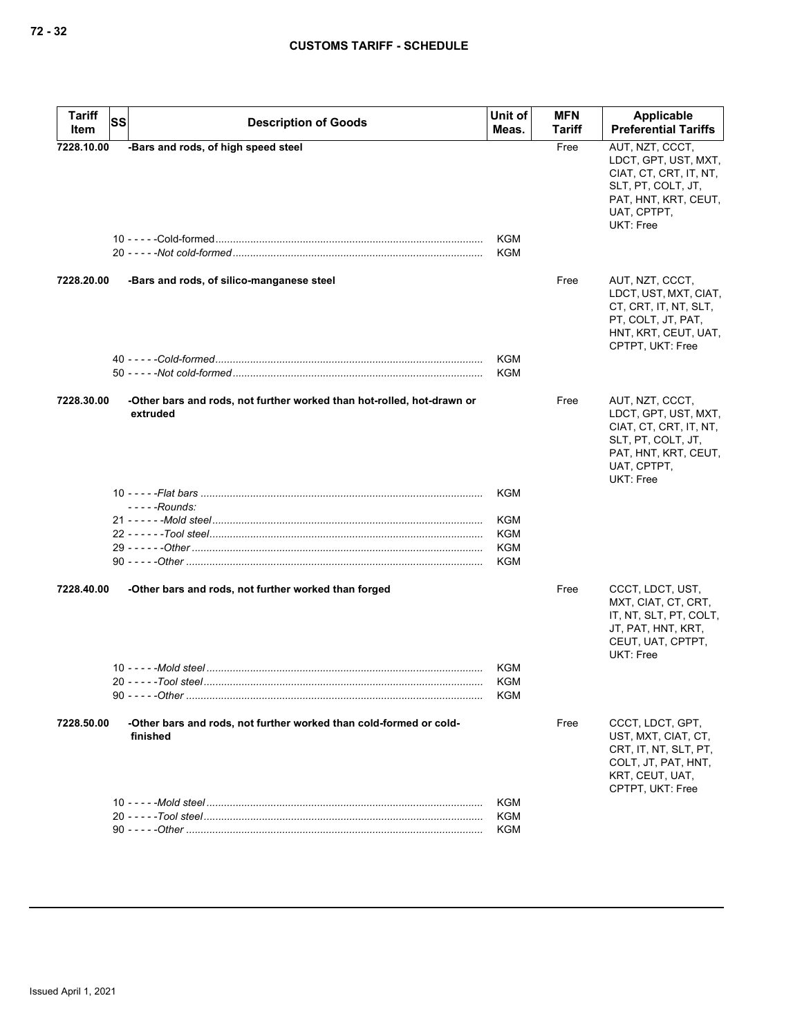| <b>Tariff</b> | <b>SS</b><br><b>Description of Goods</b>                                           | Unit of           | <b>MFN</b>    | Applicable                                                                                                                                  |
|---------------|------------------------------------------------------------------------------------|-------------------|---------------|---------------------------------------------------------------------------------------------------------------------------------------------|
| Item          |                                                                                    | Meas.             | <b>Tariff</b> | <b>Preferential Tariffs</b>                                                                                                                 |
| 7228.10.00    | -Bars and rods, of high speed steel                                                | KGM<br>KGM        | Free          | AUT, NZT, CCCT,<br>LDCT, GPT, UST, MXT,<br>CIAT, CT, CRT, IT, NT,<br>SLT, PT, COLT, JT,<br>PAT, HNT, KRT, CEUT,<br>UAT, CPTPT,<br>UKT: Free |
| 7228.20.00    | -Bars and rods, of silico-manganese steel                                          | KGM<br><b>KGM</b> | Free          | AUT, NZT, CCCT,<br>LDCT, UST, MXT, CIAT,<br>CT, CRT, IT, NT, SLT,<br>PT, COLT, JT, PAT,<br>HNT, KRT, CEUT, UAT,<br>CPTPT, UKT: Free         |
| 7228.30.00    | -Other bars and rods, not further worked than hot-rolled, hot-drawn or<br>extruded |                   | Free          | AUT, NZT, CCCT,<br>LDCT, GPT, UST, MXT,<br>CIAT, CT, CRT, IT, NT,<br>SLT, PT, COLT, JT,<br>PAT, HNT, KRT, CEUT,<br>UAT, CPTPT,<br>UKT: Free |
|               |                                                                                    | KGM               |               |                                                                                                                                             |
|               | $---Rounds$ :                                                                      |                   |               |                                                                                                                                             |
|               |                                                                                    | KGM               |               |                                                                                                                                             |
|               |                                                                                    | KGM<br>KGM        |               |                                                                                                                                             |
|               |                                                                                    | KGM               |               |                                                                                                                                             |
| 7228.40.00    | -Other bars and rods, not further worked than forged                               |                   | Free          | CCCT, LDCT, UST,<br>MXT, CIAT, CT, CRT,<br>IT, NT, SLT, PT, COLT,<br>JT, PAT, HNT, KRT,<br>CEUT, UAT, CPTPT,<br>UKT: Free                   |
|               |                                                                                    | KGM               |               |                                                                                                                                             |
|               |                                                                                    | KGM               |               |                                                                                                                                             |
|               |                                                                                    | <b>KGM</b>        |               |                                                                                                                                             |
| 7228.50.00    | -Other bars and rods, not further worked than cold-formed or cold-<br>finished     |                   | Free          | CCCT, LDCT, GPT,<br>UST, MXT, CIAT, CT,<br>CRT, IT, NT, SLT, PT,<br>COLT, JT, PAT, HNT,<br>KRT, CEUT, UAT,<br>CPTPT, UKT: Free              |
|               |                                                                                    | KGM               |               |                                                                                                                                             |
|               |                                                                                    | KGM<br>KGM        |               |                                                                                                                                             |
|               |                                                                                    |                   |               |                                                                                                                                             |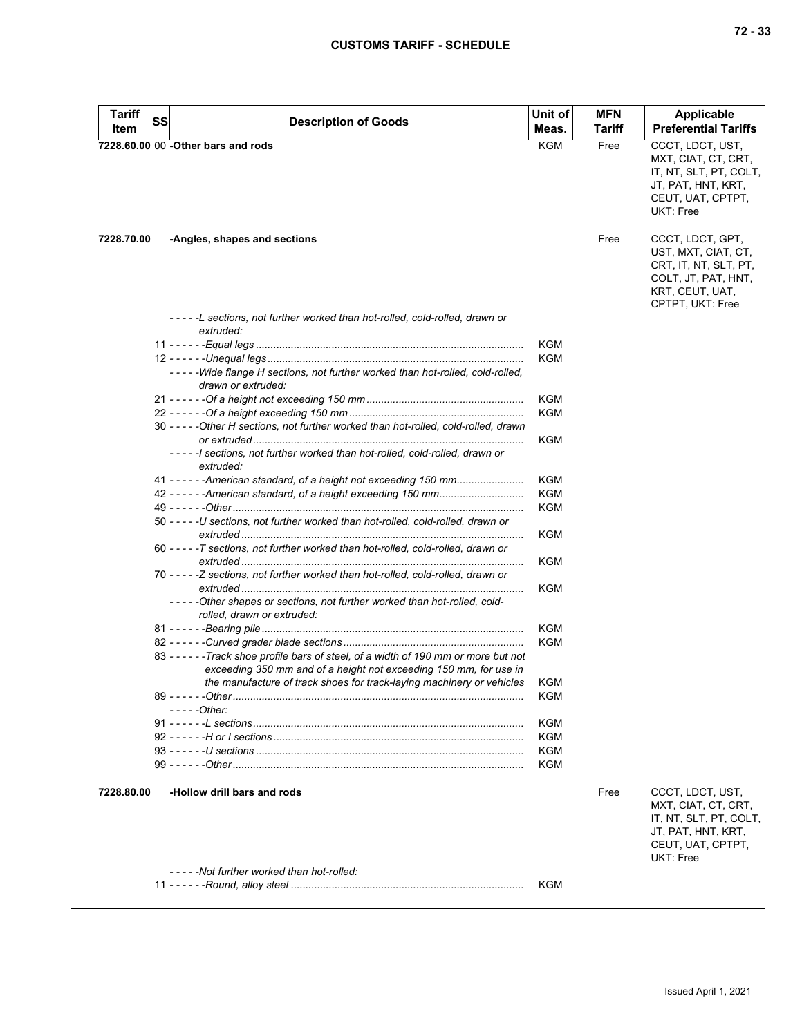| Tariff<br>Item | SS | <b>Description of Goods</b>                                                                            | Unit of<br>Meas. | <b>MFN</b><br><b>Tariff</b> | <b>Applicable</b><br><b>Preferential Tariffs</b>                                                                               |
|----------------|----|--------------------------------------------------------------------------------------------------------|------------------|-----------------------------|--------------------------------------------------------------------------------------------------------------------------------|
|                |    | 7228.60.00 00 - Other bars and rods                                                                    | <b>KGM</b>       | Free                        | CCCT, LDCT, UST,<br>MXT, CIAT, CT, CRT,<br>IT, NT, SLT, PT, COLT,<br>JT, PAT, HNT, KRT,<br>CEUT, UAT, CPTPT,<br>UKT: Free      |
| 7228.70.00     |    | -Angles, shapes and sections                                                                           |                  | Free                        | CCCT, LDCT, GPT,<br>UST, MXT, CIAT, CT,<br>CRT, IT, NT, SLT, PT,<br>COLT, JT, PAT, HNT,<br>KRT, CEUT, UAT,<br>CPTPT, UKT: Free |
|                |    | -----L sections, not further worked than hot-rolled, cold-rolled, drawn or<br>extruded:                |                  |                             |                                                                                                                                |
|                |    |                                                                                                        | KGM              |                             |                                                                                                                                |
|                |    |                                                                                                        | <b>KGM</b>       |                             |                                                                                                                                |
|                |    | -----Wide flange H sections, not further worked than hot-rolled, cold-rolled,<br>drawn or extruded:    |                  |                             |                                                                                                                                |
|                |    |                                                                                                        | <b>KGM</b>       |                             |                                                                                                                                |
|                |    | 30 - - - - - Other H sections, not further worked than hot-rolled, cold-rolled, drawn                  | <b>KGM</b>       |                             |                                                                                                                                |
|                |    | -----I sections, not further worked than hot-rolled, cold-rolled, drawn or                             | KGM              |                             |                                                                                                                                |
|                |    | extruded:                                                                                              |                  |                             |                                                                                                                                |
|                |    | 41 - - - - - - American standard, of a height not exceeding 150 mm                                     | <b>KGM</b>       |                             |                                                                                                                                |
|                |    |                                                                                                        | <b>KGM</b>       |                             |                                                                                                                                |
|                |    |                                                                                                        | <b>KGM</b>       |                             |                                                                                                                                |
|                |    | 50 - - - - - U sections, not further worked than hot-rolled, cold-rolled, drawn or                     | KGM              |                             |                                                                                                                                |
|                |    | 60 - - - - - T sections, not further worked than hot-rolled, cold-rolled, drawn or                     | KGM              |                             |                                                                                                                                |
|                |    | 70 - - - - - Z sections, not further worked than hot-rolled, cold-rolled, drawn or                     | <b>KGM</b>       |                             |                                                                                                                                |
|                |    | -----Other shapes or sections, not further worked than hot-rolled, cold-<br>rolled, drawn or extruded: |                  |                             |                                                                                                                                |
|                |    |                                                                                                        | <b>KGM</b>       |                             |                                                                                                                                |
|                |    |                                                                                                        | <b>KGM</b>       |                             |                                                                                                                                |
|                |    | 83 - - - - - - Track shoe profile bars of steel, of a width of 190 mm or more but not                  |                  |                             |                                                                                                                                |
|                |    | exceeding 350 mm and of a height not exceeding 150 mm, for use in                                      |                  |                             |                                                                                                                                |
|                |    | the manufacture of track shoes for track-laying machinery or vehicles<br>$---Other$                    | KGM<br>KGM       |                             |                                                                                                                                |
|                |    |                                                                                                        |                  |                             |                                                                                                                                |
|                |    |                                                                                                        | KGM              |                             |                                                                                                                                |
|                |    |                                                                                                        | KGM              |                             |                                                                                                                                |
|                |    |                                                                                                        | KGM              |                             |                                                                                                                                |
|                |    |                                                                                                        | KGM              |                             |                                                                                                                                |
| 7228.80.00     |    | -Hollow drill bars and rods                                                                            |                  | Free                        | CCCT, LDCT, UST,<br>MXT, CIAT, CT, CRT,<br>IT, NT, SLT, PT, COLT,<br>JT, PAT, HNT, KRT,<br>CEUT, UAT, CPTPT,<br>UKT: Free      |
|                |    | -----Not further worked than hot-rolled:                                                               |                  |                             |                                                                                                                                |
|                |    |                                                                                                        | KGM              |                             |                                                                                                                                |